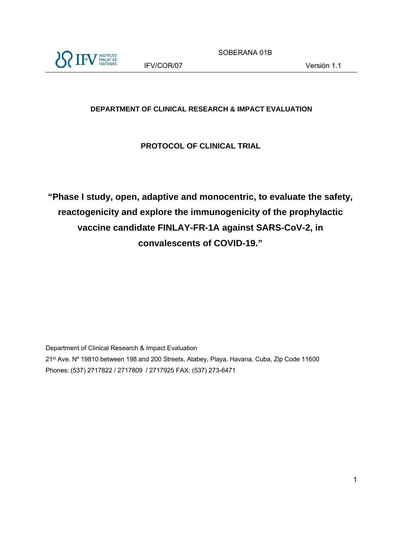

SOBERANA 01B

### **DEPARTMENT OF CLINICAL RESEARCH & IMPACT EVALUATION**

### **PROTOCOL OF CLINICAL TRIAL**

**"Phase I study, open, adaptive and monocentric, to evaluate the safety, reactogenicity and explore the immunogenicity of the prophylactic vaccine candidate FINLAY-FR-1A against SARS-CoV-2, in convalescents of COVID-19."** 

Department of Clinical Research & Impact Evaluation 21st Ave. Nº 19810 between 198 and 200 Streets, Atabey, Playa, Havana, Cuba, Zip Code 11600 Phones: (537) 2717822 / 2717809 / 2717925 FAX: (537) 273-6471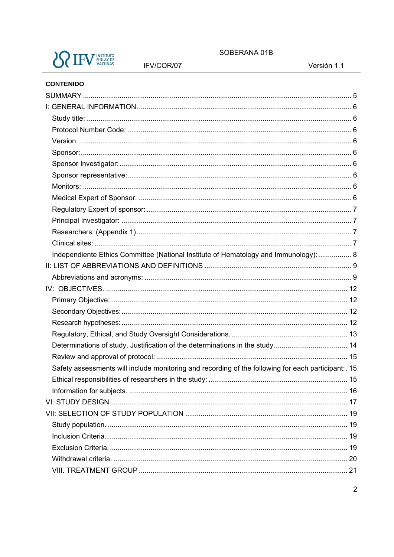

IFV/COR/07

SOBERANA 01B

Versión 1.1

#### **CONTENIDO**

| Independiente Ethics Committee (National Institute of Hematology and Immunology):  8                |  |
|-----------------------------------------------------------------------------------------------------|--|
|                                                                                                     |  |
|                                                                                                     |  |
|                                                                                                     |  |
|                                                                                                     |  |
|                                                                                                     |  |
|                                                                                                     |  |
|                                                                                                     |  |
|                                                                                                     |  |
|                                                                                                     |  |
| Safety assessments will include monitoring and recording of the following for each participant:. 15 |  |
|                                                                                                     |  |
|                                                                                                     |  |
|                                                                                                     |  |
|                                                                                                     |  |
|                                                                                                     |  |
|                                                                                                     |  |
|                                                                                                     |  |
|                                                                                                     |  |
|                                                                                                     |  |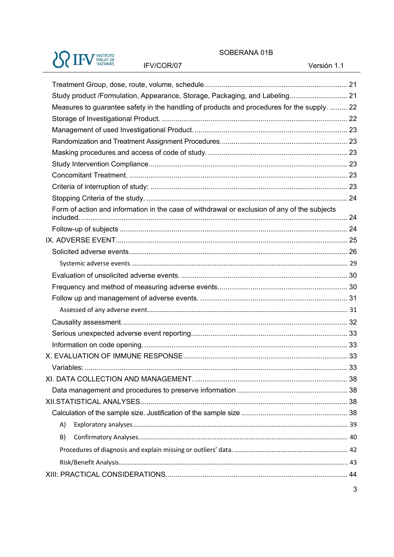# **SO IFV FINLAY DE**

IFV/COR/07

#### SOBERANA 01B

Versión 1.1

| Study product /Formulation, Appearance, Storage, Packaging, and Labeling 21                  |  |
|----------------------------------------------------------------------------------------------|--|
| Measures to guarantee safety in the handling of products and procedures for the supply.  22  |  |
|                                                                                              |  |
|                                                                                              |  |
|                                                                                              |  |
|                                                                                              |  |
|                                                                                              |  |
|                                                                                              |  |
|                                                                                              |  |
|                                                                                              |  |
| Form of action and information in the case of withdrawal or exclusion of any of the subjects |  |
|                                                                                              |  |
|                                                                                              |  |
|                                                                                              |  |
|                                                                                              |  |
|                                                                                              |  |
|                                                                                              |  |
|                                                                                              |  |
|                                                                                              |  |
|                                                                                              |  |
|                                                                                              |  |
|                                                                                              |  |
|                                                                                              |  |
|                                                                                              |  |
|                                                                                              |  |
|                                                                                              |  |
|                                                                                              |  |
|                                                                                              |  |
|                                                                                              |  |
| A)                                                                                           |  |
| B)                                                                                           |  |
|                                                                                              |  |
|                                                                                              |  |
|                                                                                              |  |
|                                                                                              |  |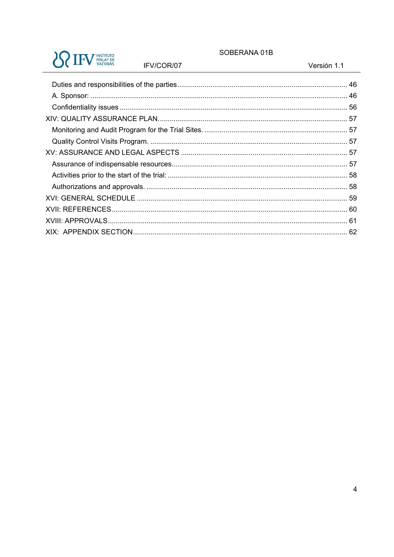#### SOBERANA 01B

Versión 1.1

| <b>INSTITUTO</b><br><b>FINLAY DE</b><br><b>ACUNAS</b> |  |
|-------------------------------------------------------|--|
|-------------------------------------------------------|--|

IFV/COR/07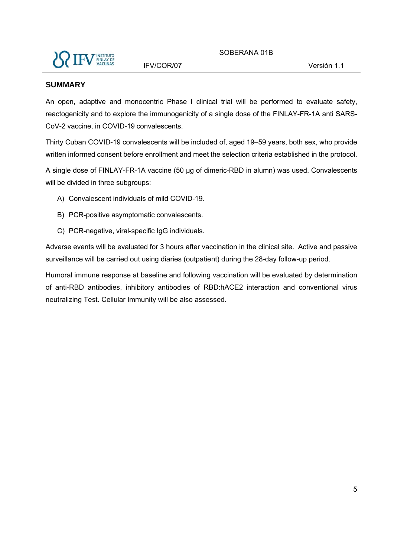

#### **SUMMARY**

An open, adaptive and monocentric Phase I clinical trial will be performed to evaluate safety, reactogenicity and to explore the immunogenicity of a single dose of the FINLAY-FR-1A anti SARS-CoV-2 vaccine, in COVID-19 convalescents.

Thirty Cuban COVID-19 convalescents will be included of, aged 19–59 years, both sex, who provide written informed consent before enrollment and meet the selection criteria established in the protocol.

A single dose of FINLAY-FR-1A vaccine (50 µg of dimeric-RBD in alumn) was used. Convalescents will be divided in three subgroups:

- A) Convalescent individuals of mild COVID-19.
- B) PCR-positive asymptomatic convalescents.
- C) PCR-negative, viral-specific IgG individuals.

Adverse events will be evaluated for 3 hours after vaccination in the clinical site. Active and passive surveillance will be carried out using diaries (outpatient) during the 28-day follow-up period.

Humoral immune response at baseline and following vaccination will be evaluated by determination of anti-RBD antibodies, inhibitory antibodies of RBD:hACE2 interaction and conventional virus neutralizing Test. Cellular Immunity will be also assessed.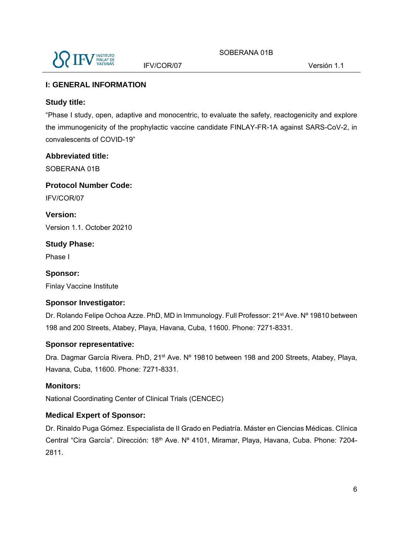

#### **I: GENERAL INFORMATION**

#### **Study title:**

"Phase I study, open, adaptive and monocentric, to evaluate the safety, reactogenicity and explore the immunogenicity of the prophylactic vaccine candidate FINLAY-FR-1A against SARS-CoV-2, in convalescents of COVID-19"

#### **Abbreviated title:**

SOBERANA 01B

**Protocol Number Code:** 

IFV/COR/07

**Version:**  Version 1.1. October 20210

**Study Phase:** 

Phase I

**Sponsor:**  Finlay Vaccine Institute

#### **Sponsor Investigator:**

Dr. Rolando Felipe Ochoa Azze. PhD, MD in Immunology. Full Professor: 21<sup>st</sup> Ave. Nº 19810 between 198 and 200 Streets, Atabey, Playa, Havana, Cuba, 11600. Phone: 7271-8331.

#### **Sponsor representative:**

Dra. Dagmar García Rivera. PhD, 21<sup>st</sup> Ave. Nº 19810 between 198 and 200 Streets, Atabey, Playa, Havana, Cuba, 11600. Phone: 7271-8331.

#### **Monitors:**

National Coordinating Center of Clinical Trials (CENCEC)

#### **Medical Expert of Sponsor:**

Dr. Rinaldo Puga Gómez. Especialista de II Grado en Pediatría. Máster en Ciencias Médicas. Clínica Central "Cira García". Dirección: 18<sup>th</sup> Ave. Nº 4101, Miramar, Playa, Havana, Cuba. Phone: 7204-2811.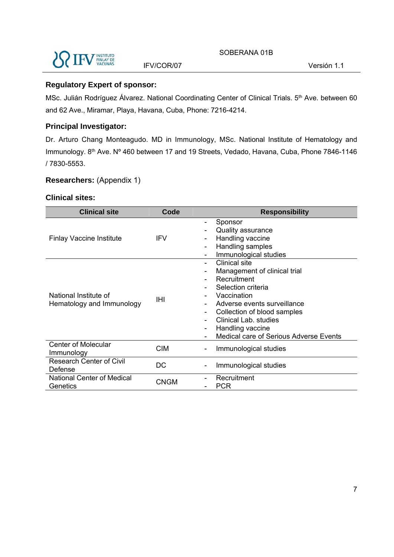

#### **Regulatory Expert of sponsor:**

MSc. Julián Rodríguez Álvarez. National Coordinating Center of Clinical Trials. 5<sup>th</sup> Ave. between 60 and 62 Ave., Miramar, Playa, Havana, Cuba, Phone: 7216-4214.

#### **Principal Investigator:**

Dr. Arturo Chang Monteagudo. MD in Immunology, MSc. National Institute of Hematology and Immunology. 8<sup>th</sup> Ave. Nº 460 between 17 and 19 Streets, Vedado, Havana, Cuba, Phone 7846-1146 / 7830-5553.

#### **Researchers:** (Appendix 1)

#### **Clinical sites:**

| <b>Clinical site</b>                               | Code       | <b>Responsibility</b>                                                                                                                                                                                                                                         |  |  |  |
|----------------------------------------------------|------------|---------------------------------------------------------------------------------------------------------------------------------------------------------------------------------------------------------------------------------------------------------------|--|--|--|
| <b>Finlay Vaccine Institute</b>                    | <b>IFV</b> | Sponsor<br><b>Quality assurance</b><br>Handling vaccine<br>Handling samples<br>Immunological studies                                                                                                                                                          |  |  |  |
| National Institute of<br>Hematology and Immunology | IHI        | <b>Clinical site</b><br>Management of clinical trial<br>Recruitment<br>Selection criteria<br>Vaccination<br>Adverse events surveillance<br>Collection of blood samples<br>Clinical Lab. studies<br>Handling vaccine<br>Medical care of Serious Adverse Events |  |  |  |
| <b>Center of Molecular</b><br>Immunology           | <b>CIM</b> | Immunological studies                                                                                                                                                                                                                                         |  |  |  |
| <b>Research Center of Civil</b><br>Defense         | DC         | Immunological studies                                                                                                                                                                                                                                         |  |  |  |
| National Center of Medical<br>Genetics             | CNGM       | Recruitment<br><b>PCR</b>                                                                                                                                                                                                                                     |  |  |  |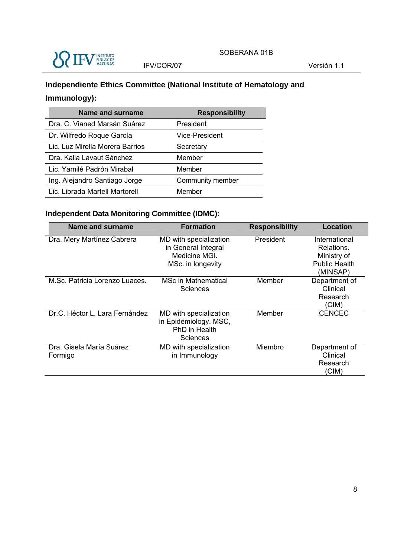

### **Independiente Ethics Committee (National Institute of Hematology and Immunology):**

| <b>Name and surname</b>         | <b>Responsibility</b> |
|---------------------------------|-----------------------|
| Dra. C. Vianed Marsán Suárez    | President             |
| Dr. Wilfredo Roque García       | <b>Vice-President</b> |
| Lic. Luz Mirella Morera Barrios | Secretary             |
| Dra. Kalia Lavaut Sánchez       | Member                |
| Lic. Yamilé Padrón Mirabal      | Member                |
| Ing. Alejandro Santiago Jorge   | Community member      |
| Lic. Librada Martell Martorell  | Member                |

### **Independent Data Monitoring Committee (IDMC):**

| Name and surname                    | <b>Formation</b>                                                                   | <b>Responsibility</b> | Location                                                                       |
|-------------------------------------|------------------------------------------------------------------------------------|-----------------------|--------------------------------------------------------------------------------|
| Dra. Mery Martínez Cabrera          | MD with specialization<br>in General Integral<br>Medicine MGL<br>MSc. in longevity | President             | International<br>Relations.<br>Ministry of<br><b>Public Health</b><br>(MINSAP) |
| M.Sc. Patricia Lorenzo Luaces.      | <b>MSc in Mathematical</b><br>Sciences                                             | Member                | Department of<br>Clinical<br>Research<br>(CIM)                                 |
| Dr.C. Héctor L. Lara Fernández      | MD with specialization<br>in Epidemiology. MSC,<br>PhD in Health<br>Sciences       | Member                | <b>CENCEC</b>                                                                  |
| Dra. Gisela María Suárez<br>Formigo | MD with specialization<br>in Immunology                                            | Miembro               | Department of<br>Clinical<br>Research<br>(CIM)                                 |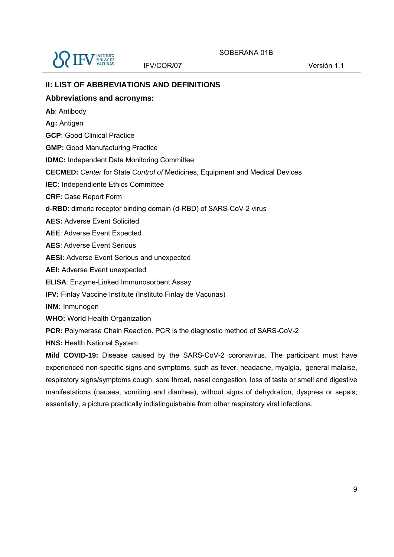

#### **II: LIST OF ABBREVIATIONS AND DEFINITIONS**

#### **Abbreviations and acronyms:**

- **Ab**: Antibody
- **Ag:** Antigen

**GCP**: Good Clinical Practice

**GMP:** Good Manufacturing Practice

**IDMC:** Independent Data Monitoring Committee

**CECMED:** *Center* for State *Control of* Medicines, Equipment and Medical Devices

**IEC:** Independiente Ethics Committee

**CRF:** Case Report Form

**d-RBD**: dimeric receptor binding domain (d-RBD) of SARS-CoV-2 virus

**AES:** Adverse Event Solicited

**AEE**: Adverse Event Expected

**AES**: Adverse Event Serious

**AESI:** Adverse Event Serious and unexpected

**AEI:** Adverse Event unexpected

**ELISA**: Enzyme-Linked Immunosorbent Assay

**IFV:** Finlay Vaccine Institute (Instituto Finlay de Vacunas)

**INM:** Inmunogen

**WHO:** World Health Organization

**PCR:** Polymerase Chain Reaction. PCR is the diagnostic method of SARS-CoV-2

**HNS:** Health National System

**Mild COVID-19:** Disease caused by the SARS-CoV-2 coronavirus. The participant must have experienced non-specific signs and symptoms, such as fever, headache, myalgia, general malaise, respiratory signs/symptoms cough, sore throat, nasal congestion, loss of taste or smell and digestive manifestations (nausea, vomiting and diarrhea), without signs of dehydration, dyspnea or sepsis; essentially, a picture practically indistinguishable from other respiratory viral infections.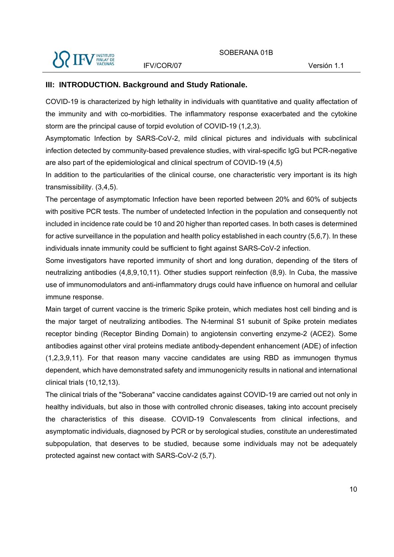

#### **III: INTRODUCTION. Background and Study Rationale.**

COVID-19 is characterized by high lethality in individuals with quantitative and quality affectation of the immunity and with co-morbidities. The inflammatory response exacerbated and the cytokine storm are the principal cause of torpid evolution of COVID-19 (1,2,3).

Asymptomatic Infection by SARS-CoV-2, mild clinical pictures and individuals with subclinical infection detected by community-based prevalence studies, with viral-specific IgG but PCR-negative are also part of the epidemiological and clinical spectrum of COVID-19 (4,5)

In addition to the particularities of the clinical course, one characteristic very important is its high transmissibility. (3,4,5).

The percentage of asymptomatic Infection have been reported between 20% and 60% of subjects with positive PCR tests. The number of undetected Infection in the population and consequently not included in incidence rate could be 10 and 20 higher than reported cases. In both cases is determined for active surveillance in the population and health policy established in each country (5,6,7). In these individuals innate immunity could be sufficient to fight against SARS-CoV-2 infection.

Some investigators have reported immunity of short and long duration, depending of the titers of neutralizing antibodies (4,8,9,10,11). Other studies support reinfection (8,9). In Cuba, the massive use of immunomodulators and anti-inflammatory drugs could have influence on humoral and cellular immune response.

Main target of current vaccine is the trimeric Spike protein, which mediates host cell binding and is the major target of neutralizing antibodies. The N-terminal S1 subunit of Spike protein mediates receptor binding (Receptor Binding Domain) to angiotensin converting enzyme-2 (ACE2). Some antibodies against other viral proteins mediate antibody-dependent enhancement (ADE) of infection (1,2,3,9,11). For that reason many vaccine candidates are using RBD as immunogen thymus dependent, which have demonstrated safety and immunogenicity results in national and international clinical trials (10,12,13).

The clinical trials of the "Soberana" vaccine candidates against COVID-19 are carried out not only in healthy individuals, but also in those with controlled chronic diseases, taking into account precisely the characteristics of this disease. COVID-19 Convalescents from clinical infections, and asymptomatic individuals, diagnosed by PCR or by serological studies, constitute an underestimated subpopulation, that deserves to be studied, because some individuals may not be adequately protected against new contact with SARS-CoV-2 (5,7).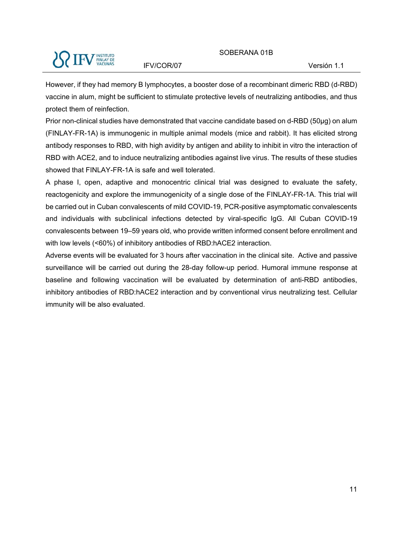

However, if they had memory B lymphocytes, a booster dose of a recombinant dimeric RBD (d-RBD) vaccine in alum, might be sufficient to stimulate protective levels of neutralizing antibodies, and thus protect them of reinfection.

Prior non-clinical studies have demonstrated that vaccine candidate based on d-RBD (50µg) on alum (FINLAY-FR-1A) is immunogenic in multiple animal models (mice and rabbit). It has elicited strong antibody responses to RBD, with high avidity by antigen and ability to inhibit in vitro the interaction of RBD with ACE2, and to induce neutralizing antibodies against live virus. The results of these studies showed that FINLAY-FR-1A is safe and well tolerated.

A phase I, open, adaptive and monocentric clinical trial was designed to evaluate the safety, reactogenicity and explore the immunogenicity of a single dose of the FINLAY-FR-1A. This trial will be carried out in Cuban convalescents of mild COVID-19, PCR-positive asymptomatic convalescents and individuals with subclinical infections detected by viral-specific IgG. All Cuban COVID-19 convalescents between 19–59 years old, who provide written informed consent before enrollment and with low levels (<60%) of inhibitory antibodies of RBD:hACE2 interaction.

Adverse events will be evaluated for 3 hours after vaccination in the clinical site. Active and passive surveillance will be carried out during the 28-day follow-up period. Humoral immune response at baseline and following vaccination will be evaluated by determination of anti-RBD antibodies, inhibitory antibodies of RBD:hACE2 interaction and by conventional virus neutralizing test. Cellular immunity will be also evaluated.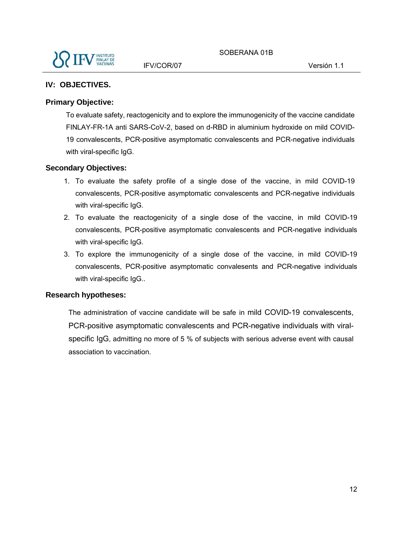### **IV: OBJECTIVES.**

#### **Primary Objective:**

To evaluate safety, reactogenicity and to explore the immunogenicity of the vaccine candidate FINLAY-FR-1A anti SARS-CoV-2, based on d-RBD in aluminium hydroxide on mild COVID-19 convalescents, PCR-positive asymptomatic convalescents and PCR-negative individuals with viral-specific IgG.

#### **Secondary Objectives:**

- 1. To evaluate the safety profile of a single dose of the vaccine, in mild COVID-19 convalescents, PCR-positive asymptomatic convalescents and PCR-negative individuals with viral-specific IgG.
- 2. To evaluate the reactogenicity of a single dose of the vaccine, in mild COVID-19 convalescents, PCR-positive asymptomatic convalescents and PCR-negative individuals with viral-specific IgG.
- 3. To explore the immunogenicity of a single dose of the vaccine, in mild COVID-19 convalescents, PCR-positive asymptomatic convalesents and PCR-negative individuals with viral-specific IgG..

#### **Research hypotheses:**

The administration of vaccine candidate will be safe in mild COVID-19 convalescents, PCR-positive asymptomatic convalescents and PCR-negative individuals with viralspecific IgG, admitting no more of 5 % of subjects with serious adverse event with causal association to vaccination.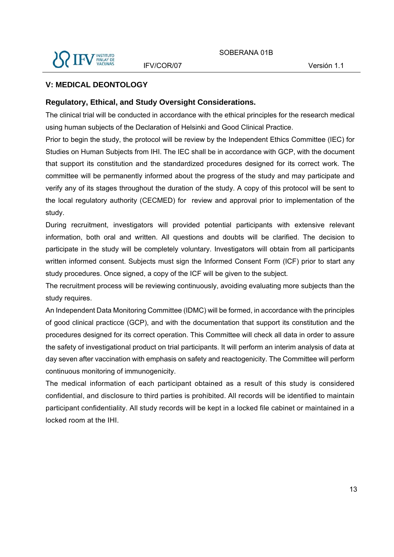

#### **V: MEDICAL DEONTOLOGY**

#### **Regulatory, Ethical, and Study Oversight Considerations.**

The clinical trial will be conducted in accordance with the ethical principles for the research medical using human subjects of the Declaration of Helsinki and Good Clinical Practice.

Prior to begin the study, the protocol will be review by the Independent Ethics Committee (IEC) for Studies on Human Subjects from IHI. The IEC shall be in accordance with GCP, with the document that support its constitution and the standardized procedures designed for its correct work. The committee will be permanently informed about the progress of the study and may participate and verify any of its stages throughout the duration of the study. A copy of this protocol will be sent to the local regulatory authority (CECMED) for review and approval prior to implementation of the study.

During recruitment, investigators will provided potential participants with extensive relevant information, both oral and written. All questions and doubts will be clarified. The decision to participate in the study will be completely voluntary. Investigators will obtain from all participants written informed consent. Subjects must sign the Informed Consent Form (ICF) prior to start any study procedures. Once signed, a copy of the ICF will be given to the subject.

The recruitment process will be reviewing continuously, avoiding evaluating more subjects than the study requires.

An Independent Data Monitoring Committee (IDMC) will be formed, in accordance with the principles of good clinical practicce (GCP), and with the documentation that support its constitution and the procedures designed for its correct operation. This Committee will check all data in order to assure the safety of investigational product on trial participants. It will perform an interim analysis of data at day seven after vaccination with emphasis on safety and reactogenicity. The Committee will perform continuous monitoring of immunogenicity.

The medical information of each participant obtained as a result of this study is considered confidential, and disclosure to third parties is prohibited. All records will be identified to maintain participant confidentiality. All study records will be kept in a locked file cabinet or maintained in a locked room at the IHI.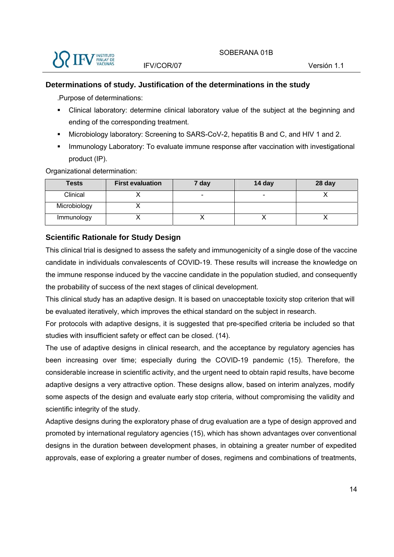

#### **Determinations of study. Justification of the determinations in the study**

.Purpose of determinations:

- Clinical laboratory: determine clinical laboratory value of the subject at the beginning and ending of the corresponding treatment.
- Microbiology laboratory: Screening to SARS-CoV-2, hepatitis B and C, and HIV 1 and 2.
- Immunology Laboratory: To evaluate immune response after vaccination with investigational product (IP).

Organizational determination:

| <b>Tests</b> | <b>First evaluation</b> | 7 day | 14 day                   | 28 day |
|--------------|-------------------------|-------|--------------------------|--------|
| Clinical     |                         | -     | $\overline{\phantom{0}}$ |        |
| Microbiology |                         |       |                          |        |
| Immunology   |                         |       |                          |        |

#### **Scientific Rationale for Study Design**

This clinical trial is designed to assess the safety and immunogenicity of a single dose of the vaccine candidate in individuals convalescents of COVID-19. These results will increase the knowledge on the immune response induced by the vaccine candidate in the population studied, and consequently the probability of success of the next stages of clinical development.

This clinical study has an adaptive design. It is based on unacceptable toxicity stop criterion that will be evaluated iteratively, which improves the ethical standard on the subject in research.

For protocols with adaptive designs, it is suggested that pre-specified criteria be included so that studies with insufficient safety or effect can be closed. (14).

The use of adaptive designs in clinical research, and the acceptance by regulatory agencies has been increasing over time; especially during the COVID-19 pandemic (15). Therefore, the considerable increase in scientific activity, and the urgent need to obtain rapid results, have become adaptive designs a very attractive option. These designs allow, based on interim analyzes, modify some aspects of the design and evaluate early stop criteria, without compromising the validity and scientific integrity of the study.

Adaptive designs during the exploratory phase of drug evaluation are a type of design approved and promoted by international regulatory agencies (15), which has shown advantages over conventional designs in the duration between development phases, in obtaining a greater number of expedited approvals, ease of exploring a greater number of doses, regimens and combinations of treatments,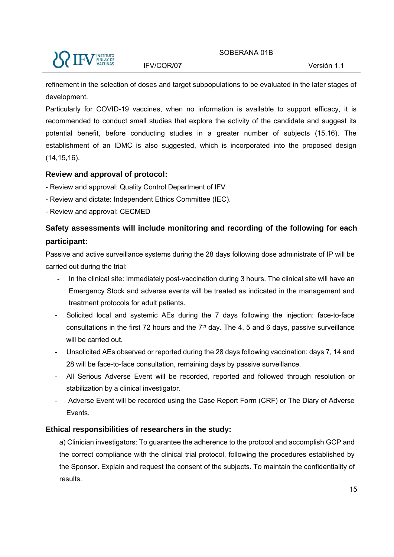

refinement in the selection of doses and target subpopulations to be evaluated in the later stages of development.

Particularly for COVID-19 vaccines, when no information is available to support efficacy, it is recommended to conduct small studies that explore the activity of the candidate and suggest its potential benefit, before conducting studies in a greater number of subjects (15,16). The establishment of an IDMC is also suggested, which is incorporated into the proposed design (14,15,16).

#### **Review and approval of protocol:**

- Review and approval: Quality Control Department of IFV
- Review and dictate: Independent Ethics Committee (IEC).
- Review and approval: CECMED

### **Safety assessments will include monitoring and recording of the following for each participant:**

Passive and active surveillance systems during the 28 days following dose administrate of IP will be carried out during the trial:

- In the clinical site: Immediately post-vaccination during 3 hours. The clinical site will have an Emergency Stock and adverse events will be treated as indicated in the management and treatment protocols for adult patients.
- Solicited local and systemic AEs during the 7 days following the injection: face-to-face consultations in the first 72 hours and the  $7<sup>th</sup>$  day. The 4, 5 and 6 days, passive surveillance will be carried out.
- Unsolicited AEs observed or reported during the 28 days following vaccination: days 7, 14 and 28 will be face-to-face consultation, remaining days by passive surveillance.
- All Serious Adverse Event will be recorded, reported and followed through resolution or stabilization by a clinical investigator.
- Adverse Event will be recorded using the Case Report Form (CRF) or The Diary of Adverse Events.

#### **Ethical responsibilities of researchers in the study:**

a) Clinician investigators: To guarantee the adherence to the protocol and accomplish GCP and the correct compliance with the clinical trial protocol, following the procedures established by the Sponsor. Explain and request the consent of the subjects. To maintain the confidentiality of results.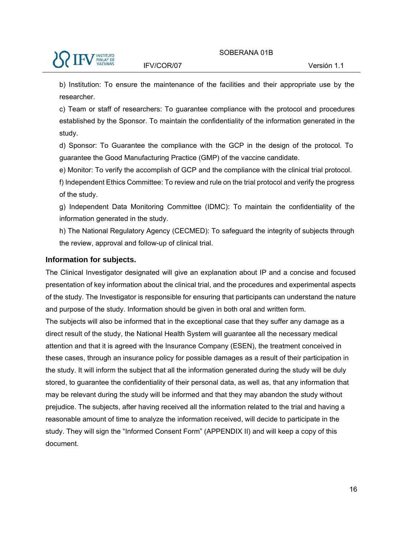b) Institution: To ensure the maintenance of the facilities and their appropriate use by the researcher.

c) Team or staff of researchers: To guarantee compliance with the protocol and procedures established by the Sponsor. To maintain the confidentiality of the information generated in the study.

d) Sponsor: To Guarantee the compliance with the GCP in the design of the protocol. To guarantee the Good Manufacturing Practice (GMP) of the vaccine candidate.

e) Monitor: To verify the accomplish of GCP and the compliance with the clinical trial protocol.

f) Independent Ethics Committee: To review and rule on the trial protocol and verify the progress of the study.

g) Independent Data Monitoring Committee (IDMC): To maintain the confidentiality of the information generated in the study.

h) The National Regulatory Agency (CECMED): To safeguard the integrity of subjects through the review, approval and follow-up of clinical trial.

#### **Information for subjects.**

The Clinical Investigator designated will give an explanation about IP and a concise and focused presentation of key information about the clinical trial, and the procedures and experimental aspects of the study. The Investigator is responsible for ensuring that participants can understand the nature and purpose of the study. Information should be given in both oral and written form.

The subjects will also be informed that in the exceptional case that they suffer any damage as a direct result of the study, the National Health System will guarantee all the necessary medical attention and that it is agreed with the Insurance Company (ESEN), the treatment conceived in these cases, through an insurance policy for possible damages as a result of their participation in the study. It will inform the subject that all the information generated during the study will be duly stored, to guarantee the confidentiality of their personal data, as well as, that any information that may be relevant during the study will be informed and that they may abandon the study without prejudice. The subjects, after having received all the information related to the trial and having a reasonable amount of time to analyze the information received, will decide to participate in the study. They will sign the "Informed Consent Form" (APPENDIX II) and will keep a copy of this document.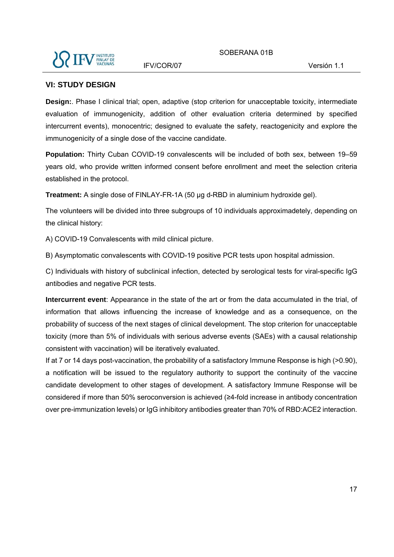

#### **VI: STUDY DESIGN**

**Design:**. Phase I clinical trial; open, adaptive (stop criterion for unacceptable toxicity, intermediate evaluation of immunogenicity, addition of other evaluation criteria determined by specified intercurrent events), monocentric; designed to evaluate the safety, reactogenicity and explore the immunogenicity of a single dose of the vaccine candidate.

**Population:** Thirty Cuban COVID-19 convalescents will be included of both sex, between 19–59 years old, who provide written informed consent before enrollment and meet the selection criteria established in the protocol.

**Treatment:** A single dose of FINLAY-FR-1A (50 µg d-RBD in aluminium hydroxide gel).

The volunteers will be divided into three subgroups of 10 individuals approximadetely, depending on the clinical history:

A) COVID-19 Convalescents with mild clinical picture.

B) Asymptomatic convalescents with COVID-19 positive PCR tests upon hospital admission.

C) Individuals with history of subclinical infection, detected by serological tests for viral-specific IgG antibodies and negative PCR tests.

**Intercurrent event**: Appearance in the state of the art or from the data accumulated in the trial, of information that allows influencing the increase of knowledge and as a consequence, on the probability of success of the next stages of clinical development. The stop criterion for unacceptable toxicity (more than 5% of individuals with serious adverse events (SAEs) with a causal relationship consistent with vaccination) will be iteratively evaluated.

If at 7 or 14 days post-vaccination, the probability of a satisfactory Immune Response is high (>0.90), a notification will be issued to the regulatory authority to support the continuity of the vaccine candidate development to other stages of development. A satisfactory Immune Response will be considered if more than 50% seroconversion is achieved (≥4-fold increase in antibody concentration over pre-immunization levels) or IgG inhibitory antibodies greater than 70% of RBD:ACE2 interaction.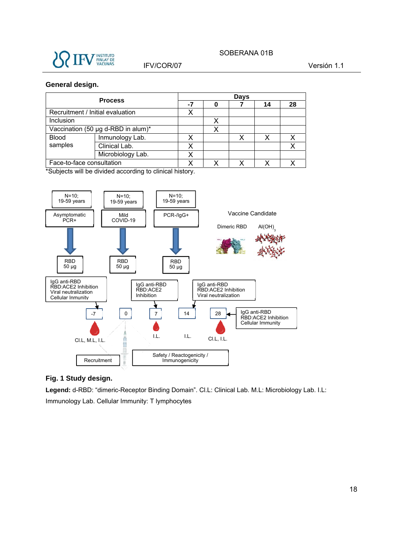

## SOBERANA 01B

#### IFV/COR/07 Versión 1.1

#### **General design.**

| <b>Process</b>                     |                   | Days |   |  |    |    |  |
|------------------------------------|-------------------|------|---|--|----|----|--|
|                                    |                   | -7   | 0 |  | 14 | 28 |  |
| Recruitment / Initial evaluation   |                   |      |   |  |    |    |  |
| Inclusion                          |                   |      |   |  |    |    |  |
| Vaccination (50 µg d-RBD in alum)* |                   |      |   |  |    |    |  |
| <b>Blood</b>                       | Inmunology Lab.   |      |   |  |    |    |  |
| samples                            | Clinical Lab.     |      |   |  |    |    |  |
|                                    | Microbiology Lab. |      |   |  |    |    |  |
| Face-to-face consultation          |                   |      |   |  |    |    |  |

\*Subjects will be divided according to clinical history.



#### **Fig. 1 Study design.**

**Legend:** d-RBD: "dimeric-Receptor Binding Domain". Cl.L: Clinical Lab. M.L: Microbiology Lab. I.L: Immunology Lab. Cellular Immunity: T lymphocytes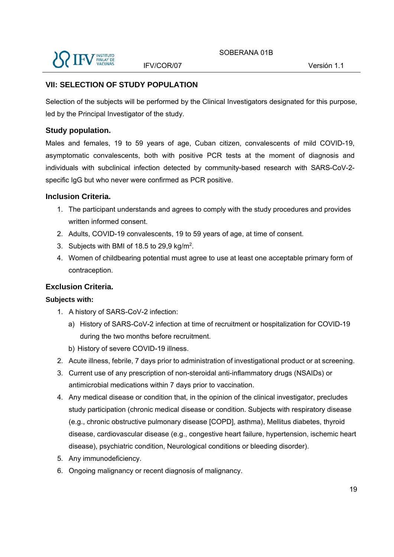

#### **VII: SELECTION OF STUDY POPULATION**

Selection of the subjects will be performed by the Clinical Investigators designated for this purpose, led by the Principal Investigator of the study.

#### **Study population.**

Males and females, 19 to 59 years of age, Cuban citizen, convalescents of mild COVID-19, asymptomatic convalescents, both with positive PCR tests at the moment of diagnosis and individuals with subclinical infection detected by community-based research with SARS-CoV-2 specific IgG but who never were confirmed as PCR positive.

#### **Inclusion Criteria.**

- 1. The participant understands and agrees to comply with the study procedures and provides written informed consent.
- 2. Adults, COVID-19 convalescents, 19 to 59 years of age, at time of consent.
- 3. Subjects with BMI of 18.5 to 29,9 kg/m2.
- 4. Women of childbearing potential must agree to use at least one acceptable primary form of contraception.

#### **Exclusion Criteria.**

#### **Subjects with:**

- 1. A history of SARS-CoV-2 infection:
	- a) History of SARS-CoV-2 infection at time of recruitment or hospitalization for COVID-19 during the two months before recruitment.
	- b) History of severe COVID-19 illness.
- 2. Acute illness, febrile, 7 days prior to administration of investigational product or at screening.
- 3. Current use of any prescription of non-steroidal anti-inflammatory drugs (NSAIDs) or antimicrobial medications within 7 days prior to vaccination.
- 4. Any medical disease or condition that, in the opinion of the clinical investigator, precludes study participation (chronic medical disease or condition. Subjects with respiratory disease (e.g., chronic obstructive pulmonary disease [COPD], asthma), Mellitus diabetes, thyroid disease, cardiovascular disease (e.g., congestive heart failure, hypertension, ischemic heart disease), psychiatric condition, Neurological conditions or bleeding disorder).
- 5. Any immunodeficiency.
- 6. Ongoing malignancy or recent diagnosis of malignancy.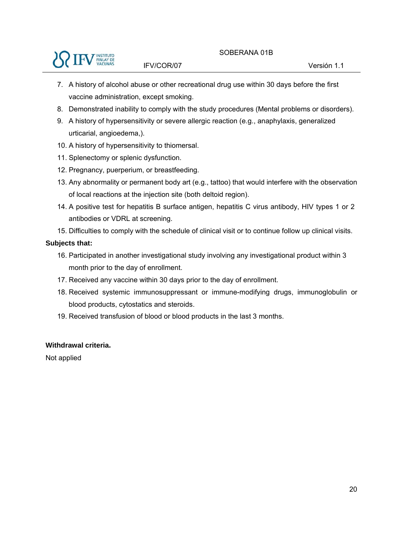

- 7. A history of alcohol abuse or other recreational drug use within 30 days before the first vaccine administration, except smoking.
- 8. Demonstrated inability to comply with the study procedures (Mental problems or disorders).
- 9. A history of hypersensitivity or severe allergic reaction (e.g., anaphylaxis, generalized urticarial, angioedema,).
- 10. A history of hypersensitivity to thiomersal.
- 11. Splenectomy or splenic dysfunction.
- 12. Pregnancy, puerperium, or breastfeeding.
- 13. Any abnormality or permanent body art (e.g., tattoo) that would interfere with the observation of local reactions at the injection site (both deltoid region).
- 14. A positive test for hepatitis B surface antigen, hepatitis C virus antibody, HIV types 1 or 2 antibodies or VDRL at screening.
- 15. Difficulties to comply with the schedule of clinical visit or to continue follow up clinical visits.

#### **Subjects that:**

- 16. Participated in another investigational study involving any investigational product within 3 month prior to the day of enrollment.
- 17. Received any vaccine within 30 days prior to the day of enrollment.
- 18. Received systemic immunosuppressant or immune-modifying drugs, immunoglobulin or blood products, cytostatics and steroids.
- 19. Received transfusion of blood or blood products in the last 3 months.

#### **Withdrawal criteria.**

Not applied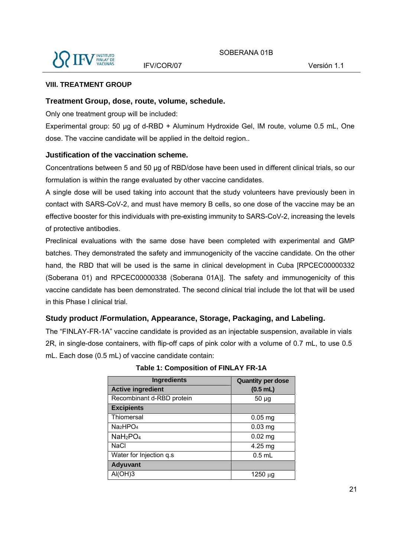

#### **VIII. TREATMENT GROUP**

#### **Treatment Group, dose, route, volume, schedule.**

Only one treatment group will be included:

Experimental group: 50 µg of d-RBD + Aluminum Hydroxide Gel, IM route, volume 0.5 mL, One dose. The vaccine candidate will be applied in the deltoid region..

#### **Justification of the vaccination scheme.**

Concentrations between 5 and 50 µg of RBD/dose have been used in different clinical trials, so our formulation is within the range evaluated by other vaccine candidates.

A single dose will be used taking into account that the study volunteers have previously been in contact with SARS-CoV-2, and must have memory B cells, so one dose of the vaccine may be an effective booster for this individuals with pre-existing immunity to SARS-CoV-2, increasing the levels of protective antibodies.

Preclinical evaluations with the same dose have been completed with experimental and GMP batches. They demonstrated the safety and immunogenicity of the vaccine candidate. On the other hand, the RBD that will be used is the same in clinical development in Cuba [RPCEC00000332 (Soberana 01) and RPCEC00000338 (Soberana 01A)]. The safety and immunogenicity of this vaccine candidate has been demonstrated. The second clinical trial include the lot that will be used in this Phase I clinical trial.

#### **Study product /Formulation, Appearance, Storage, Packaging, and Labeling.**

The "FINLAY-FR-1A" vaccine candidate is provided as an injectable suspension, available in vials 2R, in single-dose containers, with flip-off caps of pink color with a volume of 0.7 mL, to use 0.5 mL. Each dose (0.5 mL) of vaccine candidate contain:

| <b>Ingredients</b>               | <b>Quantity per dose</b> |
|----------------------------------|--------------------------|
| <b>Active ingredient</b>         | $(0.5$ mL)               |
| Recombinant d-RBD protein        | $50 \mu g$               |
| <b>Excipients</b>                |                          |
| Thiomersal                       | $0.05$ mg                |
| Na <sub>2</sub> HPO <sub>4</sub> | $0.03$ mg                |
| NaH <sub>2</sub> PO <sub>4</sub> | $0.02$ mg                |
| NaCl                             | 4.25 mg                  |
| Water for Injection q.s          | $0.5$ mL                 |
| <b>Adyuvant</b>                  |                          |
| AI(OH)3                          | 1250 µg                  |

#### **Table 1: Composition of FINLAY FR-1A**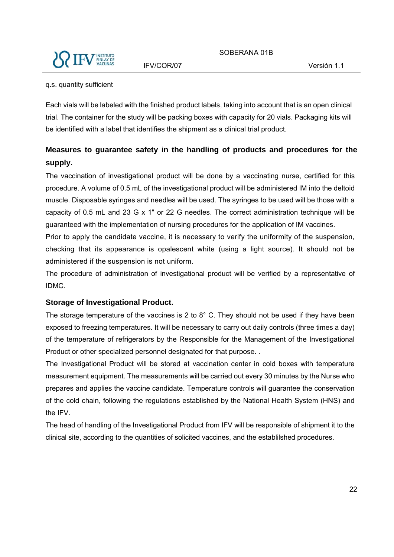

#### q.s. quantity sufficient

Each vials will be labeled with the finished product labels, taking into account that is an open clinical trial. The container for the study will be packing boxes with capacity for 20 vials. Packaging kits will be identified with a label that identifies the shipment as a clinical trial product.

### **Measures to guarantee safety in the handling of products and procedures for the supply.**

The vaccination of investigational product will be done by a vaccinating nurse, certified for this procedure. A volume of 0.5 mL of the investigational product will be administered IM into the deltoid muscle. Disposable syringes and needles will be used. The syringes to be used will be those with a capacity of 0.5 mL and 23 G x 1" or 22 G needles. The correct administration technique will be guaranteed with the implementation of nursing procedures for the application of IM vaccines.

Prior to apply the candidate vaccine, it is necessary to verify the uniformity of the suspension, checking that its appearance is opalescent white (using a light source). It should not be administered if the suspension is not uniform.

The procedure of administration of investigational product will be verified by a representative of IDMC.

#### **Storage of Investigational Product.**

The storage temperature of the vaccines is 2 to 8° C. They should not be used if they have been exposed to freezing temperatures. It will be necessary to carry out daily controls (three times a day) of the temperature of refrigerators by the Responsible for the Management of the Investigational Product or other specialized personnel designated for that purpose. .

The Investigational Product will be stored at vaccination center in cold boxes with temperature measurement equipment. The measurements will be carried out every 30 minutes by the Nurse who prepares and applies the vaccine candidate. Temperature controls will guarantee the conservation of the cold chain, following the regulations established by the National Health System (HNS) and the IFV.

The head of handling of the Investigational Product from IFV will be responsible of shipment it to the clinical site, according to the quantities of solicited vaccines, and the establilshed procedures.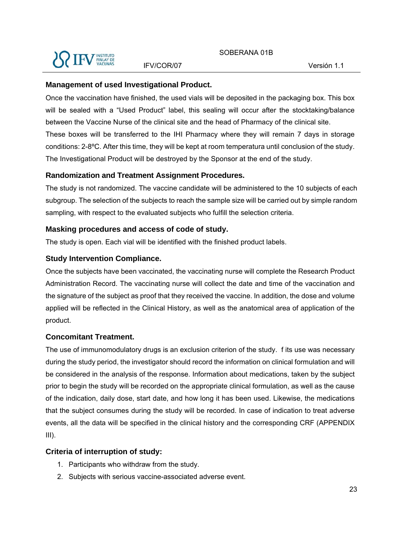

#### **Management of used Investigational Product.**

Once the vaccination have finished, the used vials will be deposited in the packaging box. This box will be sealed with a "Used Product" label, this sealing will occur after the stocktaking/balance between the Vaccine Nurse of the clinical site and the head of Pharmacy of the clinical site. These boxes will be transferred to the IHI Pharmacy where they will remain 7 days in storage conditions: 2-8ºC. After this time, they will be kept at room temperatura until conclusion of the study. The Investigational Product will be destroyed by the Sponsor at the end of the study.

#### **Randomization and Treatment Assignment Procedures.**

The study is not randomized. The vaccine candidate will be administered to the 10 subjects of each subgroup. The selection of the subjects to reach the sample size will be carried out by simple random sampling, with respect to the evaluated subjects who fulfill the selection criteria.

#### **Masking procedures and access of code of study.**

The study is open. Each vial will be identified with the finished product labels.

#### **Study Intervention Compliance.**

Once the subjects have been vaccinated, the vaccinating nurse will complete the Research Product Administration Record. The vaccinating nurse will collect the date and time of the vaccination and the signature of the subject as proof that they received the vaccine. In addition, the dose and volume applied will be reflected in the Clinical History, as well as the anatomical area of application of the product.

#### **Concomitant Treatment.**

The use of immunomodulatory drugs is an exclusion criterion of the study. f its use was necessary during the study period, the investigator should record the information on clinical formulation and will be considered in the analysis of the response. Information about medications, taken by the subject prior to begin the study will be recorded on the appropriate clinical formulation, as well as the cause of the indication, daily dose, start date, and how long it has been used. Likewise, the medications that the subject consumes during the study will be recorded. In case of indication to treat adverse events, all the data will be specified in the clinical history and the corresponding CRF (APPENDIX  $III$ ).

#### **Criteria of interruption of study:**

- 1. Participants who withdraw from the study.
- 2. Subjects with serious vaccine-associated adverse event.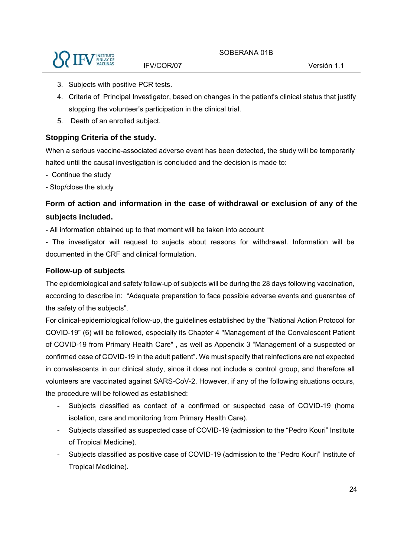

- 3. Subjects with positive PCR tests.
- 4. Criteria of Principal Investigator, based on changes in the patient's clinical status that justify stopping the volunteer's participation in the clinical trial.
- 5. Death of an enrolled subject.

#### **Stopping Criteria of the study.**

When a serious vaccine-associated adverse event has been detected, the study will be temporarily halted until the causal investigation is concluded and the decision is made to:

- Continue the study
- Stop/close the study

### **Form of action and information in the case of withdrawal or exclusion of any of the subjects included.**

- All information obtained up to that moment will be taken into account
- The investigator will request to sujects about reasons for withdrawal. Information will be documented in the CRF and clinical formulation.

#### **Follow-up of subjects**

The epidemiological and safety follow-up of subjects will be during the 28 days following vaccination, according to describe in: "Adequate preparation to face possible adverse events and guarantee of the safety of the subjects".

For clinical-epidemiological follow-up, the guidelines established by the "National Action Protocol for COVID-19" (6) will be followed, especially its Chapter 4 "Management of the Convalescent Patient of COVID-19 from Primary Health Care" , as well as Appendix 3 "Management of a suspected or confirmed case of COVID-19 in the adult patient". We must specify that reinfections are not expected in convalescents in our clinical study, since it does not include a control group, and therefore all volunteers are vaccinated against SARS-CoV-2. However, if any of the following situations occurs, the procedure will be followed as established:

- Subjects classified as contact of a confirmed or suspected case of COVID-19 (home isolation, care and monitoring from Primary Health Care).
- Subjects classified as suspected case of COVID-19 (admission to the "Pedro Kouri" Institute of Tropical Medicine).
- Subjects classified as positive case of COVID-19 (admission to the "Pedro Kouri" Institute of Tropical Medicine).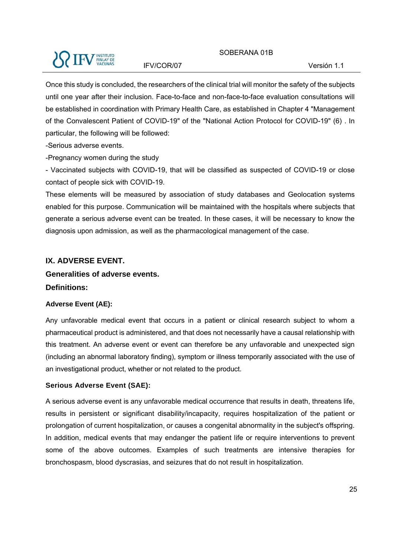#### SOBERANA 01B



IFV/COR/07 Versión 1.1

Once this study is concluded, the researchers of the clinical trial will monitor the safety of the subjects until one year after their inclusion. Face-to-face and non-face-to-face evaluation consultations will be established in coordination with Primary Health Care, as established in Chapter 4 "Management of the Convalescent Patient of COVID-19" of the "National Action Protocol for COVID-19" (6) . In particular, the following will be followed:

-Serious adverse events.

-Pregnancy women during the study

- Vaccinated subjects with COVID-19, that will be classified as suspected of COVID-19 or close contact of people sick with COVID-19.

These elements will be measured by association of study databases and Geolocation systems enabled for this purpose. Communication will be maintained with the hospitals where subjects that generate a serious adverse event can be treated. In these cases, it will be necessary to know the diagnosis upon admission, as well as the pharmacological management of the case.

#### **IX. ADVERSE EVENT.**

#### **Generalities of adverse events.**

**Definitions:**

#### **Adverse Event (AE):**

Any unfavorable medical event that occurs in a patient or clinical research subject to whom a pharmaceutical product is administered, and that does not necessarily have a causal relationship with this treatment. An adverse event or event can therefore be any unfavorable and unexpected sign (including an abnormal laboratory finding), symptom or illness temporarily associated with the use of an investigational product, whether or not related to the product.

#### **Serious Adverse Event (SAE):**

A serious adverse event is any unfavorable medical occurrence that results in death, threatens life, results in persistent or significant disability/incapacity, requires hospitalization of the patient or prolongation of current hospitalization, or causes a congenital abnormality in the subject's offspring. In addition, medical events that may endanger the patient life or require interventions to prevent some of the above outcomes. Examples of such treatments are intensive therapies for bronchospasm, blood dyscrasias, and seizures that do not result in hospitalization.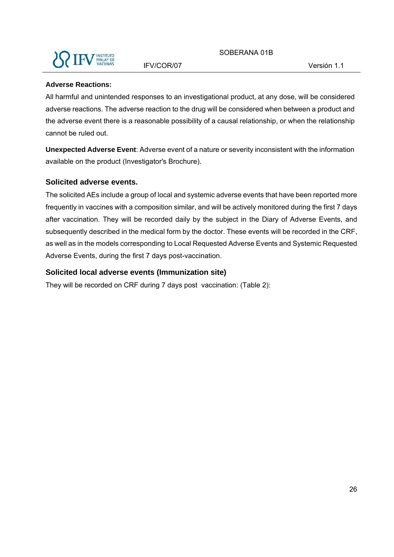

#### **Adverse Reactions:**

All harmful and unintended responses to an investigational product, at any dose, will be considered adverse reactions. The adverse reaction to the drug will be considered when between a product and the adverse event there is a reasonable possibility of a causal relationship, or when the relationship cannot be ruled out.

**Unexpected Adverse Event**: Adverse event of a nature or severity inconsistent with the information available on the product (Investigator's Brochure).

#### **Solicited adverse events.**

The solicited AEs include a group of local and systemic adverse events that have been reported more frequently in vaccines with a composition similar, and will be actively monitored during the first 7 days after vaccination. They will be recorded daily by the subject in the Diary of Adverse Events, and subsequently described in the medical form by the doctor. These events will be recorded in the CRF, as well as in the models corresponding to Local Requested Adverse Events and Systemic Requested Adverse Events, during the first 7 days post-vaccination.

#### **Solicited local adverse events (Immunization site)**

They will be recorded on CRF during 7 days post vaccination: (Table 2):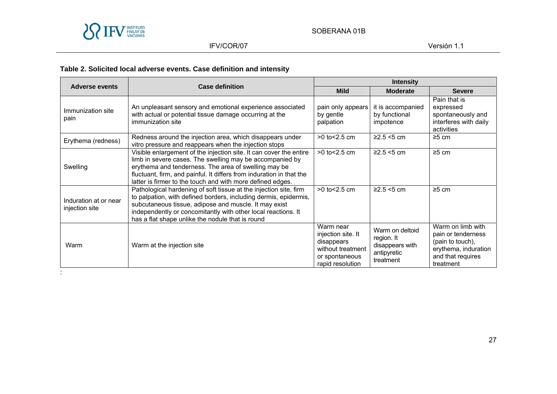

#### IFV/COR/07 Versión 1.1

### **Table 2. Solicited local adverse events. Case definition and intensity**

| <b>Adverse events</b><br><b>Case definition</b> |                                                                                                                                                                                                                                                                                                                              | <b>Intensity</b>                                                                                         |                                                                              |                                                                                                                       |  |
|-------------------------------------------------|------------------------------------------------------------------------------------------------------------------------------------------------------------------------------------------------------------------------------------------------------------------------------------------------------------------------------|----------------------------------------------------------------------------------------------------------|------------------------------------------------------------------------------|-----------------------------------------------------------------------------------------------------------------------|--|
|                                                 |                                                                                                                                                                                                                                                                                                                              |                                                                                                          | <b>Moderate</b>                                                              | <b>Severe</b>                                                                                                         |  |
| Immunization site<br>pain                       | An unpleasant sensory and emotional experience associated<br>with actual or potential tissue damage occurring at the<br>immunization site                                                                                                                                                                                    | pain only appears<br>by gentle<br>palpation                                                              | it is accompanied<br>by functional<br>impotence                              | Pain that is<br>expressed<br>spontaneously and<br>interferes with daily<br>activities                                 |  |
| Erythema (redness)                              | Redness around the injection area, which disappears under<br>vitro pressure and reappears when the injection stops                                                                                                                                                                                                           | $>0$ to $< 2.5$ cm                                                                                       | $≥2.5 < 5$ cm                                                                | $\geq 5$ cm                                                                                                           |  |
| Swelling                                        | Visible enlargement of the injection site. It can cover the entire<br>limb in severe cases. The swelling may be accompanied by<br>erythema and tenderness. The area of swelling may be<br>fluctuant, firm, and painful. It differs from induration in that the<br>latter is firmer to the touch and with more defined edges. | $>0$ to $< 2.5$ cm                                                                                       | $≥2.5 < 5$ cm                                                                | $\geq 5$ cm                                                                                                           |  |
| Induration at or near<br>injection site         | Pathological hardening of soft tissue at the injection site, firm<br>to palpation, with defined borders, including dermis, epidermis,<br>subcutaneous tissue, adipose and muscle. It may exist<br>independently or concomitantly with other local reactions. It<br>has a flat shape unlike the nodule that is round          | $>0$ to $< 2.5$ cm                                                                                       | $≥2.5 < 5$ cm                                                                | $\geq 5$ cm                                                                                                           |  |
| Warm                                            | Warm at the injection site                                                                                                                                                                                                                                                                                                   | Warm near<br>injection site. It<br>disappears<br>without treatment<br>or spontaneous<br>rapid resolution | Warm on deltoid<br>region. It<br>disappears with<br>antipyretic<br>treatment | Warm on limb with<br>pain or tenderness<br>(pain to touch),<br>erythema, induration<br>and that requires<br>treatment |  |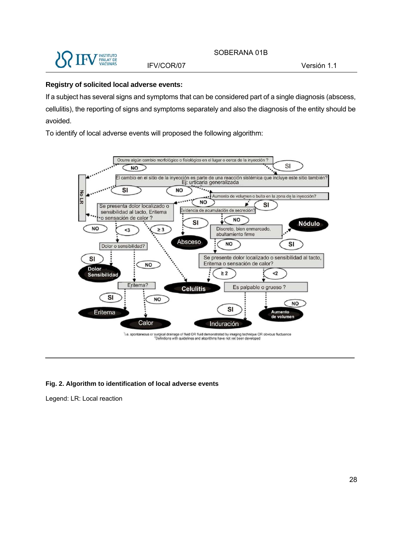

#### **Registry of solicited local adverse events:**

If a subject has several signs and symptoms that can be considered part of a single diagnosis (abscess, cellulitis), the reporting of signs and symptoms separately and also the diagnosis of the entity should be avoided.

To identify of local adverse events will proposed the following algorithm:



#### **Fig. 2. Algorithm to identification of local adverse events**

Legend: LR: Local reaction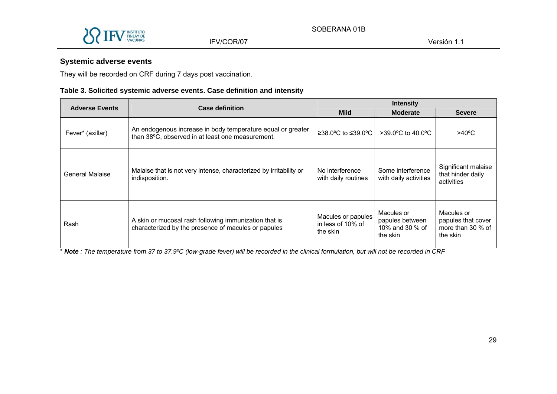

### **Systemic adverse events**

They will be recorded on CRF during 7 days post vaccination.

#### **Table 3. Solicited systemic adverse events. Case definition and intensity**

| <b>Adverse Events</b> | <b>Case definition</b>                                                                                          |                                                     | <b>Intensity</b>                                             |                                                                     |
|-----------------------|-----------------------------------------------------------------------------------------------------------------|-----------------------------------------------------|--------------------------------------------------------------|---------------------------------------------------------------------|
|                       |                                                                                                                 | <b>Mild</b>                                         | <b>Moderate</b>                                              | <b>Severe</b>                                                       |
| Fever* (axillar)      | An endogenous increase in body temperature equal or greater<br>than 38°C, observed in at least one measurement. | $\geq$ 38.0°C to ≤39.0°C                            | $>39.0^{\circ}$ C to 40.0°C                                  | $>40^{\circ}$ C                                                     |
| General Malaise       | Malaise that is not very intense, characterized by irritability or<br>indisposition.                            | No interference<br>with daily routines              | Some interference<br>with daily activities                   | Significant malaise<br>that hinder daily<br>activities              |
| Rash                  | A skin or mucosal rash following immunization that is<br>characterized by the presence of macules or papules    | Macules or papules<br>in less of 10% of<br>the skin | Macules or<br>papules between<br>10% and 30 % of<br>the skin | Macules or<br>papules that cover<br>more than 30 $%$ of<br>the skin |

\* *Note : The temperature from 37 to 37.9ºC (low-grade fever) will be recorded in the clinical formulation, but will not be recorded in CRF*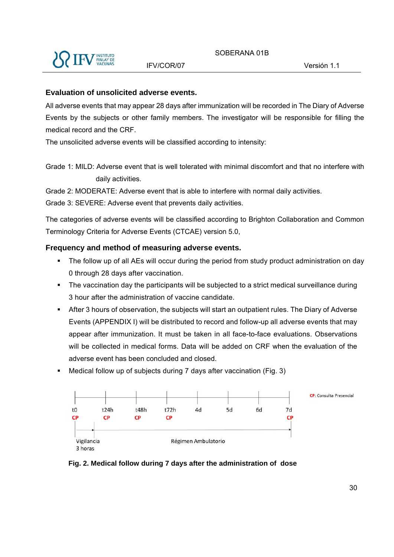

#### **Evaluation of unsolicited adverse events.**

All adverse events that may appear 28 days after immunization will be recorded in The Diary of Adverse Events by the subjects or other family members. The investigator will be responsible for filling the medical record and the CRF.

The unsolicited adverse events will be classified according to intensity:

Grade 1: MILD: Adverse event that is well tolerated with minimal discomfort and that no interfere with daily activities.

Grade 2: MODERATE: Adverse event that is able to interfere with normal daily activities.

Grade 3: SEVERE: Adverse event that prevents daily activities.

The categories of adverse events will be classified according to Brighton Collaboration and Common Terminology Criteria for Adverse Events (CTCAE) version 5.0,

#### **Frequency and method of measuring adverse events.**

- The follow up of all AEs will occur during the period from study product administration on day 0 through 28 days after vaccination.
- The vaccination day the participants will be subjected to a strict medical surveillance during 3 hour after the administration of vaccine candidate.
- After 3 hours of observation, the subjects will start an outpatient rules. The Diary of Adverse Events (APPENDIX I) will be distributed to record and follow-up all adverse events that may appear after immunization. It must be taken in all face-to-face evaluations. Observations will be collected in medical forms. Data will be added on CRF when the evaluation of the adverse event has been concluded and closed.
- Medical follow up of subjects during 7 days after vaccination (Fig. 3)



**Fig. 2. Medical follow during 7 days after the administration of dose**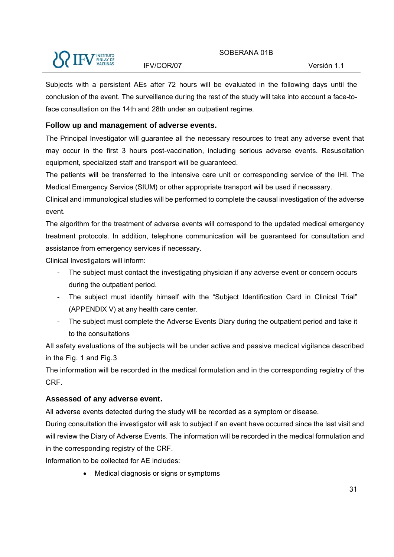#### SOBERANA 01B

#### IFV/COR/07 Versión 1.1

Subjects with a persistent AEs after 72 hours will be evaluated in the following days until the conclusion of the event. The surveillance during the rest of the study will take into account a face-toface consultation on the 14th and 28th under an outpatient regime.

#### **Follow up and management of adverse events.**

The Principal Investigator will guarantee all the necessary resources to treat any adverse event that may occur in the first 3 hours post-vaccination, including serious adverse events. Resuscitation equipment, specialized staff and transport will be guaranteed.

The patients will be transferred to the intensive care unit or corresponding service of the IHI. The Medical Emergency Service (SIUM) or other appropriate transport will be used if necessary.

Clinical and immunological studies will be performed to complete the causal investigation of the adverse event.

The algorithm for the treatment of adverse events will correspond to the updated medical emergency treatment protocols. In addition, telephone communication will be guaranteed for consultation and assistance from emergency services if necessary.

Clinical Investigators will inform:

- The subject must contact the investigating physician if any adverse event or concern occurs during the outpatient period.
- The subject must identify himself with the "Subject Identification Card in Clinical Trial" (APPENDIX V) at any health care center.
- The subject must complete the Adverse Events Diary during the outpatient period and take it to the consultations

All safety evaluations of the subjects will be under active and passive medical vigilance described in the Fig. 1 and Fig.3

The information will be recorded in the medical formulation and in the corresponding registry of the CRF.

#### **Assessed of any adverse event.**

All adverse events detected during the study will be recorded as a symptom or disease.

During consultation the investigator will ask to subject if an event have occurred since the last visit and will review the Diary of Adverse Events. The information will be recorded in the medical formulation and in the corresponding registry of the CRF.

Information to be collected for AE includes:

Medical diagnosis or signs or symptoms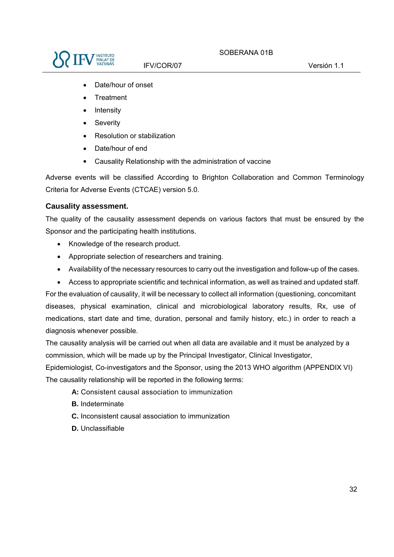

- Date/hour of onset
- **Treatment**
- Intensity
- Severity
- Resolution or stabilization
- Date/hour of end
- Causality Relationship with the administration of vaccine

Adverse events will be classified According to Brighton Collaboration and Common Terminology Criteria for Adverse Events (CTCAE) version 5.0.

#### **Causality assessment.**

The quality of the causality assessment depends on various factors that must be ensured by the Sponsor and the participating health institutions.

- Knowledge of the research product.
- Appropriate selection of researchers and training.
- Availability of the necessary resources to carry out the investigation and follow-up of the cases.
- Access to appropriate scientific and technical information, as well as trained and updated staff.

For the evaluation of causality, it will be necessary to collect all information (questioning, concomitant diseases, physical examination, clinical and microbiological laboratory results, Rx, use of medications, start date and time, duration, personal and family history, etc.) in order to reach a diagnosis whenever possible.

The causality analysis will be carried out when all data are available and it must be analyzed by a commission, which will be made up by the Principal Investigator, Clinical Investigator,

Epidemiologist, Co-investigators and the Sponsor, using the 2013 WHO algorithm (APPENDIX VI) The causality relationship will be reported in the following terms:

**A:** Consistent causal association to immunization

- **B.** Indeterminate
- **C.** Inconsistent causal association to immunization
- **D.** Unclassifiable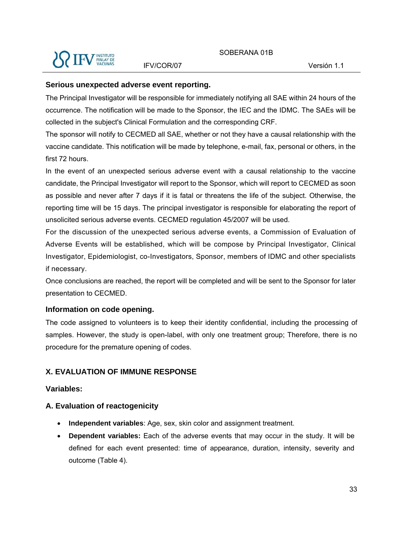

#### **Serious unexpected adverse event reporting.**

The Principal Investigator will be responsible for immediately notifying all SAE within 24 hours of the occurrence. The notification will be made to the Sponsor, the IEC and the IDMC. The SAEs will be collected in the subject's Clinical Formulation and the corresponding CRF.

The sponsor will notify to CECMED all SAE, whether or not they have a causal relationship with the vaccine candidate. This notification will be made by telephone, e-mail, fax, personal or others, in the first 72 hours.

In the event of an unexpected serious adverse event with a causal relationship to the vaccine candidate, the Principal Investigator will report to the Sponsor, which will report to CECMED as soon as possible and never after 7 days if it is fatal or threatens the life of the subject. Otherwise, the reporting time will be 15 days. The principal investigator is responsible for elaborating the report of unsolicited serious adverse events. CECMED regulation 45/2007 will be used.

For the discussion of the unexpected serious adverse events, a Commission of Evaluation of Adverse Events will be established, which will be compose by Principal Investigator, Clinical Investigator, Epidemiologist, co-Investigators, Sponsor, members of IDMC and other specialists if necessary.

Once conclusions are reached, the report will be completed and will be sent to the Sponsor for later presentation to CECMED.

#### **Information on code opening.**

The code assigned to volunteers is to keep their identity confidential, including the processing of samples. However, the study is open-label, with only one treatment group; Therefore, there is no procedure for the premature opening of codes.

#### **X. EVALUATION OF IMMUNE RESPONSE**

#### **Variables:**

#### **A. Evaluation of reactogenicity**

- **Independent variables**: Age, sex, skin color and assignment treatment.
- **Dependent variables:** Each of the adverse events that may occur in the study. It will be defined for each event presented: time of appearance, duration, intensity, severity and outcome (Table 4).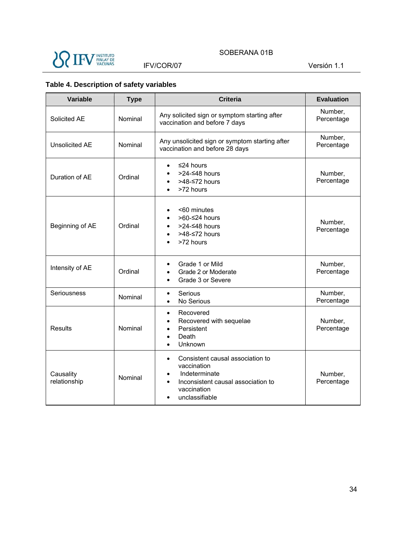

### SOBERANA 01B

IFV/COR/07 Versión 1.1

### **Table 4. Description of safety variables**

| Variable                  | <b>Type</b> | <b>Criteria</b>                                                                                                                                                        | <b>Evaluation</b>     |
|---------------------------|-------------|------------------------------------------------------------------------------------------------------------------------------------------------------------------------|-----------------------|
| Solicited AE              | Nominal     | Any solicited sign or symptom starting after<br>vaccination and before 7 days                                                                                          | Number,<br>Percentage |
| <b>Unsolicited AE</b>     | Nominal     | Any unsolicited sign or symptom starting after<br>vaccination and before 28 days                                                                                       | Number,<br>Percentage |
| Duration of AE            | Ordinal     | ≤24 hours<br>>24-<48 hours<br>>48-≤72 hours<br>>72 hours                                                                                                               | Number,<br>Percentage |
| Beginning of AE           | Ordinal     | <60 minutes<br>>60-≤24 hours<br>$\bullet$<br>>24-≤48 hours<br>$\bullet$<br>>48-≤72 hours<br>$\bullet$<br>>72 hours                                                     | Number,<br>Percentage |
| Intensity of AE           | Ordinal     | Grade 1 or Mild<br>$\bullet$<br>Grade 2 or Moderate<br>$\bullet$<br>Grade 3 or Severe<br>$\bullet$                                                                     | Number,<br>Percentage |
| Seriousness               | Nominal     | Serious<br>$\bullet$<br>No Serious<br>$\bullet$                                                                                                                        | Number,<br>Percentage |
| <b>Results</b>            | Nominal     | Recovered<br>$\bullet$<br>Recovered with sequelae<br>$\bullet$<br>Persistent<br>$\bullet$<br>Death<br>$\bullet$<br>Unknown                                             | Number,<br>Percentage |
| Causality<br>relationship | Nominal     | Consistent causal association to<br>$\bullet$<br>vaccination<br>Indeterminate<br>٠<br>Inconsistent causal association to<br>$\bullet$<br>vaccination<br>unclassifiable | Number,<br>Percentage |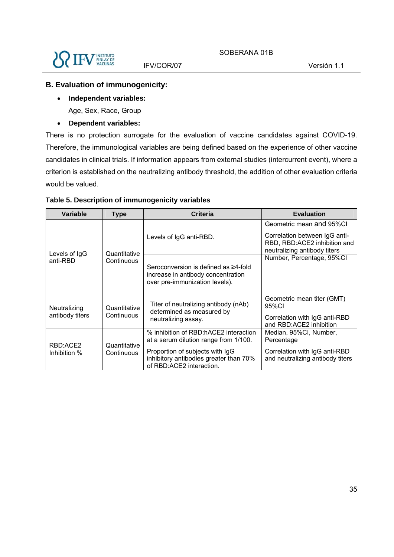

#### **B. Evaluation of immunogenicity:**

- **Independent variables:**  Age, Sex, Race, Group
- **Dependent variables:**

There is no protection surrogate for the evaluation of vaccine candidates against COVID-19. Therefore, the immunological variables are being defined based on the experience of other vaccine candidates in clinical trials. If information appears from external studies (intercurrent event), where a criterion is established on the neutralizing antibody threshold, the addition of other evaluation criteria would be valued.

| <b>Variable</b>                 | <b>Type</b>                | <b>Criteria</b>                                                                                              | <b>Evaluation</b>                                                                             |
|---------------------------------|----------------------------|--------------------------------------------------------------------------------------------------------------|-----------------------------------------------------------------------------------------------|
| Levels of IgG<br>anti-RBD       | Quantitative<br>Continuous | Levels of IgG anti-RBD.                                                                                      | Geometric mean and 95%CI                                                                      |
|                                 |                            |                                                                                                              | Correlation between IgG anti-<br>RBD, RBD:ACE2 inhibition and<br>neutralizing antibody titers |
|                                 |                            | Seroconversion is defined as ≥4-fold<br>increase in antibody concentration<br>over pre-immunization levels). | Number, Percentage, 95%Cl                                                                     |
| Neutralizing<br>antibody titers | Quantitative<br>Continuous | Titer of neutralizing antibody (nAb)<br>determined as measured by<br>neutralizing assay.                     | Geometric mean titer (GMT)<br>95%CI                                                           |
|                                 |                            |                                                                                                              | Correlation with IgG anti-RBD<br>and RBD:ACE2 inhibition                                      |
| RBD:ACE2<br>Inhibition %        | Quantitative<br>Continuous | % inhibition of RBD:hACE2 interaction<br>at a serum dilution range from 1/100.                               | Median, 95%CI, Number,<br>Percentage                                                          |
|                                 |                            | Proportion of subjects with IgG<br>inhibitory antibodies greater than 70%<br>of RBD:ACE2 interaction.        | Correlation with IgG anti-RBD<br>and neutralizing antibody titers                             |

#### **Table 5. Description of immunogenicity variables**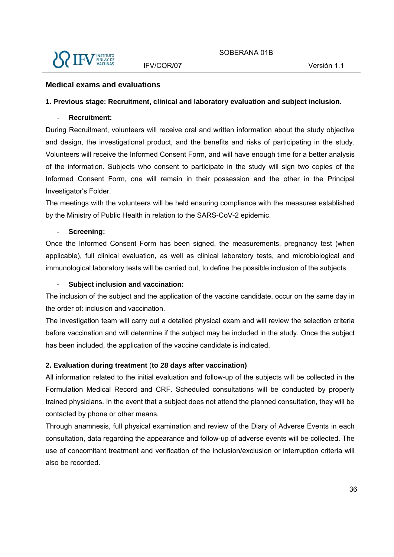

#### **Medical exams and evaluations**

#### **1. Previous stage: Recruitment, clinical and laboratory evaluation and subject inclusion.**

#### - **Recruitment:**

During Recruitment, volunteers will receive oral and written information about the study objective and design, the investigational product, and the benefits and risks of participating in the study. Volunteers will receive the Informed Consent Form, and will have enough time for a better analysis of the information. Subjects who consent to participate in the study will sign two copies of the Informed Consent Form, one will remain in their possession and the other in the Principal Investigator's Folder.

The meetings with the volunteers will be held ensuring compliance with the measures established by the Ministry of Public Health in relation to the SARS-CoV-2 epidemic.

#### - **Screening:**

Once the Informed Consent Form has been signed, the measurements, pregnancy test (when applicable), full clinical evaluation, as well as clinical laboratory tests, and microbiological and immunological laboratory tests will be carried out, to define the possible inclusion of the subjects.

#### - **Subject inclusion and vaccination:**

The inclusion of the subject and the application of the vaccine candidate, occur on the same day in the order of: inclusion and vaccination.

The investigation team will carry out a detailed physical exam and will review the selection criteria before vaccination and will determine if the subject may be included in the study. Once the subject has been included, the application of the vaccine candidate is indicated.

#### **2. Evaluation during treatment** (**to 28 days after vaccination)**

All information related to the initial evaluation and follow-up of the subjects will be collected in the Formulation Medical Record and CRF. Scheduled consultations will be conducted by properly trained physicians. In the event that a subject does not attend the planned consultation, they will be contacted by phone or other means.

Through anamnesis, full physical examination and review of the Diary of Adverse Events in each consultation, data regarding the appearance and follow-up of adverse events will be collected. The use of concomitant treatment and verification of the inclusion/exclusion or interruption criteria will also be recorded.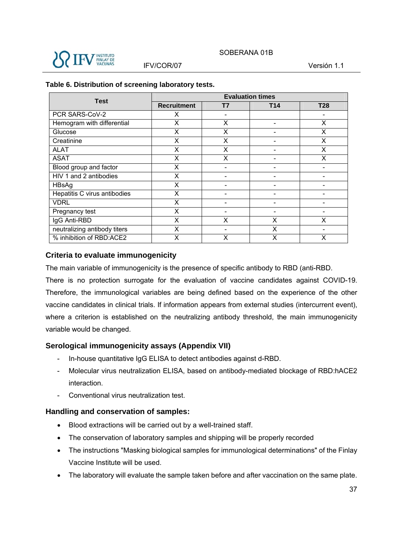

| <b>Test</b>                  | <b>Evaluation times</b> |    |                          |            |
|------------------------------|-------------------------|----|--------------------------|------------|
|                              | <b>Recruitment</b>      | Τ7 | T14                      | <b>T28</b> |
| PCR SARS-CoV-2               | X                       |    |                          |            |
| Hemogram with differential   | X                       | Χ  |                          | X          |
| Glucose                      | X                       | X  |                          | X          |
| Creatinine                   | X                       | X  | -                        | X          |
| <b>ALAT</b>                  | X                       | X  | $\overline{\phantom{0}}$ | X          |
| <b>ASAT</b>                  | X                       | X  |                          | X          |
| Blood group and factor       | Χ                       |    |                          |            |
| HIV 1 and 2 antibodies       | X                       |    |                          |            |
| HBsAg                        | X                       |    | -                        |            |
| Hepatitis C virus antibodies | X                       |    | -                        |            |
| <b>VDRL</b>                  | X                       |    |                          |            |
| Pregnancy test               | X                       |    | -                        |            |
| IgG Anti-RBD                 | X                       | X  | X                        | x          |
| neutralizing antibody titers | X                       |    | X                        |            |
| % inhibition of RBD:ACE2     | X                       | X  | X                        | x          |

#### **Table 6. Distribution of screening laboratory tests.**

### **Criteria to evaluate immunogenicity**

The main variable of immunogenicity is the presence of specific antibody to RBD (anti-RBD.

There is no protection surrogate for the evaluation of vaccine candidates against COVID-19. Therefore, the immunological variables are being defined based on the experience of the other vaccine candidates in clinical trials. If information appears from external studies (intercurrent event), where a criterion is established on the neutralizing antibody threshold, the main immunogenicity variable would be changed.

### **Serological immunogenicity assays (Appendix VII)**

- In-house quantitative IgG ELISA to detect antibodies against d-RBD.
- Molecular virus neutralization ELISA, based on antibody-mediated blockage of RBD:hACE2 interaction.
- Conventional virus neutralization test.

### **Handling and conservation of samples:**

- Blood extractions will be carried out by a well-trained staff.
- The conservation of laboratory samples and shipping will be properly recorded
- The instructions "Masking biological samples for immunological determinations" of the Finlay Vaccine Institute will be used.
- The laboratory will evaluate the sample taken before and after vaccination on the same plate.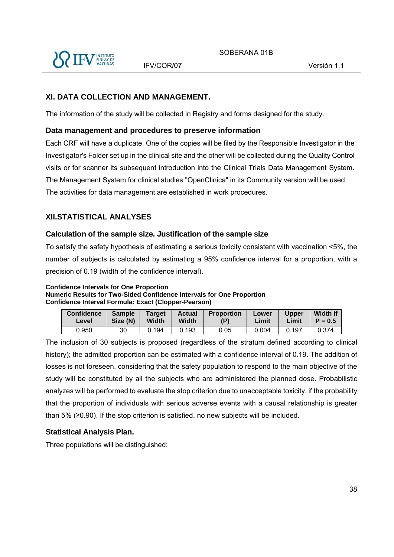

## **XI. DATA COLLECTION AND MANAGEMENT.**

The information of the study will be collected in Registry and forms designed for the study.

### **Data management and procedures to preserve information**

Each CRF will have a duplicate. One of the copies will be filed by the Responsible Investigator in the Investigator's Folder set up in the clinical site and the other will be collected during the Quality Control visits or for scanner its subsequent introduction into the Clinical Trials Data Management System. The Management System for clinical studies "OpenClinica" in its Community version will be used. The activities for data management are established in work procedures.

# **XII.STATISTICAL ANALYSES**

### **Calculation of the sample size. Justification of the sample size**

To satisfy the safety hypothesis of estimating a serious toxicity consistent with vaccination <5%, the number of subjects is calculated by estimating a 95% confidence interval for a proportion, with a precision of 0.19 (width of the confidence interval).

**Confidence Intervals for One Proportion Numeric Results for Two-Sided Confidence Intervals for One Proportion Confidence Interval Formula: Exact (Clopper-Pearson)** 

| <b>Confidence</b> | <b>Sample</b> | <b>Target</b> | <b>Actual</b> | <b>Proportion</b> | Lower | <b>Upper</b> | <b>Width if</b> |
|-------------------|---------------|---------------|---------------|-------------------|-------|--------------|-----------------|
| Level             | Size (N)      | Width         | Width         | (P)               | Limit | Limit        | $P = 0.5$       |
| 0.950             | 30            | 0.194         | 0.193         | 0.05              | 0.004 | 0.197        |                 |

The inclusion of 30 subjects is proposed (regardless of the stratum defined according to clinical history); the admitted proportion can be estimated with a confidence interval of 0.19. The addition of losses is not foreseen, considering that the safety population to respond to the main objective of the study will be constituted by all the subjects who are administered the planned dose. Probabilistic analyzes will be performed to evaluate the stop criterion due to unacceptable toxicity, if the probability that the proportion of individuals with serious adverse events with a causal relationship is greater than  $5\%$  (≥0.90). If the stop criterion is satisfied, no new subjects will be included.

## **Statistical Analysis Plan.**

Three populations will be distinguished: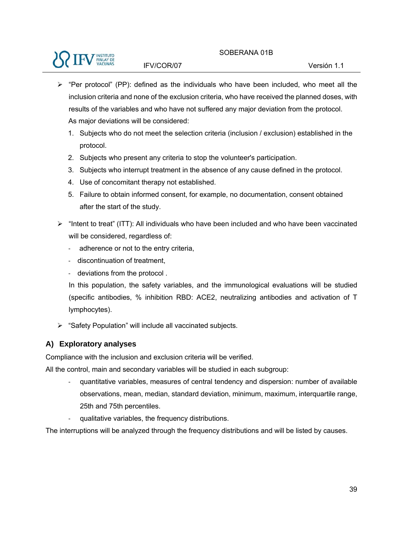

- $\triangleright$  "Per protocol" (PP): defined as the individuals who have been included, who meet all the inclusion criteria and none of the exclusion criteria, who have received the planned doses, with results of the variables and who have not suffered any major deviation from the protocol. As major deviations will be considered:
	- 1. Subjects who do not meet the selection criteria (inclusion / exclusion) established in the protocol.
	- 2. Subjects who present any criteria to stop the volunteer's participation.
	- 3. Subjects who interrupt treatment in the absence of any cause defined in the protocol.
	- 4. Use of concomitant therapy not established.
	- 5. Failure to obtain informed consent, for example, no documentation, consent obtained after the start of the study.
- $\triangleright$  "Intent to treat" (ITT): All individuals who have been included and who have been vaccinated will be considered, regardless of:
	- ‐ adherence or not to the entry criteria,
	- ‐ discontinuation of treatment,
	- ‐ deviations from the protocol .

In this population, the safety variables, and the immunological evaluations will be studied (specific antibodies, % inhibition RBD: ACE2, neutralizing antibodies and activation of T lymphocytes).

 $\triangleright$  "Safety Population" will include all vaccinated subjects.

## **A) Exploratory analyses**

Compliance with the inclusion and exclusion criteria will be verified.

All the control, main and secondary variables will be studied in each subgroup:

- ‐ quantitative variables, measures of central tendency and dispersion: number of available observations, mean, median, standard deviation, minimum, maximum, interquartile range, 25th and 75th percentiles.
- qualitative variables, the frequency distributions.

The interruptions will be analyzed through the frequency distributions and will be listed by causes.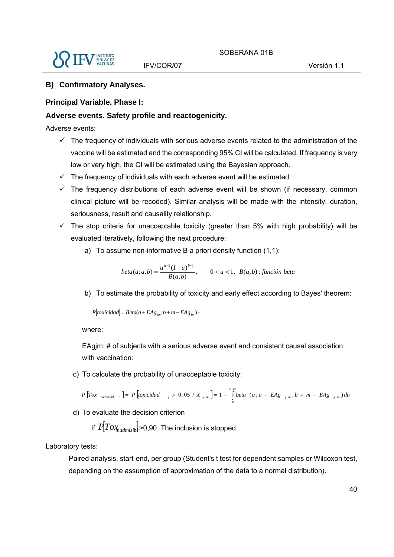

### **B) Confirmatory Analyses.**

### **Principal Variable. Phase I:**

### **Adverse events. Safety profile and reactogenicity.**

Adverse events:

- $\checkmark$  The frequency of individuals with serious adverse events related to the administration of the vaccine will be estimated and the corresponding 95% CI will be calculated. If frequency is very low or very high, the CI will be estimated using the Bayesian approach.
- $\checkmark$  The frequency of individuals with each adverse event will be estimated.
- $\checkmark$  The frequency distributions of each adverse event will be shown (if necessary, common clinical picture will be recoded). Similar analysis will be made with the intensity, duration, seriousness, result and causality relationship.
- $\checkmark$  The stop criteria for unacceptable toxicity (greater than 5% with high probability) will be evaluated iteratively, following the next procedure:
	- a) To assume non-informative B a priori density function (1,1):

*beta*(*u*; *a*,*b*) =  $\frac{u^{a-1}(1-u)^{b-1}}{B(a,b)}$ , 0 < *u* < 1, *B*(*a*,*b*) : *función beta* 

b) To estimate the probability of toxicity and early effect according to Bayes' theorem:

 $P[toxicidad] = Beta(a + EAg_{im}; b + m - EAg_{im})$ ,

where:

EAgim: # of subjects with a serious adverse event and consistent causal association with vaccination:

c) To calculate the probability of unacceptable toxicity:

 $\left[Tox_{inadmisbl}\right]_e = P\left[toxicidad_{j} > 0.05 / X_{j,m}\right] = 1 - \int_{0.05}^{0.05}beta(u; a + EAg_{j,m}, b + m P\left[Tox_{\text{inadmissible}}\right] = P\left[\text{toxicidad}\right] = 0.05 / X_{j,m} = 1 - \int_{0}^{0.05} \text{beta}(u; a + EAg_{j,m}, b + m - EAg_{j,m}) du$ 

d) To evaluate the decision criterion

If  $\left| \tilde{P} \right|$  *P* $\left| \tilde{P} \right|$   $\sim$  *P<sub>madmisib*</sub> $\vert$  > 0,90, The inclusion is stopped.

Laboratory tests:

Paired analysis, start-end, per group (Student's t test for dependent samples or Wilcoxon test, depending on the assumption of approximation of the data to a normal distribution).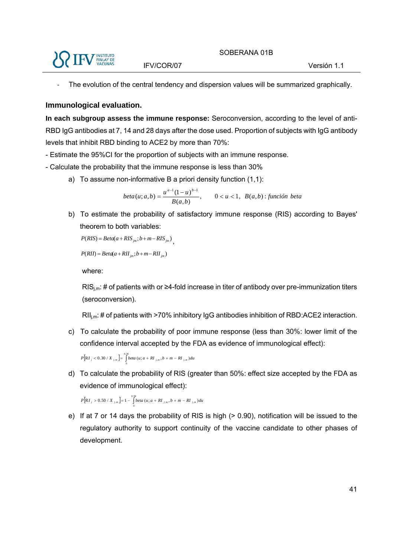

The evolution of the central tendency and dispersion values will be summarized graphically.

#### **Immunological evaluation.**

**In each subgroup assess the immune response:** Seroconversion, according to the level of anti-RBD IgG antibodies at 7, 14 and 28 days after the dose used. Proportion of subjects with IgG antibody levels that inhibit RBD binding to ACE2 by more than 70%:

- Estimate the 95%CI for the proportion of subjects with an immune response.
- Calculate the probability that the immune response is less than 30%
	- a) To assume non-informative B a priori density function (1,1):

$$
beta(u;a,b) = \frac{u^{a-1}(1-u)^{b-1}}{B(a,b)}, \qquad 0 < u < 1, \ B(a,b) : function \ beta
$$

b) To estimate the probability of satisfactory immune response (RIS) according to Bayes' theorem to both variables:

```
P(RIS) = Beta(a + RIS_{im}; b + m - RIS_{im})
```
 $P(RII) = Beta(a + RII_{im}; b + m - RII_{im})$ 

where:

 $RIS_{i,m}$ : # of patients with or  $\geq 4$ -fold increase in titer of antibody over pre-immunization titers (seroconversion).

 $\text{RII}_{\text{im}}$ : # of patients with >70% inhibitory IgG antibodies inhibition of RBD:ACE2 interaction.

c) To calculate the probability of poor immune response (less than 30%: lower limit of the confidence interval accepted by the FDA as evidence of immunological effect):

 $P[RI_{j} < 0.30 / X_{j,m}] = \int_{0.30}^{0.30} beta(u; a + RI_{j,m}, b + m - RI_{j,m}) du$ 

 $\mathbf 0$ 

d) To calculate the probability of RIS (greater than 50%: effect size accepted by the FDA as evidence of immunological effect):

 $\left[RI_j > 0.50 / X_{j,m}\right] = 1 - \int_{0.50}^{0.50} beta(u; a + RI_{j,m}, b + m P[RI_j > 0.50 / X_{j,m}] = 1 - \int_0^{\infty} beta(u; a + RI_{j,m}, b + m - RI_{j,m}) du$ 

e) If at 7 or 14 days the probability of RIS is high (> 0.90), notification will be issued to the regulatory authority to support continuity of the vaccine candidate to other phases of development.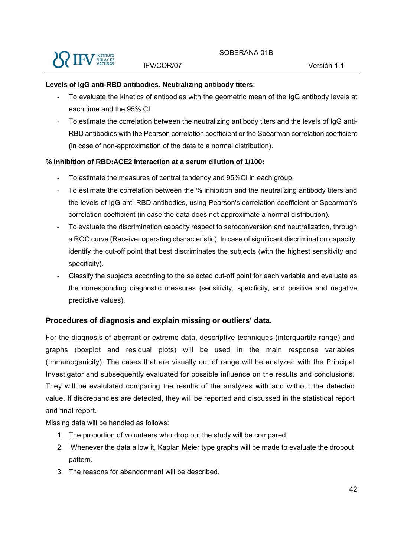#### **Levels of IgG anti-RBD antibodies. Neutralizing antibody titers:**

- ‐ To evaluate the kinetics of antibodies with the geometric mean of the IgG antibody levels at each time and the 95% CI.
- ‐ To estimate the correlation between the neutralizing antibody titers and the levels of IgG anti-RBD antibodies with the Pearson correlation coefficient or the Spearman correlation coefficient (in case of non-approximation of the data to a normal distribution).

### **% inhibition of RBD:ACE2 interaction at a serum dilution of 1/100:**

- ‐ To estimate the measures of central tendency and 95%CI in each group.
- ‐ To estimate the correlation between the % inhibition and the neutralizing antibody titers and the levels of IgG anti-RBD antibodies, using Pearson's correlation coefficient or Spearman's correlation coefficient (in case the data does not approximate a normal distribution).
- ‐ To evaluate the discrimination capacity respect to seroconversion and neutralization, through a ROC curve (Receiver operating characteristic). In case of significant discrimination capacity, identify the cut-off point that best discriminates the subjects (with the highest sensitivity and specificity).
- ‐ Classify the subjects according to the selected cut-off point for each variable and evaluate as the corresponding diagnostic measures (sensitivity, specificity, and positive and negative predictive values).

### **Procedures of diagnosis and explain missing or outliers' data.**

For the diagnosis of aberrant or extreme data, descriptive techniques (interquartile range) and graphs (boxplot and residual plots) will be used in the main response variables (Immunogenicity). The cases that are visually out of range will be analyzed with the Principal Investigator and subsequently evaluated for possible influence on the results and conclusions. They will be evalulated comparing the results of the analyzes with and without the detected value. If discrepancies are detected, they will be reported and discussed in the statistical report and final report.

Missing data will be handled as follows:

- 1. The proportion of volunteers who drop out the study will be compared.
- 2. Whenever the data allow it, Kaplan Meier type graphs will be made to evaluate the dropout pattern.
- 3. The reasons for abandonment will be described.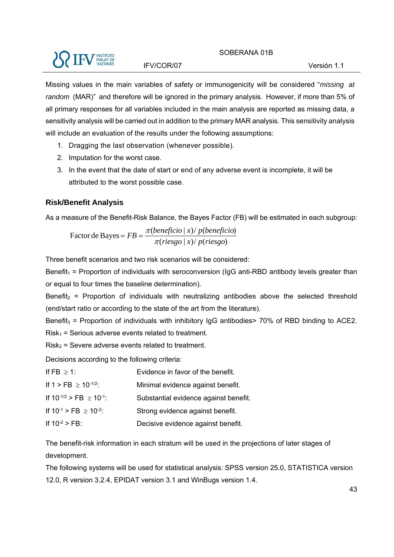

Missing values in the main variables of safety or immunogenicity will be considered "*missing at random* (MAR)" and therefore will be ignored in the primary analysis. However, if more than 5% of all primary responses for all variables included in the main analysis are reported as missing data, a sensitivity analysis will be carried out in addition to the primary MAR analysis. This sensitivity analysis will include an evaluation of the results under the following assumptions:

- 1. Dragging the last observation (whenever possible).
- 2. Imputation for the worst case.
- 3. In the event that the date of start or end of any adverse event is incomplete, it will be attributed to the worst possible case.

### **Risk/Benefit Analysis**

As a measure of the Benefit-Risk Balance, the Bayes Factor (FB) will be estimated in each subgroup:

 $\frac{\pi(beneficio \mid x)}{\pi(riesgo \mid x)}$  *p*(*beneficio*)<br> $\frac{\pi(riesgo \mid x)}{p(riesgo)}$ 

Three benefit scenarios and two risk scenarios will be considered:

Benefit<sub>1</sub> = Proportion of individuals with seroconversion ( $\log$  anti-RBD antibody levels greater than or equal to four times the baseline determination).

Benefit<sub>2</sub> = Proportion of individuals with neutralizing antibodies above the selected threshold (end/start ratio or according to the state of the art from the literature).

Benefit<sub>3</sub> = Proportion of individuals with inhibitory IgG antibodies  $>$  70% of RBD binding to ACE2.  $Risk<sub>1</sub>$  = Serious adverse events related to treatment.

 $Risk<sub>2</sub>$  = Severe adverse events related to treatment.

Decisions according to the following criteria:

| If FB $\geq$ 1:                      | Evidence in favor of the benefit.     |
|--------------------------------------|---------------------------------------|
| If $1 > FB \ge 10^{-1/2}$ :          | Minimal evidence against benefit.     |
| If $10^{-1/2}$ > FB $\geq 10^{-1}$ : | Substantial evidence against benefit. |
| If $10^{-1}$ > FB $\geq 10^{-2}$ :   | Strong evidence against benefit.      |
| If $10^{-2}$ > FB:                   | Decisive evidence against benefit.    |

The benefit-risk information in each stratum will be used in the projections of later stages of development.

The following systems will be used for statistical analysis: SPSS version 25.0, STATISTICA version 12.0, R version 3.2.4, EPIDAT version 3.1 and WinBugs version 1.4.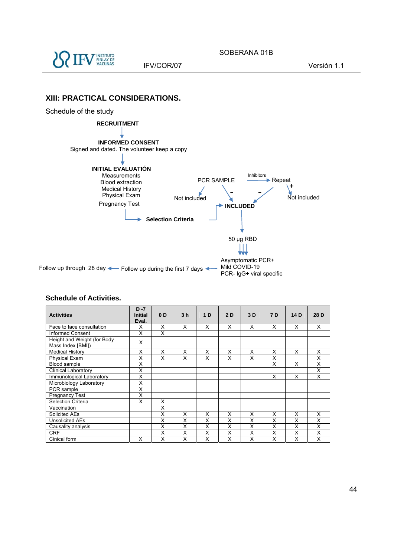

#### **XIII: PRACTICAL CONSIDERATIONS.**

#### Schedule of the study



#### **Activities D -7 Initial Eval. 0 D 3 h 1 D 2 D 3 D 7 D 14 D 28 D**  Face to face consultation X X X X X X X X X X X X Informed Consent X X X Height and Weight (for Body Mass Index [BMI]) <sup>X</sup> Medical History X X X X X X X X X Physical Exam X X X X X X X X Blood sample X X X X X Clínical Laboratory X X Immunological Laboratory X X X X Microbiology Laboratory PCR sample<br>Pregnancy Test X Pregnancy Test Selection Criteria X X X Vaccination X<br>Solicited AEs X Solicited AEs X X X X X X X X X X X X

Unsolicited AEs X X X X X X X X X X X X Causality analysis X X X X X X X X CRF | | X | X | X | X | X | X | X | X Cinical form  $\begin{array}{|c|c|c|c|c|c|}\hline \text{Cinical form} & \hspace{1.6cm} & \hspace{1.6cm} & \hspace{1.6cm} & \hspace{1.6cm} & \hspace{1.6cm} & \hspace{1.6cm} & \hspace{1.6cm} & \hspace{1.6cm} & \hspace{1.6cm} & \hspace{1.6cm} & \hspace{1.6cm} & \hspace{1.6cm} & \hspace{1.6cm} & \hspace{1.6cm} & \hspace{1.6cm} & \hspace{1.6cm} & \hspace{1.6cm} & \hspace{1.6$ 

#### **Schedule of Activities.**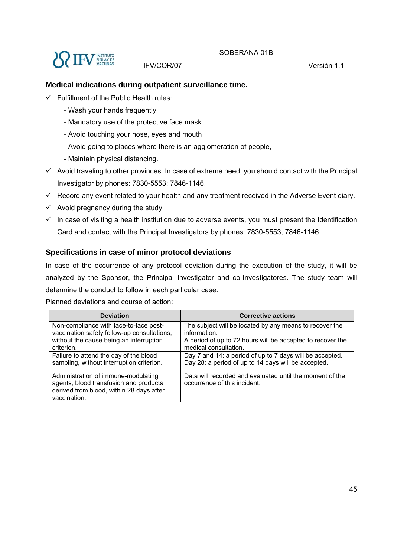

### **Medical indications during outpatient surveillance time.**

- $\checkmark$  Fulfillment of the Public Health rules:
	- Wash your hands frequently
	- Mandatory use of the protective face mask
	- Avoid touching your nose, eyes and mouth
	- Avoid going to places where there is an agglomeration of people,
	- Maintain physical distancing.
- $\checkmark$  Avoid traveling to other provinces. In case of extreme need, you should contact with the Principal Investigator by phones: 7830-5553; 7846-1146.
- $\checkmark$  Record any event related to your health and any treatment received in the Adverse Event diary.
- $\checkmark$  Avoid pregnancy during the study
- $\checkmark$  In case of visiting a health institution due to adverse events, you must present the Identification Card and contact with the Principal Investigators by phones: 7830-5553; 7846-1146.

#### **Specifications in case of minor protocol deviations**

In case of the occurrence of any protocol deviation during the execution of the study, it will be analyzed by the Sponsor, the Principal Investigator and co-Investigatores. The study team will determine the conduct to follow in each particular case.

Planned deviations and course of action:

| <b>Deviation</b>                                                                                                                          | <b>Corrective actions</b>                                                                |
|-------------------------------------------------------------------------------------------------------------------------------------------|------------------------------------------------------------------------------------------|
| Non-compliance with face-to-face post-                                                                                                    | The subject will be located by any means to recover the                                  |
| vaccination safety follow-up consultations,                                                                                               | information.                                                                             |
| without the cause being an interruption                                                                                                   | A period of up to 72 hours will be accepted to recover the                               |
| criterion.                                                                                                                                | medical consultation.                                                                    |
| Failure to attend the day of the blood                                                                                                    | Day 7 and 14: a period of up to 7 days will be accepted.                                 |
| sampling, without interruption criterion.                                                                                                 | Day 28: a period of up to 14 days will be accepted.                                      |
| Administration of immune-modulating<br>agents, blood transfusion and products<br>derived from blood, within 28 days after<br>vaccination. | Data will recorded and evaluated until the moment of the<br>occurrence of this incident. |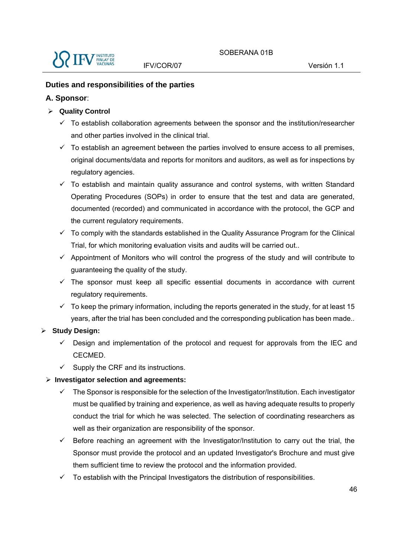

### **Duties and responsibilities of the parties**

### **A. Sponsor**:

- **Quality Control** 
	- $\checkmark$  To establish collaboration agreements between the sponsor and the institution/researcher and other parties involved in the clinical trial.
	- $\checkmark$  To establish an agreement between the parties involved to ensure access to all premises, original documents/data and reports for monitors and auditors, as well as for inspections by regulatory agencies.
	- $\checkmark$  To establish and maintain quality assurance and control systems, with written Standard Operating Procedures (SOPs) in order to ensure that the test and data are generated, documented (recorded) and communicated in accordance with the protocol, the GCP and the current regulatory requirements.
	- $\checkmark$  To comply with the standards established in the Quality Assurance Program for the Clinical Trial, for which monitoring evaluation visits and audits will be carried out..
	- $\checkmark$  Appointment of Monitors who will control the progress of the study and will contribute to guaranteeing the quality of the study.
	- $\checkmark$  The sponsor must keep all specific essential documents in accordance with current regulatory requirements.
	- $\checkmark$  To keep the primary information, including the reports generated in the study, for at least 15 years, after the trial has been concluded and the corresponding publication has been made..

## **Study Design:**

- $\checkmark$  Design and implementation of the protocol and request for approvals from the IEC and CECMED.
- $\checkmark$  Supply the CRF and its instructions.

## **Investigator selection and agreements:**

- $\checkmark$  The Sponsor is responsible for the selection of the Investigator/Institution. Each investigator must be qualified by training and experience, as well as having adequate results to properly conduct the trial for which he was selected. The selection of coordinating researchers as well as their organization are responsibility of the sponsor.
- $\checkmark$  Before reaching an agreement with the Investigator/Institution to carry out the trial, the Sponsor must provide the protocol and an updated Investigator's Brochure and must give them sufficient time to review the protocol and the information provided.
- To establish with the Principal Investigators the distribution of responsibilities.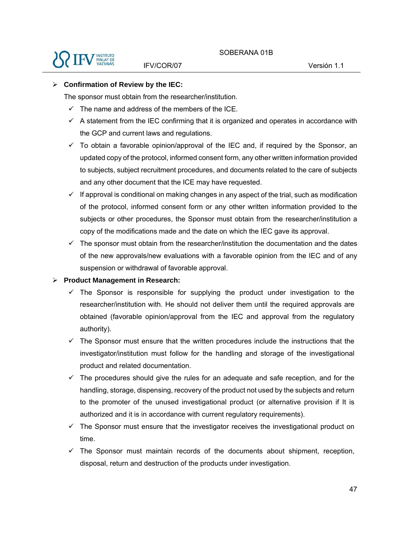

### **Confirmation of Review by the IEC:**

The sponsor must obtain from the researcher/institution.

- $\checkmark$  The name and address of the members of the ICE.
- $\checkmark$  A statement from the IEC confirming that it is organized and operates in accordance with the GCP and current laws and regulations.
- $\checkmark$  To obtain a favorable opinion/approval of the IEC and, if required by the Sponsor, an updated copy of the protocol, informed consent form, any other written information provided to subjects, subject recruitment procedures, and documents related to the care of subjects and any other document that the ICE may have requested.
- $\checkmark$  If approval is conditional on making changes in any aspect of the trial, such as modification of the protocol, informed consent form or any other written information provided to the subjects or other procedures, the Sponsor must obtain from the researcher/institution a copy of the modifications made and the date on which the IEC gave its approval.
- $\checkmark$  The sponsor must obtain from the researcher/institution the documentation and the dates of the new approvals/new evaluations with a favorable opinion from the IEC and of any suspension or withdrawal of favorable approval.

#### **Product Management in Research:**

- $\checkmark$  The Sponsor is responsible for supplying the product under investigation to the researcher/institution with. He should not deliver them until the required approvals are obtained (favorable opinion/approval from the IEC and approval from the regulatory authority).
- $\checkmark$  The Sponsor must ensure that the written procedures include the instructions that the investigator/institution must follow for the handling and storage of the investigational product and related documentation.
- $\checkmark$  The procedures should give the rules for an adequate and safe reception, and for the handling, storage, dispensing, recovery of the product not used by the subjects and return to the promoter of the unused investigational product (or alternative provision if It is authorized and it is in accordance with current regulatory requirements).
- $\checkmark$  The Sponsor must ensure that the investigator receives the investigational product on time.
- $\checkmark$  The Sponsor must maintain records of the documents about shipment, reception, disposal, return and destruction of the products under investigation.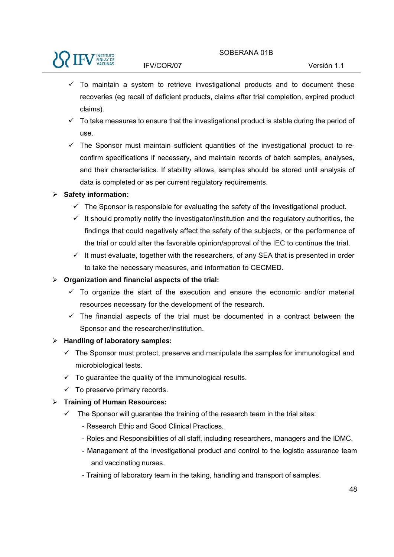

- $\checkmark$  To maintain a system to retrieve investigational products and to document these recoveries (eg recall of deficient products, claims after trial completion, expired product claims).
- $\checkmark$  To take measures to ensure that the investigational product is stable during the period of use.
- $\checkmark$  The Sponsor must maintain sufficient quantities of the investigational product to reconfirm specifications if necessary, and maintain records of batch samples, analyses, and their characteristics. If stability allows, samples should be stored until analysis of data is completed or as per current regulatory requirements.

### **Safety information:**

- $\checkmark$  The Sponsor is responsible for evaluating the safety of the investigational product.
- $\checkmark$  It should promptly notify the investigator/institution and the regulatory authorities, the findings that could negatively affect the safety of the subjects, or the performance of the trial or could alter the favorable opinion/approval of the IEC to continue the trial.
- $\checkmark$  It must evaluate, together with the researchers, of any SEA that is presented in order to take the necessary measures, and information to CECMED.

### **Organization and financial aspects of the trial:**

- $\checkmark$  To organize the start of the execution and ensure the economic and/or material resources necessary for the development of the research.
- $\checkmark$  The financial aspects of the trial must be documented in a contract between the Sponsor and the researcher/institution.

## **Handling of laboratory samples:**

- $\checkmark$  The Sponsor must protect, preserve and manipulate the samples for immunological and microbiological tests.
- $\checkmark$  To guarantee the quality of the immunological results.
- $\checkmark$  To preserve primary records.

## **Training of Human Resources:**

- $\checkmark$  The Sponsor will guarantee the training of the research team in the trial sites:
	- Research Ethic and Good Clinical Practices.
	- Roles and Responsibilities of all staff, including researchers, managers and the IDMC.
	- Management of the investigational product and control to the logistic assurance team and vaccinating nurses.
	- Training of laboratory team in the taking, handling and transport of samples.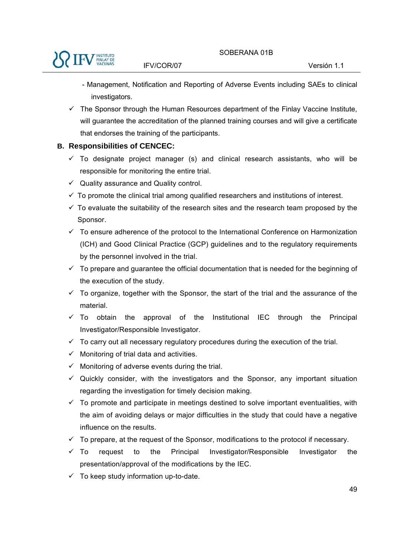- Management, Notification and Reporting of Adverse Events including SAEs to clinical investigators.
- $\checkmark$  The Sponsor through the Human Resources department of the Finlay Vaccine Institute, will guarantee the accreditation of the planned training courses and will give a certificate that endorses the training of the participants.

### **B. Responsibilities of CENCEC:**

- $\checkmark$  To designate project manager (s) and clinical research assistants, who will be responsible for monitoring the entire trial.
- $\checkmark$  Quality assurance and Quality control.
- $\checkmark$  To promote the clinical trial among qualified researchers and institutions of interest.
- $\checkmark$  To evaluate the suitability of the research sites and the research team proposed by the Sponsor.
- $\checkmark$  To ensure adherence of the protocol to the International Conference on Harmonization (ICH) and Good Clinical Practice (GCP) guidelines and to the regulatory requirements by the personnel involved in the trial.
- $\checkmark$  To prepare and guarantee the official documentation that is needed for the beginning of the execution of the study.
- $\checkmark$  To organize, together with the Sponsor, the start of the trial and the assurance of the material.
- $\checkmark$  To obtain the approval of the Institutional IEC through the Principal Investigator/Responsible Investigator.
- $\checkmark$  To carry out all necessary regulatory procedures during the execution of the trial.
- $\checkmark$  Monitoring of trial data and activities.
- $\checkmark$  Monitoring of adverse events during the trial.
- $\checkmark$  Quickly consider, with the investigators and the Sponsor, any important situation regarding the investigation for timely decision making.
- $\checkmark$  To promote and participate in meetings destined to solve important eventualities, with the aim of avoiding delays or major difficulties in the study that could have a negative influence on the results.
- $\checkmark$  To prepare, at the request of the Sponsor, modifications to the protocol if necessary.
- $\checkmark$  To request to the Principal Investigator/Responsible Investigator the presentation/approval of the modifications by the IEC.
- $\checkmark$  To keep study information up-to-date.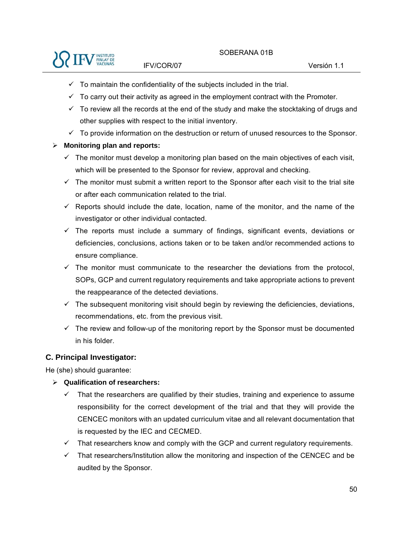

- $\checkmark$  To maintain the confidentiality of the subiects included in the trial.
- $\checkmark$  To carry out their activity as agreed in the employment contract with the Promoter.
- $\checkmark$  To review all the records at the end of the study and make the stocktaking of drugs and other supplies with respect to the initial inventory.
- $\checkmark$  To provide information on the destruction or return of unused resources to the Sponsor.

## **Monitoring plan and reports:**

- $\checkmark$  The monitor must develop a monitoring plan based on the main objectives of each visit, which will be presented to the Sponsor for review, approval and checking.
- $\checkmark$  The monitor must submit a written report to the Sponsor after each visit to the trial site or after each communication related to the trial.
- $\checkmark$  Reports should include the date, location, name of the monitor, and the name of the investigator or other individual contacted.
- $\checkmark$  The reports must include a summary of findings, significant events, deviations or deficiencies, conclusions, actions taken or to be taken and/or recommended actions to ensure compliance.
- $\checkmark$  The monitor must communicate to the researcher the deviations from the protocol, SOPs, GCP and current regulatory requirements and take appropriate actions to prevent the reappearance of the detected deviations.
- $\checkmark$  The subsequent monitoring visit should begin by reviewing the deficiencies, deviations, recommendations, etc. from the previous visit.
- $\checkmark$  The review and follow-up of the monitoring report by the Sponsor must be documented in his folder.

## **C. Principal Investigator:**

He (she) should guarantee:

## **Qualification of researchers:**

- $\checkmark$  That the researchers are qualified by their studies, training and experience to assume responsibility for the correct development of the trial and that they will provide the CENCEC monitors with an updated curriculum vitae and all relevant documentation that is requested by the IEC and CECMED.
- $\checkmark$  That researchers know and comply with the GCP and current regulatory requirements.
- $\checkmark$  That researchers/Institution allow the monitoring and inspection of the CENCEC and be audited by the Sponsor.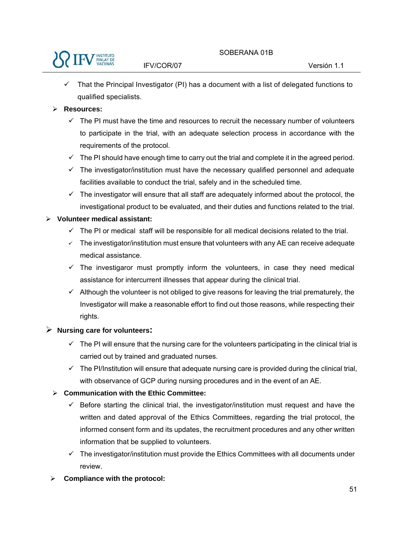

 That the Principal Investigator (PI) has a document with a list of delegated functions to qualified specialists.

### **Resources:**

- $\checkmark$  The PI must have the time and resources to recruit the necessary number of volunteers to participate in the trial, with an adequate selection process in accordance with the requirements of the protocol.
- $\checkmark$  The PI should have enough time to carry out the trial and complete it in the agreed period.
- $\checkmark$  The investigator/institution must have the necessary qualified personnel and adequate facilities available to conduct the trial, safely and in the scheduled time.
- $\checkmark$  The investigator will ensure that all staff are adequately informed about the protocol, the investigational product to be evaluated, and their duties and functions related to the trial.

### **Volunteer medical assistant:**

- $\checkmark$  The PI or medical staff will be responsible for all medical decisions related to the trial.
- $\checkmark$  The investigator/institution must ensure that volunteers with any AE can receive adequate medical assistance.
- $\checkmark$  The investigaror must promptly inform the volunteers, in case they need medical assistance for intercurrent illnesses that appear during the clinical trial.
- $\checkmark$  Although the volunteer is not obliged to give reasons for leaving the trial prematurely, the Investigator will make a reasonable effort to find out those reasons, while respecting their rights.

### **Nursing care for volunteers:**

- $\checkmark$  The PI will ensure that the nursing care for the volunteers participating in the clinical trial is carried out by trained and graduated nurses.
- $\checkmark$  The PI/Institution will ensure that adequate nursing care is provided during the clinical trial, with observance of GCP during nursing procedures and in the event of an AE.

## **Communication with the Ethic Committee:**

- $\checkmark$  Before starting the clinical trial, the investigator/institution must request and have the written and dated approval of the Ethics Committees, regarding the trial protocol, the informed consent form and its updates, the recruitment procedures and any other written information that be supplied to volunteers.
- $\checkmark$  The investigator/institution must provide the Ethics Committees with all documents under review.
- **Compliance with the protocol:**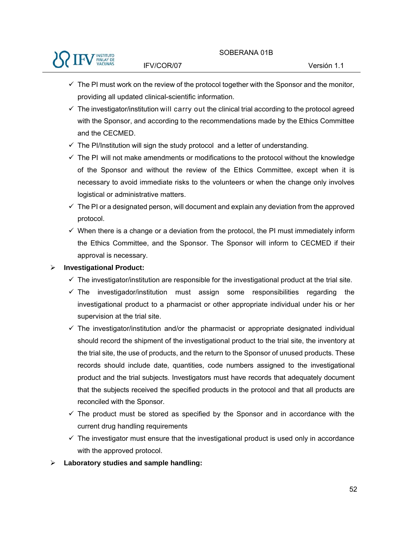- $\checkmark$  The PI must work on the review of the protocol together with the Sponsor and the monitor, providing all updated clinical-scientific information.
- $\checkmark$  The investigator/institution will carry out the clinical trial according to the protocol agreed with the Sponsor, and according to the recommendations made by the Ethics Committee and the CECMED.
- $\checkmark$  The PI/Institution will sign the study protocol and a letter of understanding.
- $\checkmark$  The PI will not make amendments or modifications to the protocol without the knowledge of the Sponsor and without the review of the Ethics Committee, except when it is necessary to avoid immediate risks to the volunteers or when the change only involves logistical or administrative matters.
- $\checkmark$  The PI or a designated person, will document and explain any deviation from the approved protocol.
- $\checkmark$  When there is a change or a deviation from the protocol, the PI must immediately inform the Ethics Committee, and the Sponsor. The Sponsor will inform to CECMED if their approval is necessary.

### **Investigational Product:**

- $\checkmark$  The investigator/institution are responsible for the investigational product at the trial site.
- $\checkmark$  The investigador/institution must assign some responsibilities regarding the investigational product to a pharmacist or other appropriate individual under his or her supervision at the trial site.
- $\checkmark$  The investigator/institution and/or the pharmacist or appropriate designated individual should record the shipment of the investigational product to the trial site, the inventory at the trial site, the use of products, and the return to the Sponsor of unused products. These records should include date, quantities, code numbers assigned to the investigational product and the trial subjects. Investigators must have records that adequately document that the subjects received the specified products in the protocol and that all products are reconciled with the Sponsor.
- $\checkmark$  The product must be stored as specified by the Sponsor and in accordance with the current drug handling requirements
- $\checkmark$  The investigator must ensure that the investigational product is used only in accordance with the approved protocol.
- **Laboratory studies and sample handling:**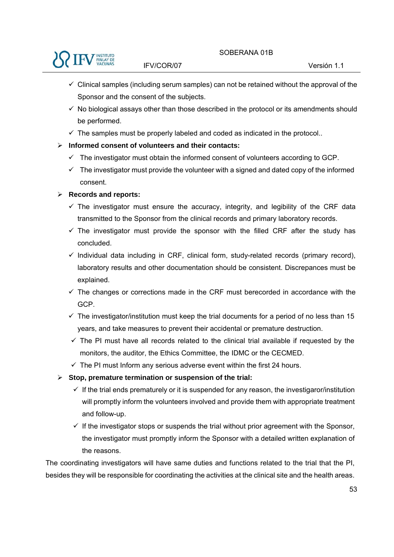

- $\checkmark$  Clinical samples (including serum samples) can not be retained without the approval of the Sponsor and the consent of the subjects.
- $\checkmark$  No biological assays other than those described in the protocol or its amendments should be performed.
- $\checkmark$  The samples must be properly labeled and coded as indicated in the protocol..
- **Informed consent of volunteers and their contacts:** 
	- $\checkmark$  The investigator must obtain the informed consent of volunteers according to GCP.
	- $\checkmark$  The investigator must provide the volunteer with a signed and dated copy of the informed consent.
- **Records and reports:** 
	- $\checkmark$  The investigator must ensure the accuracy, integrity, and legibility of the CRF data transmitted to the Sponsor from the clinical records and primary laboratory records.
	- $\checkmark$  The investigator must provide the sponsor with the filled CRF after the study has concluded.
	- $\checkmark$  Individual data including in CRF, clinical form, study-related records (primary record), laboratory results and other documentation should be consistent. Discrepances must be explained.
	- $\checkmark$  The changes or corrections made in the CRF must berecorded in accordance with the GCP.
	- $\checkmark$  The investigator/institution must keep the trial documents for a period of no less than 15 years, and take measures to prevent their accidental or premature destruction.
	- $\checkmark$  The PI must have all records related to the clinical trial available if requested by the monitors, the auditor, the Ethics Committee, the IDMC or the CECMED.
	- $\checkmark$  The PI must Inform any serious adverse event within the first 24 hours.
- **Stop, premature termination or suspension of the trial:** 
	- $\checkmark$  If the trial ends prematurely or it is suspended for any reason, the investigaror/institution will promptly inform the volunteers involved and provide them with appropriate treatment and follow-up.
	- $\checkmark$  If the investigator stops or suspends the trial without prior agreement with the Sponsor, the investigator must promptly inform the Sponsor with a detailed written explanation of the reasons.

The coordinating investigators will have same duties and functions related to the trial that the PI, besides they will be responsible for coordinating the activities at the clinical site and the health areas.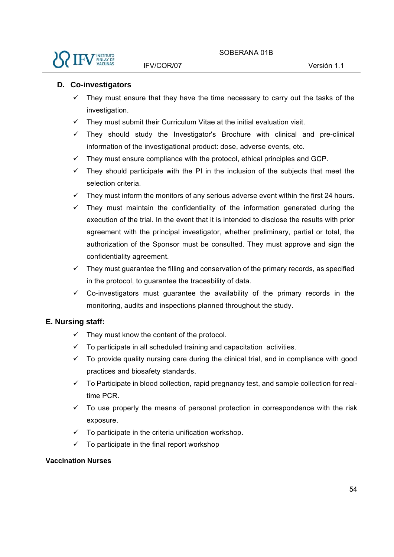

### **D. Co-investigators**

- They must ensure that they have the time necessary to carry out the tasks of the investigation.
- $\checkmark$  They must submit their Curriculum Vitae at the initial evaluation visit.
- $\checkmark$  They should study the Investigator's Brochure with clinical and pre-clinical information of the investigational product: dose, adverse events, etc.
- $\checkmark$  They must ensure compliance with the protocol, ethical principles and GCP.
- $\checkmark$  They should participate with the PI in the inclusion of the subjects that meet the selection criteria.
- $\checkmark$  They must inform the monitors of any serious adverse event within the first 24 hours.
- $\checkmark$  They must maintain the confidentiality of the information generated during the execution of the trial. In the event that it is intended to disclose the results with prior agreement with the principal investigator, whether preliminary, partial or total, the authorization of the Sponsor must be consulted. They must approve and sign the confidentiality agreement.
- $\checkmark$  They must quarantee the filling and conservation of the primary records, as specified in the protocol, to guarantee the traceability of data.
- $\checkmark$  Co-investigators must guarantee the availability of the primary records in the monitoring, audits and inspections planned throughout the study.

### **E. Nursing staff:**

- $\checkmark$  They must know the content of the protocol.
- $\checkmark$  To participate in all scheduled training and capacitation activities.
- $\checkmark$  To provide quality nursing care during the clinical trial, and in compliance with good practices and biosafety standards.
- $\checkmark$  To Participate in blood collection, rapid pregnancy test, and sample collection for realtime PCR.
- $\checkmark$  To use properly the means of personal protection in correspondence with the risk exposure.
- $\checkmark$  To participate in the criteria unification workshop.
- $\checkmark$  To participate in the final report workshop

#### **Vaccination Nurses**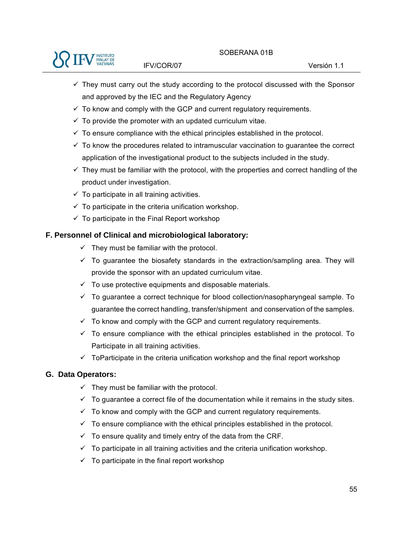

- $\checkmark$  They must carry out the study according to the protocol discussed with the Sponsor and approved by the IEC and the Regulatory Agency
- $\checkmark$  To know and comply with the GCP and current regulatory requirements.
- $\checkmark$  To provide the promoter with an updated curriculum vitae.
- $\checkmark$  To ensure compliance with the ethical principles established in the protocol.
- $\checkmark$  To know the procedures related to intramuscular vaccination to guarantee the correct application of the investigational product to the subjects included in the study.
- $\checkmark$  They must be familiar with the protocol, with the properties and correct handling of the product under investigation.
- $\checkmark$  To participate in all training activities.
- $\checkmark$  To participate in the criteria unification workshop.
- $\checkmark$  To participate in the Final Report workshop

# **F. Personnel of Clinical and microbiological laboratory:**

- $\checkmark$  They must be familiar with the protocol.
- $\checkmark$  To quarantee the biosafety standards in the extraction/sampling area. They will provide the sponsor with an updated curriculum vitae.
- $\checkmark$  To use protective equipments and disposable materials.
- $\checkmark$  To guarantee a correct technique for blood collection/nasopharyngeal sample. To guarantee the correct handling, transfer/shipment and conservation of the samples.
- $\checkmark$  To know and comply with the GCP and current regulatory requirements.
- $\checkmark$  To ensure compliance with the ethical principles established in the protocol. To Participate in all training activities.
- $\checkmark$  ToParticipate in the criteria unification workshop and the final report workshop

## **G. Data Operators:**

- $\checkmark$  They must be familiar with the protocol.
- $\checkmark$  To guarantee a correct file of the documentation while it remains in the study sites.
- $\checkmark$  To know and comply with the GCP and current regulatory requirements.
- $\checkmark$  To ensure compliance with the ethical principles established in the protocol.
- $\checkmark$  To ensure quality and timely entry of the data from the CRF.
- $\checkmark$  To participate in all training activities and the criteria unification workshop.
- $\checkmark$  To participate in the final report workshop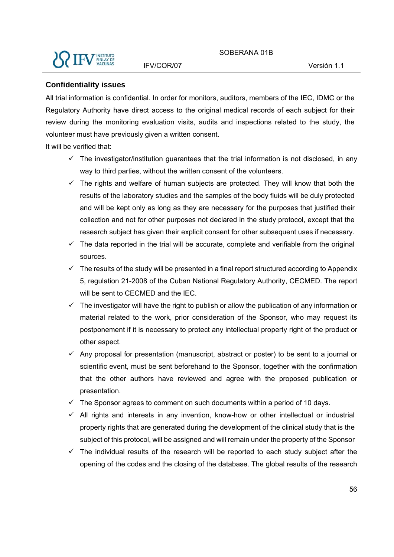

#### **Confidentiality issues**

All trial information is confidential. In order for monitors, auditors, members of the IEC, IDMC or the Regulatory Authority have direct access to the original medical records of each subject for their review during the monitoring evaluation visits, audits and inspections related to the study, the volunteer must have previously given a written consent.

It will be verified that:

- $\checkmark$  The investigator/institution guarantees that the trial information is not disclosed, in any way to third parties, without the written consent of the volunteers.
- $\checkmark$  The rights and welfare of human subjects are protected. They will know that both the results of the laboratory studies and the samples of the body fluids will be duly protected and will be kept only as long as they are necessary for the purposes that justified their collection and not for other purposes not declared in the study protocol, except that the research subject has given their explicit consent for other subsequent uses if necessary.
- $\checkmark$  The data reported in the trial will be accurate, complete and verifiable from the original sources.
- $\checkmark$  The results of the study will be presented in a final report structured according to Appendix 5, regulation 21-2008 of the Cuban National Regulatory Authority, CECMED. The report will be sent to CECMED and the IEC.
- $\checkmark$  The investigator will have the right to publish or allow the publication of any information or material related to the work, prior consideration of the Sponsor, who may request its postponement if it is necessary to protect any intellectual property right of the product or other aspect.
- $\checkmark$  Any proposal for presentation (manuscript, abstract or poster) to be sent to a journal or scientific event, must be sent beforehand to the Sponsor, together with the confirmation that the other authors have reviewed and agree with the proposed publication or presentation.
- $\checkmark$  The Sponsor agrees to comment on such documents within a period of 10 days.
- $\checkmark$  All rights and interests in any invention, know-how or other intellectual or industrial property rights that are generated during the development of the clinical study that is the subject of this protocol, will be assigned and will remain under the property of the Sponsor
- $\checkmark$  The individual results of the research will be reported to each study subject after the opening of the codes and the closing of the database. The global results of the research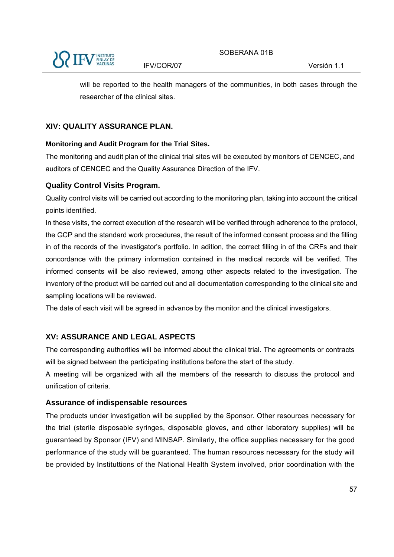

will be reported to the health managers of the communities, in both cases through the researcher of the clinical sites.

# **XIV: QUALITY ASSURANCE PLAN.**

# **Monitoring and Audit Program for the Trial Sites.**

The monitoring and audit plan of the clinical trial sites will be executed by monitors of CENCEC, and auditors of CENCEC and the Quality Assurance Direction of the IFV.

# **Quality Control Visits Program.**

Quality control visits will be carried out according to the monitoring plan, taking into account the critical points identified.

In these visits, the correct execution of the research will be verified through adherence to the protocol, the GCP and the standard work procedures, the result of the informed consent process and the filling in of the records of the investigator's portfolio. In adition, the correct filling in of the CRFs and their concordance with the primary information contained in the medical records will be verified. The informed consents will be also reviewed, among other aspects related to the investigation. The inventory of the product will be carried out and all documentation corresponding to the clinical site and sampling locations will be reviewed.

The date of each visit will be agreed in advance by the monitor and the clinical investigators.

# **XV: ASSURANCE AND LEGAL ASPECTS**

The corresponding authorities will be informed about the clinical trial. The agreements or contracts will be signed between the participating institutions before the start of the study.

A meeting will be organized with all the members of the research to discuss the protocol and unification of criteria.

# **Assurance of indispensable resources**

The products under investigation will be supplied by the Sponsor. Other resources necessary for the trial (sterile disposable syringes, disposable gloves, and other laboratory supplies) will be guaranteed by Sponsor (IFV) and MINSAP. Similarly, the office supplies necessary for the good performance of the study will be guaranteed. The human resources necessary for the study will be provided by Instituttions of the National Health System involved, prior coordination with the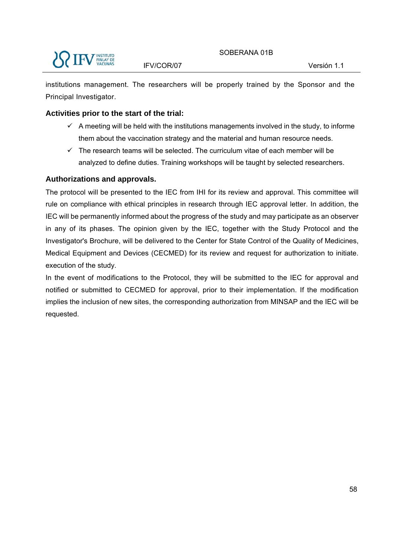institutions management. The researchers will be properly trained by the Sponsor and the Principal Investigator.

## **Activities prior to the start of the trial:**

- $\checkmark$  A meeting will be held with the institutions managements involved in the study, to informe them about the vaccination strategy and the material and human resource needs.
- $\checkmark$  The research teams will be selected. The curriculum vitae of each member will be analyzed to define duties. Training workshops will be taught by selected researchers.

## **Authorizations and approvals.**

The protocol will be presented to the IEC from IHI for its review and approval. This committee will rule on compliance with ethical principles in research through IEC approval letter. In addition, the IEC will be permanently informed about the progress of the study and may participate as an observer in any of its phases. The opinion given by the IEC, together with the Study Protocol and the Investigator's Brochure, will be delivered to the Center for State Control of the Quality of Medicines, Medical Equipment and Devices (CECMED) for its review and request for authorization to initiate. execution of the study.

In the event of modifications to the Protocol, they will be submitted to the IEC for approval and notified or submitted to CECMED for approval, prior to their implementation. If the modification implies the inclusion of new sites, the corresponding authorization from MINSAP and the IEC will be requested.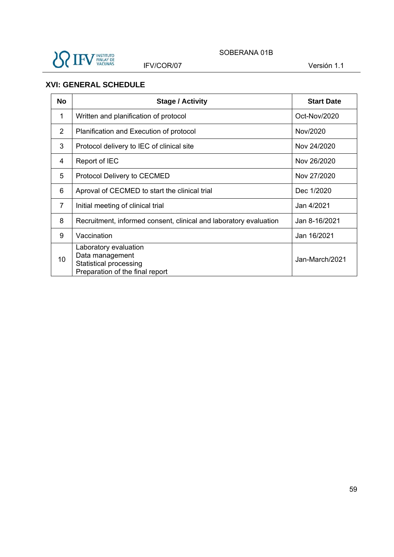

SOBERANA 01B

IFV/COR/07 Versión 1.1

# **XVI: GENERAL SCHEDULE**

| <b>No</b> | <b>Stage / Activity</b>                                                                               | <b>Start Date</b> |
|-----------|-------------------------------------------------------------------------------------------------------|-------------------|
| 1         | Written and planification of protocol                                                                 | Oct-Nov/2020      |
| 2         | Planification and Execution of protocol                                                               | Nov/2020          |
| 3         | Protocol delivery to IEC of clinical site                                                             | Nov 24/2020       |
| 4         | Report of IEC                                                                                         | Nov 26/2020       |
| 5         | Protocol Delivery to CECMED                                                                           | Nov 27/2020       |
| 6         | Aproval of CECMED to start the clinical trial                                                         | Dec 1/2020        |
| 7         | Initial meeting of clinical trial                                                                     | Jan 4/2021        |
| 8         | Recruitment, informed consent, clinical and laboratory evaluation                                     | Jan 8-16/2021     |
| 9         | Vaccination                                                                                           | Jan 16/2021       |
| 10        | Laboratory evaluation<br>Data management<br>Statistical processing<br>Preparation of the final report | Jan-March/2021    |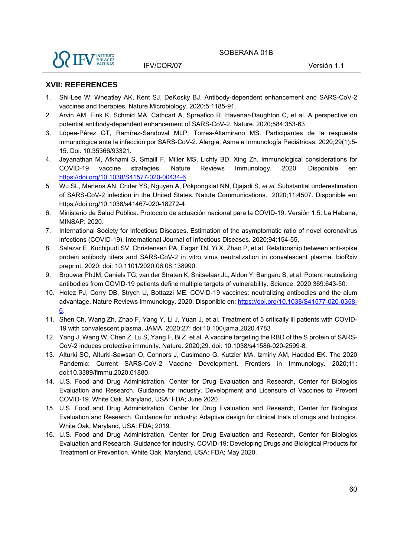#### **XVII: REFERENCES**

- 1. Shi-Lee W, Wheatley AK, Kent SJ, DeKosky BJ. Antibody-dependent enhancement and SARS-CoV-2 vaccines and therapies. Nature Microbiology. 2020;5:1185-91.
- 2. Arvin AM, Fink K, Schmid MA, Cathcart A, Spreafico R, Havenar-Daughton C, et al. A perspective on potential antibody-dependent enhancement of SARS-CoV-2. Nature. 2020;584:353-63
- 3. Lópea-Pérez GT, Ramírez-Sandoval MLP, Torres-Altamirano MS. Participantes de la respuesta inmunológica ante la infección por SARS-CoV-2. Alergia, Asma e Inmunología Pediátricas. 2020;29(1):5- 15. Doi: 10.35366/93321.
- 4. Jeyanathan M, Afkhami S, Smaill F, Miller MS, Lichty BD, Xing Zh. Immunological considerations for COVID-19 vaccine strategies. Nature Reviews Immunology. 2020. Disponible en: https://doi.org/10.1038/S41577-020-00434-6
- 5. Wu SL, Mertens AN, Crider YS, Nguyen A, Pokpongkiat NN, Djajadi S*, et al.* Substantial underestimation of SARS-CoV-2 infection in the United States. Natute Communications. 2020;11:4507. Disponible en: https://doi.org/10.1038/s41467-020-18272-4
- 6. Ministerio de Salud Pública. Protocolo de actuación nacional para la COVID-19. Versión 1.5. La Habana; MINSAP: 2020.
- 7. International Society for Infectious Diseases. Estimation of the asymptomatic ratio of novel coronavirus infections (COVID-19). International Journal of Infectious Diseases. 2020;94:154-55.
- 8. Salazar E, Kuchipudi SV, Christensen PA, Eagar TN, Yi X, Zhao P, et al. Relationship between anti-spike protein antibody titers and SARS-CoV-2 in vitro virus neutralization in convalescent plasma. bioRxiv preprint. 2020: doi: 10.1101/2020.06.08.138990.
- 9. Brouwer PhJM, Caniels TG, van der Straten K, Snitselaar JL, Aldon Y, Bangaru S, et al. Potent neutralizing antibodies from COVID-19 patients define multiple targets of vulnerability. Science. 2020;369:643-50.
- 10. Hotez PJ, Corry DB, Strych U, Bottazzi ME. COVID-19 vaccines: neutralizing antibodies and the alum advantage. Nature Reviews Immunology. 2020. Disponible en: https://doi.org/10.1038/S41577-020-0358- 6.
- 11. Shen Ch, Wang Zh, Zhao F, Yang Y, Li J, Yuan J, et al. Treatment of 5 critically ill patients with COVID-19 with convalescent plasma. JAMA. 2020;27: doi:10.100/jama.2020.4783
- 12. Yang J, Wang W, Chen Z, Lu S, Yang F, Bi Z, et al. A vaccine targeting the RBD of the S protein of SARS-CoV-2 induces protective immunity. Nature. 2020;29. doi: 10.1038/s41586-020-2599-8.
- 13. Alturki SO, Alturki-Sawsan O, Connors J, Cusimano G, Kutzler MA, Izmirly AM, Haddad EK. The 2020 Pandemic: Current SARS-CoV-2 Vaccine Development. Frontiers in Immunology. 2020;11: doi:10.3389/fimmu.2020.01880.
- 14. U.S. Food and Drug Administration. Center for Drug Evaluation and Research, Center for Biologics Evaluation and Research. Guidance for industry. Development and Licensure of Vaccines to Prevent COVID-19. White Oak, Maryland, USA: FDA; June 2020.
- 15. U.S. Food and Drug Administration, Center for Drug Evaluation and Research, Center for Biologics Evaluation and Research. Guidance for industry: Adaptive design for clinical trials of drugs and biologics. White Oak, Maryland, USA: FDA; 2019.
- 16. U.S. Food and Drug Administration, Center for Drug Evaluation and Research, Center for Biologics Evaluation and Research. Guidance for industry. COVID-19: Developing Drugs and Biological Products for Treatment or Prevention. White Oak, Maryland, USA: FDA; May 2020.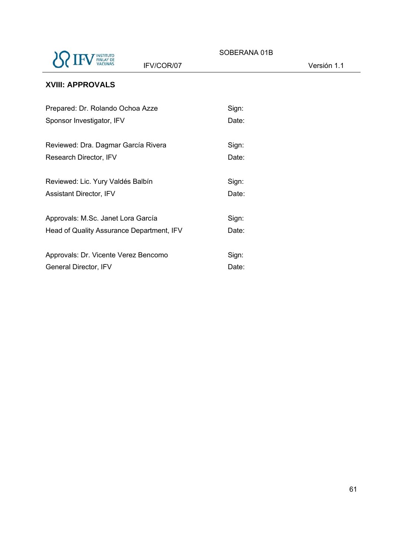

SOBERANA 01B

IFV/COR/07 Versión 1.1

# **XVIII: APPROVALS**

| Prepared: Dr. Rolando Ochoa Azze          | Sign: |
|-------------------------------------------|-------|
| Sponsor Investigator, IFV                 | Date: |
| Reviewed: Dra. Dagmar García Rivera       | Sign: |
| Research Director, IFV                    | Date: |
| Reviewed: Lic. Yury Valdés Balbín         | Sign: |
| <b>Assistant Director, IFV</b>            | Date: |
| Approvals: M.Sc. Janet Lora García        | Sign: |
| Head of Quality Assurance Department, IFV | Date: |
| Approvals: Dr. Vicente Verez Bencomo      | Sign: |
| General Director, IFV                     | Date: |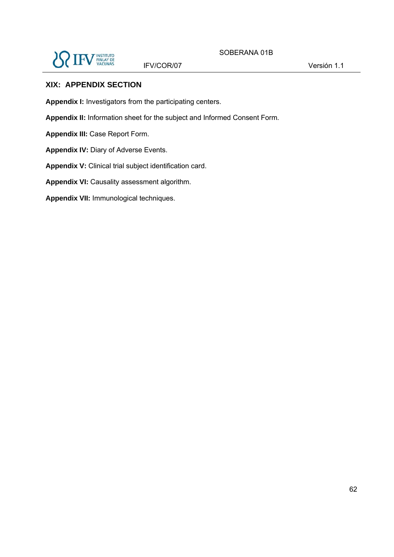

### **XIX: APPENDIX SECTION**

**Appendix I:** Investigators from the participating centers.

**Appendix II:** Information sheet for the subject and Informed Consent Form.

**Appendix III:** Case Report Form.

**Appendix IV:** Diary of Adverse Events.

**Appendix V:** Clinical trial subject identification card.

**Appendix VI:** Causality assessment algorithm.

**Appendix VII:** Immunological techniques.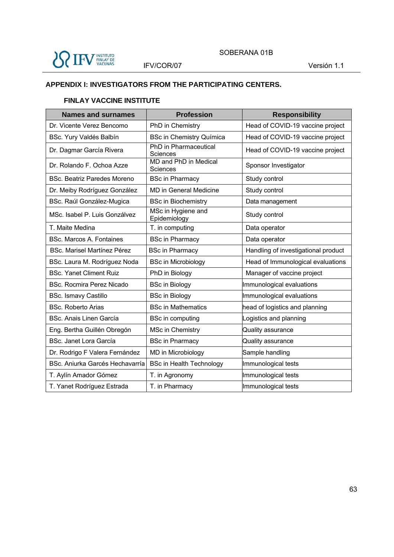

## **APPENDIX I: INVESTIGATORS FROM THE PARTICIPATING CENTERS.**

#### **FINLAY VACCINE INSTITUTE**

| <b>Names and surnames</b>          | <b>Profession</b>                        | <b>Responsibility</b>               |
|------------------------------------|------------------------------------------|-------------------------------------|
| Dr. Vicente Verez Bencomo          | PhD in Chemistry                         | Head of COVID-19 vaccine project    |
| BSc. Yury Valdés Balbín            | <b>BSc in Chemistry Química</b>          | Head of COVID-19 vaccine project    |
| Dr. Dagmar García Rivera           | <b>PhD</b> in Pharmaceutical<br>Sciences | Head of COVID-19 vaccine project    |
| Dr. Rolando F. Ochoa Azze          | MD and PhD in Medical<br>Sciences        | Sponsor Investigator                |
| <b>BSc. Beatriz Paredes Moreno</b> | <b>BSc in Pharmacy</b>                   | Study control                       |
| Dr. Meiby Rodríguez González       | <b>MD</b> in General Medicine            | Study control                       |
| BSc. Raúl González-Mugica          | <b>BSc in Biochemistry</b>               | Data management                     |
| MSc. Isabel P. Luis Gonzálvez      | MSc in Hygiene and<br>Epidemiology       | Study control                       |
| T. Maite Medina                    | T. in computing                          | Data operator                       |
| <b>BSc. Marcos A. Fontaines</b>    | <b>BSc in Pharmacy</b>                   | Data operator                       |
| <b>BSc. Marisel Martínez Pérez</b> | <b>BSc in Pharmacy</b>                   | Handling of investigational product |
| BSc. Laura M. Rodríguez Noda       | <b>BSc in Microbiology</b>               | Head of Immunological evaluations   |
| <b>BSc. Yanet Climent Ruiz</b>     | PhD in Biology                           | Manager of vaccine project          |
| <b>BSc. Rocmira Perez Nicado</b>   | <b>BSc in Biology</b>                    | Immunological evaluations           |
| <b>BSc. Ismavy Castillo</b>        | <b>BSc in Biology</b>                    | Immunological evaluations           |
| <b>BSc. Roberto Arias</b>          | <b>BSc in Mathematics</b>                | head of logistics and planning      |
| <b>BSc. Anais Linen García</b>     | <b>BSc in computing</b>                  | Logistics and planning              |
| Eng. Bertha Guillén Obregón        | MSc in Chemistry                         | Quality assurance                   |
| <b>BSc. Janet Lora García</b>      | <b>BSc in Pnarmacy</b>                   | Quality assurance                   |
| Dr. Rodrigo F Valera Fernández     | MD in Microbiology                       | Sample handling                     |
| BSc. Aniurka Garcés Hechavarría    | <b>BSc in Health Technology</b>          | Immunological tests                 |
| T. Aylín Amador Gómez              | T. in Agronomy                           | Immunological tests                 |
| T. Yanet Rodríguez Estrada         | T. in Pharmacy                           | Immunological tests                 |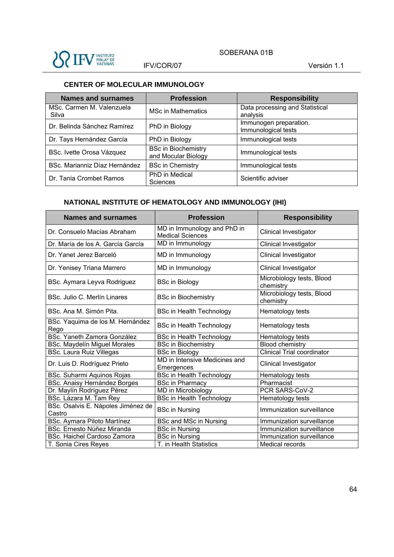

### **CENTER OF MOLECULAR IMMUNOLOGY**

| <b>Names and surnames</b>          | <b>Profession</b>                                 | <b>Responsibility</b>                         |
|------------------------------------|---------------------------------------------------|-----------------------------------------------|
| MSc. Carmen M. Valenzuela<br>Silva | <b>MSc in Mathematics</b>                         | Data processing and Statistical<br>analysis   |
| Dr. Belinda Sánchez Ramírez        | PhD in Biology                                    | Immunogen preparation.<br>Immunological tests |
| Dr. Tays Hernández García          | PhD in Biology                                    | Immunological tests                           |
| BSc. Ivette Orosa Vázquez          | <b>BSc in Biochemistry</b><br>and Mocular Biology | Immunological tests                           |
| BSc. Marianniz Díaz Hernández      | <b>BSc in Chemistry</b>                           | Immunological tests                           |
| Dr. Tania Crombet Ramos            | PhD in Medical<br>Sciences                        | Scientific adviser                            |

# **NATIONAL INSTITUTE OF HEMATOLOGY AND IMMUNOLOGY (IHI)**

| <b>Names and surnames</b>                    | <b>Profession</b>                                      | <b>Responsibility</b>                  |
|----------------------------------------------|--------------------------------------------------------|----------------------------------------|
| Dr. Consuelo Macías Abraham                  | MD in Immunology and PhD in<br><b>Medical Sciences</b> | <b>Clinical Investigator</b>           |
| Dr. María de los A. García García            | MD in Immunology                                       | Clinical Investigator                  |
| Dr. Yanet Jerez Barceló                      | MD in Immunology                                       | Clinical Investigator                  |
| Dr. Yenisey Triana Marrero                   | MD in Immunology                                       | Clinical Investigator                  |
| BSc. Aymara Leyva Rodriguez                  | <b>BSc in Biology</b>                                  | Microbiology tests, Blood<br>chemistry |
| BSc. Julio C. Merlín Linares                 | <b>BSc in Biochemistry</b>                             | Microbiology tests, Blood<br>chemistry |
| BSc. Ana M. Simón Pita.                      | <b>BSc in Health Technology</b>                        | Hematology tests                       |
| BSc. Yaquima de los M. Hernández<br>Rego     | <b>BSc in Health Technology</b>                        | Hematology tests                       |
| BSc. Yaneth Zamora González                  | <b>BSc in Health Technology</b>                        | Hematology tests                       |
| BSc. Maydelín Miguel Morales                 | <b>BSc in Biochemistry</b>                             | <b>Blood chemistry</b>                 |
| <b>BSc. Laura Ruiz Villegas</b>              | <b>BSc in Biology</b>                                  | <b>Clinical Trial coordinator</b>      |
| Dr. Luis D. Rodríguez Prieto                 | MD in Intensive Medicines and<br>Emergences            | <b>Clinical Investigator</b>           |
| BSc. Suharmi Aquinos Rojas                   | <b>BSc in Health Technology</b>                        | Hematology tests                       |
| BSc. Anaisy Hernández Borges                 | <b>BSc in Pharmacy</b>                                 | Pharmacist                             |
| Dr. Maylín Rodríguez Pérez                   | MD in Microbiology                                     | PCR SARS-CoV-2                         |
| BSc. Lázara M. Tam Rey                       | <b>BSc in Health Technology</b>                        | Hematology tests                       |
| BSc. Osalvis E. Nápoles Jiménez de<br>Castro | <b>BSc in Nursing</b>                                  | Immunization surveillance              |
| BSc. Aymara Piloto Martínez                  | <b>BSc and MSc in Nursing</b>                          | Immunization surveillance              |
| BSc. Ernesto Núñez Miranda                   | <b>BSc in Nursing</b>                                  | Immunization surveillance              |
| BSc. Haichel Cardoso Zamora                  | <b>BSc in Nursing</b>                                  | Immunization surveillance              |
| T. Sonia Cires Reyes                         | T. in Health Statistics                                | Medical records                        |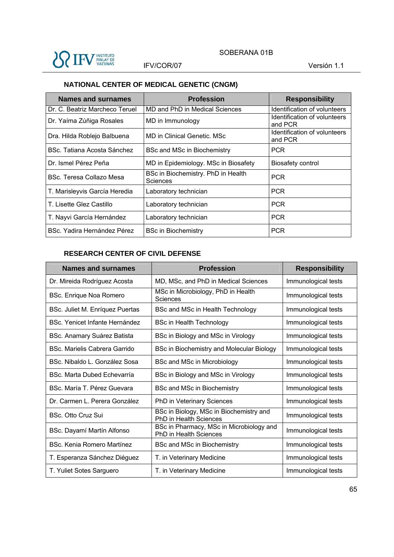

# **NATIONAL CENTER OF MEDICAL GENETIC (CNGM)**

| Names and surnames             | <b>Profession</b>                              | <b>Responsibility</b>                   |
|--------------------------------|------------------------------------------------|-----------------------------------------|
| Dr. C. Beatriz Marcheco Teruel | MD and PhD in Medical Sciences                 | Identification of volunteers            |
| Dr. Yaíma Zúñiga Rosales       | MD in Immunology                               | Identification of volunteers<br>and PCR |
| Dra. Hilda Roblejo Balbuena    | MD in Clinical Genetic. MSc                    | Identification of volunteers<br>and PCR |
| BSc. Tatiana Acosta Sánchez    | BSc and MSc in Biochemistry                    | <b>PCR</b>                              |
| Dr. Ismel Pérez Peña           | MD in Epidemiology. MSc in Biosafety           | <b>Biosafety control</b>                |
| BSc. Teresa Collazo Mesa       | BSc in Biochemistry. PhD in Health<br>Sciences | <b>PCR</b>                              |
| T. Marisleyvis García Heredia  | Laboratory technician                          | <b>PCR</b>                              |
| T. Lisette Glez Castillo       | Laboratory technician                          | <b>PCR</b>                              |
| T. Nayvi García Hernández      | Laboratory technician                          | <b>PCR</b>                              |
| BSc. Yadira Hernández Pérez    | <b>BSc in Biochemistry</b>                     | <b>PCR</b>                              |

## **RESEARCH CENTER OF CIVIL DEFENSE**

| Names and surnames              | <b>Profession</b>                                                         | <b>Responsibility</b> |
|---------------------------------|---------------------------------------------------------------------------|-----------------------|
| Dr. Mireida Rodríguez Acosta    | MD, MSc, and PhD in Medical Sciences                                      | Immunological tests   |
| BSc. Enrique Noa Romero         | MSc in Microbiology, PhD in Health<br>Sciences                            | Immunological tests   |
| BSc. Juliet M. Enríquez Puertas | BSc and MSc in Health Technology                                          | Immunological tests   |
| BSc. Yenicet Infante Hernández  | <b>BSc in Health Technology</b>                                           | Immunological tests   |
| BSc. Anamary Suárez Batista     | BSc in Biology and MSc in Virology                                        | Immunological tests   |
| B.S.c. Marielis Cabrera Garrido | BSc in Biochemistry and Molecular Biology                                 | Immunological tests   |
| BSc. Nibaldo L. González Sosa   | BSc and MSc in Microbiology                                               | Immunological tests   |
| BSc. Marta Dubed Echevarría     | BSc in Biology and MSc in Virology                                        | Immunological tests   |
| BSc. María T. Pérez Guevara     | BSc and MSc in Biochemistry                                               | Immunological tests   |
| Dr. Carmen L. Perera González   | PhD in Veterinary Sciences                                                | Immunological tests   |
| BSc. Otto Cruz Sui              | BSc in Biology, MSc in Biochemistry and<br><b>PhD in Health Sciences</b>  | Immunological tests   |
| BSc. Dayamí Martín Alfonso      | BSc in Pharmacy, MSc in Microbiology and<br><b>PhD</b> in Health Sciences | Immunological tests   |
| BSc. Kenia Romero Martínez      | BSc and MSc in Biochemistry                                               | Immunological tests   |
| T. Esperanza Sánchez Diéguez    | T. in Veterinary Medicine                                                 | Immunological tests   |
| T. Yuliet Sotes Sarguero        | T. in Veterinary Medicine                                                 | Immunological tests   |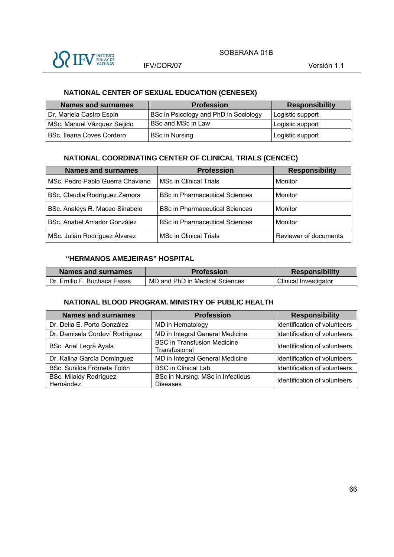

# **NATIONAL CENTER OF SEXUAL EDUCATION (CENESEX)**

| <b>Names and surnames</b>   | <b>Profession</b>                     | <b>Responsibility</b> |
|-----------------------------|---------------------------------------|-----------------------|
| Dr. Mariela Castro Espín    | BSc in Psicology and PhD in Sociology | Logistic support      |
| MSc. Manuel Vázquez Seijido | <b>BSc and MSc in Law</b>             | Logistic support      |
| BSc. Ileana Coves Cordero   | <b>BSc in Nursing</b>                 | Logistic support      |

#### **NATIONAL COORDINATING CENTER OF CLINICAL TRIALS (CENCEC)**

| <b>Names and surnames</b>        | <b>Profession</b>                     | <b>Responsibility</b> |
|----------------------------------|---------------------------------------|-----------------------|
| MSc. Pedro Pablo Guerra Chaviano | <b>MSc in Clinical Trials</b>         | Monitor               |
| BSc. Claudia Rodríguez Zamora    | <b>BSc in Pharmaceutical Sciences</b> | Monitor               |
| BSc. Analeys R. Maceo Sinabele   | <b>BSc in Pharmaceutical Sciences</b> | Monitor               |
| BSc. Anabel Amador González      | <b>BSc in Pharmaceutical Sciences</b> | Monitor               |
| MSc. Julián Rodríguez Álvarez    | <b>MSc in Clinical Trials</b>         | Reviewer of documents |

#### **"HERMANOS AMEJEIRAS" HOSPITAL**

| Names and surnames          | <b>Profession</b>              | <b>Responsibility</b> |
|-----------------------------|--------------------------------|-----------------------|
| Dr. Emilio F. Buchaca Faxas | MD and PhD in Medical Sciences | Clinical Investigator |

#### **NATIONAL BLOOD PROGRAM. MINISTRY OF PUBLIC HEALTH**

| <b>Names and surnames</b>                  | <b>Profession</b>                                    | <b>Responsibility</b>        |
|--------------------------------------------|------------------------------------------------------|------------------------------|
| Dr. Delia E. Porto González                | MD in Hematology                                     | Identification of volunteers |
| Dr. Damisela Cordoví Rodríguez             | MD in Integral General Medicine                      | Identification of volunteers |
| BSc. Ariel Legrá Ayala                     | <b>BSC in Transfusion Medicine</b><br>Transfusional  | Identification of volunteers |
| Dr. Kalina García Domínguez                | MD in Integral General Medicine                      | Identification of volunteers |
| BSc. Sunilda Frómeta Tolón                 | <b>BSC in Clinical Lab</b>                           | Identification of volunteers |
| <b>BSc. Milaidy Rodríguez</b><br>Hernández | BSc in Nursing. MSc in Infectious<br><b>Diseases</b> | Identification of volunteers |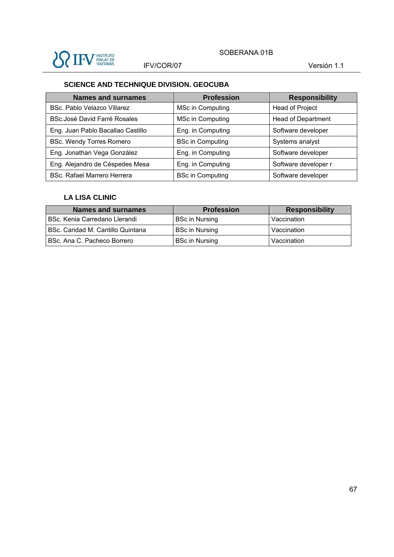

# **SCIENCE AND TECHNIQUE DIVISION. GEOCUBA**

| <b>Names and surnames</b>           | <b>Profession</b>       | <b>Responsibility</b>     |
|-------------------------------------|-------------------------|---------------------------|
| BSc. Pablo Velazco Villarez         | MSc in Computing        | <b>Head of Project</b>    |
| <b>BSc.José David Farré Rosales</b> | MSc in Computing        | <b>Head of Department</b> |
| Eng. Juan Pablo Bacallao Castillo   | Eng. in Computing       | Software developer        |
| <b>BSc. Wendy Torres Romero</b>     | <b>BSc in Computing</b> | Systems analyst           |
| Eng. Jonathan Vega González         | Eng. in Computing       | Software developer        |
| Eng. Alejandro de Céspedes Mesa     | Eng. in Computing       | Software developer r      |
| BSc. Rafael Marrero Herrera         | <b>BSc in Computing</b> | Software developer        |

#### **LA LISA CLINIC**

| <b>Names and surnames</b>         | <b>Profession</b>     | <b>Responsibility</b> |
|-----------------------------------|-----------------------|-----------------------|
| BSc. Kenia Carredano Llerandi     | <b>BSc in Nursing</b> | Vaccination           |
| BSc. Caridad M. Cantillo Quintana | <b>BSc in Nursing</b> | Vaccination           |
| BSc. Ana C. Pacheco Borrero       | <b>BSc in Nursing</b> | Vaccination           |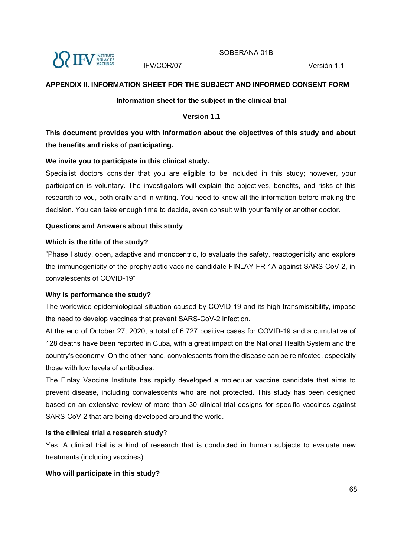

### **APPENDIX II. INFORMATION SHEET FOR THE SUBJECT AND INFORMED CONSENT FORM**

#### **Information sheet for the subject in the clinical trial**

#### **Version 1.1**

# **This document provides you with information about the objectives of this study and about the benefits and risks of participating.**

#### **We invite you to participate in this clinical study.**

Specialist doctors consider that you are eligible to be included in this study; however, your participation is voluntary. The investigators will explain the objectives, benefits, and risks of this research to you, both orally and in writing. You need to know all the information before making the decision. You can take enough time to decide, even consult with your family or another doctor.

#### **Questions and Answers about this study**

#### **Which is the title of the study?**

"Phase I study, open, adaptive and monocentric, to evaluate the safety, reactogenicity and explore the immunogenicity of the prophylactic vaccine candidate FINLAY-FR-1A against SARS-CoV-2, in convalescents of COVID-19"

#### **Why is performance the study?**

The worldwide epidemiological situation caused by COVID-19 and its high transmissibility, impose the need to develop vaccines that prevent SARS-CoV-2 infection.

At the end of October 27, 2020, a total of 6,727 positive cases for COVID-19 and a cumulative of 128 deaths have been reported in Cuba, with a great impact on the National Health System and the country's economy. On the other hand, convalescents from the disease can be reinfected, especially those with low levels of antibodies.

The Finlay Vaccine Institute has rapidly developed a molecular vaccine candidate that aims to prevent disease, including convalescents who are not protected. This study has been designed based on an extensive review of more than 30 clinical trial designs for specific vaccines against SARS-CoV-2 that are being developed around the world.

#### **Is the clinical trial a research study**?

Yes. A clinical trial is a kind of research that is conducted in human subjects to evaluate new treatments (including vaccines).

#### **Who will participate in this study?**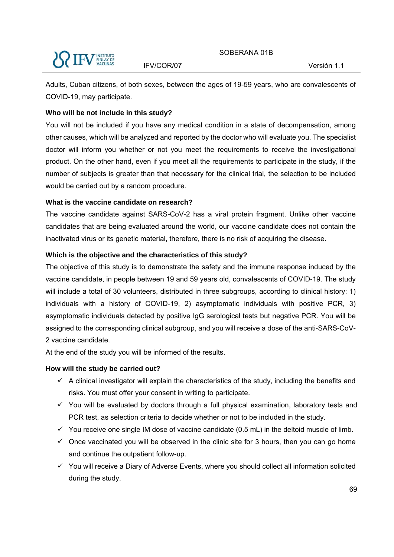Adults, Cuban citizens, of both sexes, between the ages of 19-59 years, who are convalescents of COVID-19, may participate.

### **Who will be not include in this study?**

You will not be included if you have any medical condition in a state of decompensation, among other causes, which will be analyzed and reported by the doctor who will evaluate you. The specialist doctor will inform you whether or not you meet the requirements to receive the investigational product. On the other hand, even if you meet all the requirements to participate in the study, if the number of subjects is greater than that necessary for the clinical trial, the selection to be included would be carried out by a random procedure.

### **What is the vaccine candidate on research?**

The vaccine candidate against SARS-CoV-2 has a viral protein fragment. Unlike other vaccine candidates that are being evaluated around the world, our vaccine candidate does not contain the inactivated virus or its genetic material, therefore, there is no risk of acquiring the disease.

### **Which is the objective and the characteristics of this study?**

The objective of this study is to demonstrate the safety and the immune response induced by the vaccine candidate, in people between 19 and 59 years old, convalescents of COVID-19. The study will include a total of 30 volunteers, distributed in three subgroups, according to clinical history: 1) individuals with a history of COVID-19, 2) asymptomatic individuals with positive PCR, 3) asymptomatic individuals detected by positive IgG serological tests but negative PCR. You will be assigned to the corresponding clinical subgroup, and you will receive a dose of the anti-SARS-CoV-2 vaccine candidate.

At the end of the study you will be informed of the results.

### **How will the study be carried out?**

- $\checkmark$  A clinical investigator will explain the characteristics of the study, including the benefits and risks. You must offer your consent in writing to participate.
- $\checkmark$  You will be evaluated by doctors through a full physical examination, laboratory tests and PCR test, as selection criteria to decide whether or not to be included in the study.
- $\checkmark$  You receive one single IM dose of vaccine candidate (0.5 mL) in the deltoid muscle of limb.
- $\checkmark$  Once vaccinated you will be observed in the clinic site for 3 hours, then you can go home and continue the outpatient follow-up.
- $\checkmark$  You will receive a Diary of Adverse Events, where you should collect all information solicited during the study.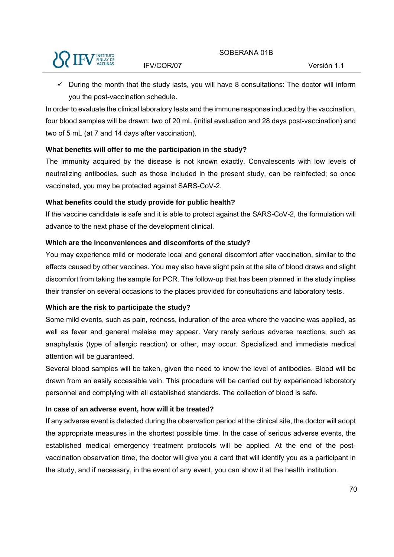

 $\checkmark$  During the month that the study lasts, you will have 8 consultations: The doctor will inform you the post-vaccination schedule.

In order to evaluate the clinical laboratory tests and the immune response induced by the vaccination, four blood samples will be drawn: two of 20 mL (initial evaluation and 28 days post-vaccination) and two of 5 mL (at 7 and 14 days after vaccination).

### **What benefits will offer to me the participation in the study?**

The immunity acquired by the disease is not known exactly. Convalescents with low levels of neutralizing antibodies, such as those included in the present study, can be reinfected; so once vaccinated, you may be protected against SARS-CoV-2.

### **What benefits could the study provide for public health?**

If the vaccine candidate is safe and it is able to protect against the SARS-CoV-2, the formulation will advance to the next phase of the development clinical.

### **Which are the inconveniences and discomforts of the study?**

You may experience mild or moderate local and general discomfort after vaccination, similar to the effects caused by other vaccines. You may also have slight pain at the site of blood draws and slight discomfort from taking the sample for PCR. The follow-up that has been planned in the study implies their transfer on several occasions to the places provided for consultations and laboratory tests.

## **Which are the risk to participate the study?**

Some mild events, such as pain, redness, induration of the area where the vaccine was applied, as well as fever and general malaise may appear. Very rarely serious adverse reactions, such as anaphylaxis (type of allergic reaction) or other, may occur. Specialized and immediate medical attention will be guaranteed.

Several blood samples will be taken, given the need to know the level of antibodies. Blood will be drawn from an easily accessible vein. This procedure will be carried out by experienced laboratory personnel and complying with all established standards. The collection of blood is safe.

## **In case of an adverse event, how will it be treated?**

If any adverse event is detected during the observation period at the clinical site, the doctor will adopt the appropriate measures in the shortest possible time. In the case of serious adverse events, the established medical emergency treatment protocols will be applied. At the end of the postvaccination observation time, the doctor will give you a card that will identify you as a participant in the study, and if necessary, in the event of any event, you can show it at the health institution.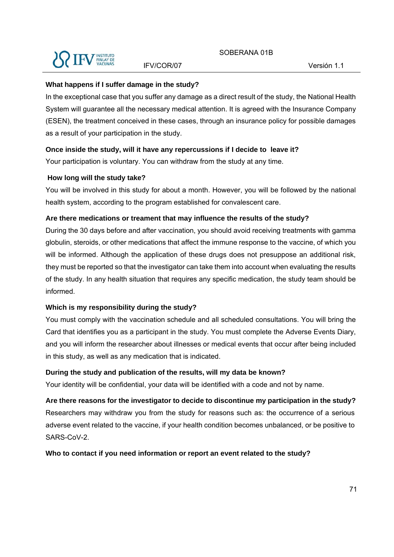

#### **What happens if I suffer damage in the study?**

In the exceptional case that you suffer any damage as a direct result of the study, the National Health System will guarantee all the necessary medical attention. It is agreed with the Insurance Company (ESEN), the treatment conceived in these cases, through an insurance policy for possible damages as a result of your participation in the study.

#### **Once inside the study, will it have any repercussions if I decide to leave it?**

Your participation is voluntary. You can withdraw from the study at any time.

#### **How long will the study take?**

You will be involved in this study for about a month. However, you will be followed by the national health system, according to the program established for convalescent care.

#### **Are there medications or treament that may influence the results of the study?**

During the 30 days before and after vaccination, you should avoid receiving treatments with gamma globulin, steroids, or other medications that affect the immune response to the vaccine, of which you will be informed. Although the application of these drugs does not presuppose an additional risk, they must be reported so that the investigator can take them into account when evaluating the results of the study. In any health situation that requires any specific medication, the study team should be informed.

### **Which is my responsibility during the study?**

You must comply with the vaccination schedule and all scheduled consultations. You will bring the Card that identifies you as a participant in the study. You must complete the Adverse Events Diary, and you will inform the researcher about illnesses or medical events that occur after being included in this study, as well as any medication that is indicated.

#### **During the study and publication of the results, will my data be known?**

Your identity will be confidential, your data will be identified with a code and not by name.

**Are there reasons for the investigator to decide to discontinue my participation in the study?**  Researchers may withdraw you from the study for reasons such as: the occurrence of a serious adverse event related to the vaccine, if your health condition becomes unbalanced, or be positive to SARS-CoV-2.

#### **Who to contact if you need information or report an event related to the study?**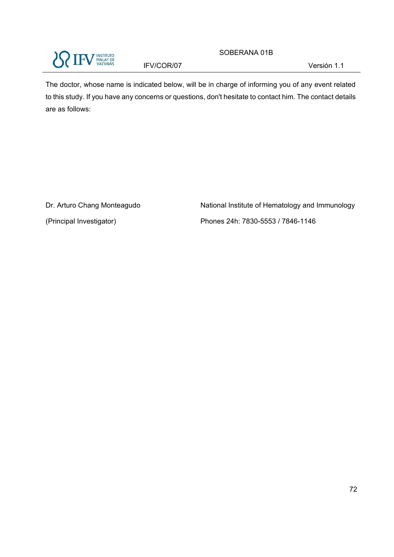

SOBERANA 01B

The doctor, whose name is indicated below, will be in charge of informing you of any event related to this study. If you have any concerns or questions, don't hesitate to contact him. The contact details are as follows:

Dr. Arturo Chang Monteagudo

(Principal Investigator)

National Institute of Hematology and Immunology Phones 24h: 7830-5553 / 7846-1146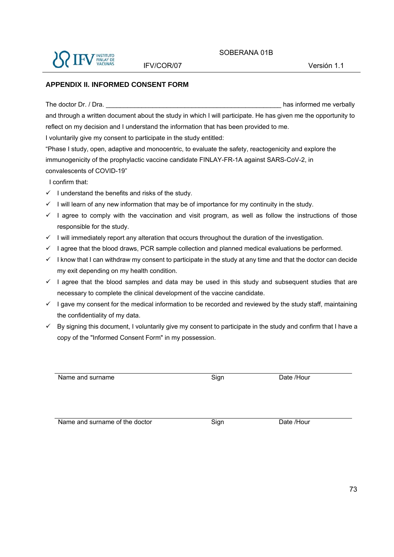

#### **APPENDIX II. INFORMED CONSENT FORM**

The doctor Dr. / Dra. **Example 20** and the doctor Dr. / Dra. **and the set of the set of the set of the set of the set of the set of the set of the set of the set of the set of the set of the set of the set of the set of th** and through a written document about the study in which I will participate. He has given me the opportunity to reflect on my decision and I understand the information that has been provided to me. I voluntarily give my consent to participate in the study entitled:

"Phase I study, open, adaptive and monocentric, to evaluate the safety, reactogenicity and explore the immunogenicity of the prophylactic vaccine candidate FINLAY-FR-1A against SARS-CoV-2, in convalescents of COVID-19"

I confirm that:

- $\checkmark$  I understand the benefits and risks of the study.
- $\checkmark$  I will learn of any new information that may be of importance for my continuity in the study.
- $\checkmark$  I agree to comply with the vaccination and visit program, as well as follow the instructions of those responsible for the study.
- $\checkmark$  I will immediately report any alteration that occurs throughout the duration of the investigation.
- $\checkmark$  I agree that the blood draws, PCR sample collection and planned medical evaluations be performed.
- $\checkmark$  I know that I can withdraw my consent to participate in the study at any time and that the doctor can decide my exit depending on my health condition.
- $\checkmark$  I agree that the blood samples and data may be used in this study and subsequent studies that are necessary to complete the clinical development of the vaccine candidate.
- $\checkmark$  I gave my consent for the medical information to be recorded and reviewed by the study staff, maintaining the confidentiality of my data.
- $\checkmark$  By signing this document, I voluntarily give my consent to participate in the study and confirm that I have a copy of the "Informed Consent Form" in my possession.

Name and surname **Sign** Date /Hour

Name and surname of the doctor Sign Bate /Hour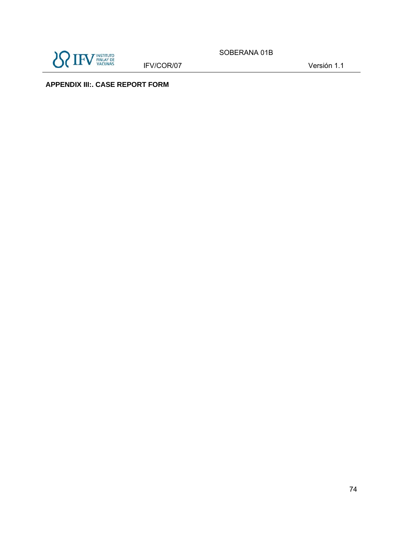

IFV/COR/07 Versión 1.1

SOBERANA 01B

**APPENDIX III:. CASE REPORT FORM**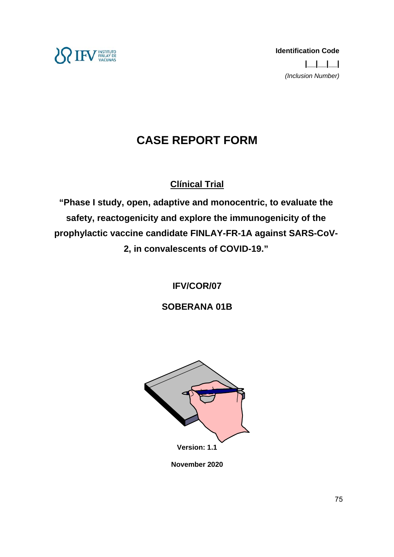

# **CASE REPORT FORM**

## **Clínical Trial**

**"Phase I study, open, adaptive and monocentric, to evaluate the safety, reactogenicity and explore the immunogenicity of the prophylactic vaccine candidate FINLAY-FR-1A against SARS-CoV-2, in convalescents of COVID-19."** 

**IFV/COR/07** 

**SOBERANA 01B** 



**November 2020**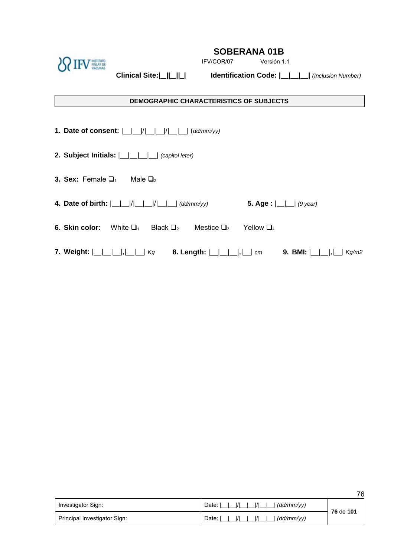

IFV/COR/07 Versión 1.1

**Clinical Site:| || || | Identification Code: | | | |** *(Inclusion Number)* 

#### **DEMOGRAPHIC CHARACTERISTICS OF SUBJECTS**

1. Date of consent:  $\frac{|1|}{|1|}$  || || || || (dd/mm/yy)

- **2. Subject Initials:**  $| \_ | \_ | \_ |$  (capitol leter)
- **3. Sex:** Female  $\Box_1$  Male  $\Box_2$
- **4.** Date of birth:  $\begin{array}{c|c|c|c|c} \hline \end{array}$   $\begin{array}{c|c|c} \hline \end{array}$   $\begin{array}{c|c|c} \hline \end{array}$   $\begin{array}{c|c|c} \hline \end{array}$  **4.** Date of birth:  $\begin{array}{c|c|c} \hline \end{array}$   $\begin{array}{c|c|c} \hline \end{array}$   $\begin{array}{c|c} \hline \end{array}$   $\begin{array}{c|c} \hline \end{array}$   $\begin{array}{$
- **6. Skin color:** White  $\Box_1$  Black  $\Box_2$  Mestice  $\Box_3$  Yellow  $\Box_4$
- **7. Weight:** | | | |,| | | *Kg* **8. Length:** | | | |,| | *cm* **9. BMI:** | | |,| | *Kg/m2*

|                              |                                       | . .       |
|------------------------------|---------------------------------------|-----------|
| Investigator Sign:           | I/I<br>  (dd/mm/vv)<br>Date: I        | 76 de 101 |
| Principal Investigator Sign: | $\langle dd/mm/yy \rangle$<br>Date: I |           |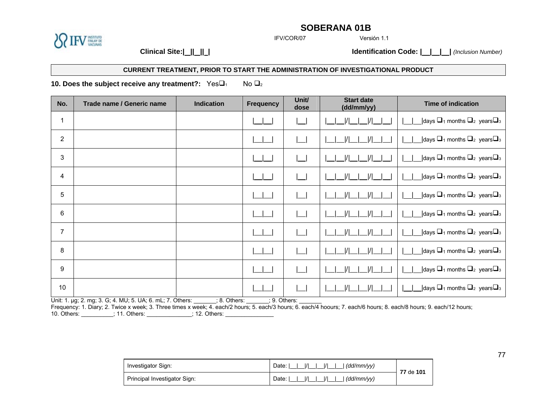

IFV/COR/07

Versión 1.1

**Clinical Site:| || || | Identification Code: | | | |** *(Inclusion Number)*

#### **CURRENT TREATMENT, PRIOR TO START THE ADMINISTRATION OF INVESTIGATIONAL PRODUCT**

**10. Does the subject receive any treatment?:** Yes $\Box_1$  No  $\Box_2$ 

| No.            | Trade name / Generic name                                 | <b>Indication</b> | <b>Frequency</b> | Unit/<br>dose | <b>Start date</b><br>(dd/mm/yy)  | <b>Time of indication</b>                                                                       |
|----------------|-----------------------------------------------------------|-------------------|------------------|---------------|----------------------------------|-------------------------------------------------------------------------------------------------|
| 1              |                                                           |                   |                  |               |                                  | $\Box$ days $\Box$ <sub>1</sub> months $\Box$ <sub>2</sub> years $\Box$ <sub>3</sub>            |
| $\overline{2}$ |                                                           |                   |                  |               | $\overline{u}$                   | $\Box$ days $\Box$ <sub>1</sub> months $\Box$ <sub>2</sub> years $\Box$ <sub>3</sub>            |
| 3              |                                                           |                   |                  |               |                                  | <b>Notable </b> 1 months $\Box$ <sub>2</sub> years $\Box$ <sub>3</sub>                          |
| 4              |                                                           |                   |                  |               |                                  | $\Box$ days $\Box$ <sub>1</sub> months $\Box$ <sub>2</sub> years $\Box$ <sub>3</sub>            |
| 5              |                                                           |                   |                  |               | $\overline{1}$<br>$\overline{1}$ | $\Box$ days $\Box$ <sub>1</sub> months $\Box$ <sub>2</sub> years $\Box$ <sub>3</sub>            |
| 6              |                                                           |                   |                  |               |                                  | $\Box$ days $\Box$ <sub>1</sub> months $\Box$ <sub>2</sub> years $\Box$ <sub>3</sub>            |
| $\overline{7}$ |                                                           |                   |                  |               |                                  | $\Box$ days $\Box$ <sub>1</sub> months $\Box$ <sub>2</sub> years $\Box$ <sub>3</sub>            |
| 8              |                                                           |                   |                  |               | $\overline{1}$<br> /             | $\Box$ days $\Box$ <sub>1</sub> months $\Box$ <sub>2</sub> years $\Box$ <sub>3</sub>            |
| 9              |                                                           |                   |                  |               |                                  | $\Box$ days $\Box$ <sub>1</sub> months $\Box$ <sub>2</sub> years $\Box$ <sub>3</sub>            |
| 10             |                                                           |                   |                  |               |                                  | <b>Notable 3</b> ldays $\Box$ <sub>1</sub> months $\Box$ <sub>2</sub> years $\Box$ <sub>3</sub> |
|                | Unit: 1. µg; 2. mg; 3. G; 4. MU; 5. UA; 6. mL; 7. Others: | $: 8.$ Others:    | $: 9.$ Others:   |               |                                  |                                                                                                 |

Frequency: 1. Diary; 2. Twice x week; 3. Three times x week; 4. each/2 hours; 5. each/3 hours; 6. each/4 hoours; 7. each/6 hours; 8. each/8 hours; 9. each/12 hours; 10. Others: \_\_\_\_\_\_\_\_\_\_; 11. Others: \_\_\_\_\_\_\_\_\_\_\_\_; 12. Others: \_\_\_\_\_\_\_\_\_\_\_\_\_\_\_\_\_\_

| Investigator Sign:           | I/I<br>Date:<br>. (dd/mm/vv)<br>$\frac{1}{1}$ | 77 de 101 |
|------------------------------|-----------------------------------------------|-----------|
| Principal Investigator Sign: | Date:<br>(dd/mm/vv)<br>$\frac{1}{1}$          |           |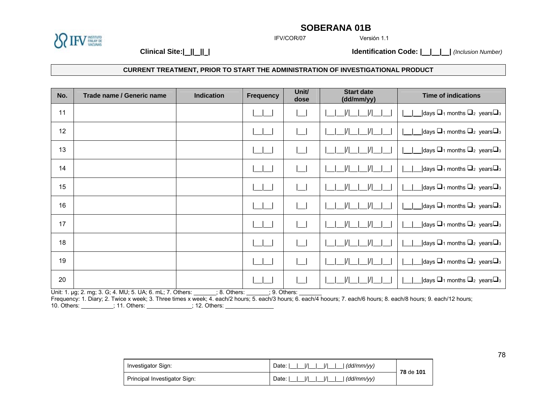IFV/COR/07

Versión 1.1

**Clinical Site:| || || | Identification Code: | | | |** *(Inclusion Number)*

**ENSTITUTO**<br>FINLAY DE<br>VACUNAS

|  |  |  | CURRENT TREATMENT. PRIOR TO START THE ADMINISTRATION OF INVESTIGATIONAL PRODUCT |  |
|--|--|--|---------------------------------------------------------------------------------|--|
|  |  |  |                                                                                 |  |

| No. | Trade name / Generic name                                 | <b>Indication</b> | <b>Frequency</b> | Unit/<br>dose | <b>Start date</b><br>(dd/mm/yy) | <b>Time of indications</b>                                                           |
|-----|-----------------------------------------------------------|-------------------|------------------|---------------|---------------------------------|--------------------------------------------------------------------------------------|
| 11  |                                                           |                   |                  |               |                                 | $\Box$ days $\Box$ <sub>1</sub> months $\Box$ <sub>2</sub> years $\Box$ <sub>3</sub> |
| 12  |                                                           |                   |                  |               |                                 | $\Box$ days $\Box$ <sub>1</sub> months $\Box$ <sub>2</sub> years $\Box$ <sub>3</sub> |
| 13  |                                                           |                   |                  |               |                                 | $\Box$ days $\Box$ 1 months $\Box$ <sub>2</sub> years $\Box$ <sub>3</sub>            |
| 14  |                                                           |                   |                  |               |                                 | $\Box$ days $\Box$ <sub>1</sub> months $\Box$ <sub>2</sub> years $\Box$ <sub>3</sub> |
| 15  |                                                           |                   |                  |               |                                 | $\Box$ days $\Box$ <sub>1</sub> months $\Box$ <sub>2</sub> years $\Box$ <sub>3</sub> |
| 16  |                                                           |                   |                  |               |                                 | <b>Notable 3</b> Months $\Box$ <sub>2</sub> years $\Box$ <sub>3</sub>                |
| 17  |                                                           |                   |                  |               |                                 | $\Box$ days $\Box$ <sub>1</sub> months $\Box$ <sub>2</sub> years $\Box$ <sub>3</sub> |
| 18  |                                                           |                   |                  |               |                                 | _ days $□_1$ months $□_2$ years $□_3$                                                |
| 19  |                                                           |                   |                  |               |                                 | $\Box$ days $\Box$ <sub>1</sub> months $\Box$ <sub>2</sub> years $\Box$ <sub>3</sub> |
| 20  |                                                           |                   |                  |               |                                 | $\Box$ days $\Box$ <sub>1</sub> months $\Box$ <sub>2</sub> years $\Box$ <sub>3</sub> |
|     | Unit: 1. µg; 2. mg; 3. G; 4. MU; 5. UA; 6. mL; 7. Others: | ; 8. Others:      | ; 9. Others:     |               |                                 |                                                                                      |

Frequency: 1. Diary; 2. Twice x week; 3. Three times x week; 4. each/2 hours; 5. each/3 hours; 6. each/4 hoours; 7. each/6 hours; 8. each/8 hours; 9. each/12 hours; 10. Others:  $\hspace{1.5cm}$  : 11. Others:  $\hspace{1.5cm}$  : 12. Others:  $\hspace{1.5cm}$ 

| Investigator Sign:           | $\frac{1}{1}$<br>Date:<br>. (dd/mm/vv)<br>$\frac{1}{1}$     | 78 de 101 |
|------------------------------|-------------------------------------------------------------|-----------|
| Principal Investigator Sign: | $\overline{11}$<br>Date: I<br>  (dd/mm/vv)<br>$\frac{1}{1}$ |           |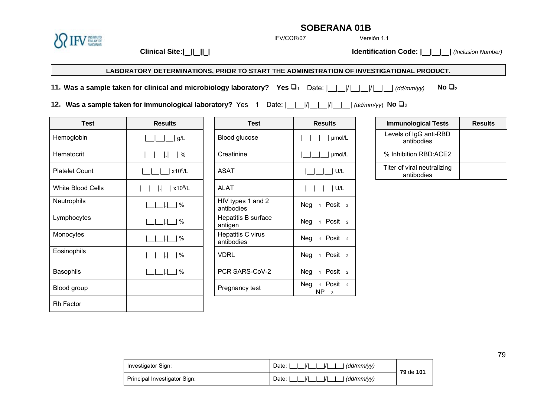**ENSTITUTO**<br>FINLAY DE<br>VACUNAS

IFV/COR/07

Versión 1.1

**Clinical Site:| || || | Identification Code: | | | |** *(Inclusion Number)*

#### **LABORATORY DETERMINATIONS, PRIOR TO START THE ADMINISTRATION OF INVESTIGATIONAL PRODUCT.**

**11. Was a sample taken for clinical and microbiology laboratory? Yes** 1 Date: | | |/| | |/| | | *(dd/mm/yy)* **No** <sup>2</sup>

**12. Was a sample taken for immunological laboratory?** Yes 1 Date:  $\frac{|1|}{|1|}$  ||  $\frac{|1|}{|1|}$  *(dd/mm/yy*) No  $\Box$ <sub>2</sub>

| <b>Test</b>              | <b>Results</b>      | <b>Test</b>                     | <b>Results</b>                         |
|--------------------------|---------------------|---------------------------------|----------------------------------------|
| Hemoglobin               | g/L                 | Blood glucose                   | µmol/L                                 |
| Hematocrit               | $\%$                | Creatinine                      | umol/L                                 |
| <b>Platelet Count</b>    | x10 <sup>9</sup> /L | <b>ASAT</b>                     | U/L                                    |
| <b>White Blood Cells</b> | x10 <sup>9</sup> /L | <b>ALAT</b>                     | U/L                                    |
| Neutrophils              | $\%$                | HIV types 1 and 2<br>antibodies | Neg<br>1 Posit <sub>2</sub>            |
| Lymphocytes              | $\%$                | Hepatitis B surface<br>antigen  | 1 Posit <sub>2</sub><br>Neg            |
| Monocytes                | $\%$                | Hepatitis C virus<br>antibodies | Neg<br>1 Posit <sub>2</sub>            |
| Eosinophils              | %                   | <b>VDRL</b>                     | 1 Posit <sub>2</sub><br>Neg            |
| <b>Basophils</b>         | $\%$                | PCR SARS-CoV-2                  | Neg<br>1 Posit <sub>2</sub>            |
| Blood group              |                     | Pregnancy test                  | 1 Posit <sub>2</sub><br>Neg<br>NP<br>3 |
| <b>Rh Factor</b>         |                     |                                 |                                        |

| <b>Test</b>       | <b>Results</b>        | <b>Test</b>                     | <b>Results</b>                                                          | <b>Immunological Tests</b>                |
|-------------------|-----------------------|---------------------------------|-------------------------------------------------------------------------|-------------------------------------------|
| Hemoglobin        | g/L                   | Blood glucose                   | umol/L                                                                  | Levels of IgG anti-RBD<br>antibodies      |
| Hematocrit        | $\%$                  | Creatinine                      | µmol/L                                                                  | % Inhibition RBD:ACE2                     |
| Platelet Count    | x10 <sup>9</sup> /L   | <b>ASAT</b>                     | U/L                                                                     | Titer of viral neutralizing<br>antibodies |
| White Blood Cells | $\vert x10^9/L \vert$ | <b>ALAT</b>                     | U/L                                                                     |                                           |
| Neutrophils       | $\frac{9}{6}$         | HIV types 1 and 2<br>antibodies | Neg $1$ Posit $2$                                                       |                                           |
| Lymphocytes       | $\frac{9}{6}$         | Hepatitis B surface<br>antigen  | Posit <sub>2</sub><br>Neg <sub>1</sub>                                  |                                           |
| Monocytes         | $\frac{9}{6}$         | Hepatitis C virus<br>antibodies | Posit <sub>2</sub><br>Neg<br>$\overline{1}$                             |                                           |
| Eosinophils       | $\frac{1}{6}$         | <b>VDRL</b>                     | Posit <sub>2</sub><br>Neg <sub>1</sub>                                  |                                           |
| Basophils         | $\frac{9}{6}$         | PCR SARS-CoV-2                  | Posit <sub>2</sub><br>Neg<br>$\overline{1}$                             |                                           |
| Blood group       |                       | Pregnancy test                  | Posit <sub>2</sub><br>Neg <sub>1</sub><br>NP<br>$\overline{\mathbf{3}}$ |                                           |
|                   |                       |                                 |                                                                         |                                           |

| S      | <b>Immunological Tests</b>                | <b>Results</b> |
|--------|-------------------------------------------|----------------|
| umol/L | Levels of IgG anti-RBD<br>antibodies      |                |
| umol/L | % Inhibition RBD: ACE2                    |                |
| U/L    | Titer of viral neutralizing<br>antibodies |                |

| Investigator Sign:           | $ I $ $ I $<br>$ I $   $  (dd/mm/yy)$<br>Date: I I | 79 de 101 |
|------------------------------|----------------------------------------------------|-----------|
| Principal Investigator Sign: | $ I $   $ I $   $ dd/mm/vv\rangle$<br>Date:        |           |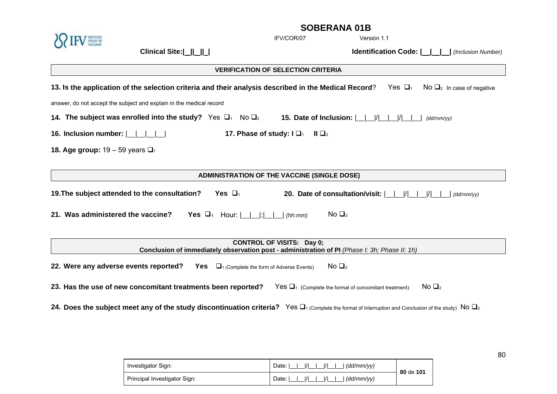|                                       |                                                                                                                          |                                                                      | OUDENAINA VID                                            |                                                                                                                                                                 |
|---------------------------------------|--------------------------------------------------------------------------------------------------------------------------|----------------------------------------------------------------------|----------------------------------------------------------|-----------------------------------------------------------------------------------------------------------------------------------------------------------------|
|                                       |                                                                                                                          |                                                                      | IFV/COR/07                                               | Versión 1.1                                                                                                                                                     |
|                                       | Clinical Site:                                                                                                           |                                                                      |                                                          | <b>Identification Code:               (Inclusion Number)</b>                                                                                                    |
|                                       |                                                                                                                          |                                                                      | <b>VERIFICATION OF SELECTION CRITERIA</b>                |                                                                                                                                                                 |
|                                       | 13. Is the application of the selection criteria and their analysis described in the Medical Record?                     |                                                                      |                                                          | Yes $\Box_1$<br>$\overline{N}$ $\overline{O}_2$ In case of negative                                                                                             |
|                                       | answer, do not accept the subject and explain in the medical record                                                      |                                                                      |                                                          |                                                                                                                                                                 |
|                                       | 14. The subject was enrolled into the study? Yes $\Box_1$ No $\Box_2$                                                    |                                                                      | 15. Date of Inclusion: $ $   $ $   $ $   $ $   $ $   $ $ | (dd/mm/vv)                                                                                                                                                      |
| 16. Inclusion number: $ $             |                                                                                                                          | 17. Phase of study: $\Box$                                           | $\mathsf{II} \ \mathsf{\square}_2$                       |                                                                                                                                                                 |
| 18. Age group: $19 - 59$ years $\Box$ |                                                                                                                          |                                                                      |                                                          |                                                                                                                                                                 |
|                                       |                                                                                                                          |                                                                      |                                                          |                                                                                                                                                                 |
|                                       |                                                                                                                          |                                                                      | <b>ADMINISTRATION OF THE VACCINE (SINGLE DOSE)</b>       |                                                                                                                                                                 |
|                                       | 19. The subject attended to the consultation?                                                                            | Yes $\Box_1$                                                         | 20. Date of consultation/visit:                          | $\frac{1}{1}$<br>(dd/mm/vv)                                                                                                                                     |
| 21. Was administered the vaccine?     |                                                                                                                          | <b>Yes</b> $\Box_1$ Hour: $\vert \ \vert \ \vert \ \vert \ \vert$    | No $\Box$ <sub>2</sub><br>(hh:mm)                        |                                                                                                                                                                 |
|                                       |                                                                                                                          |                                                                      |                                                          |                                                                                                                                                                 |
|                                       | Conclusion of immediately observation post - administration of PI (Phase I: 3h; Phase II: 1h)                            |                                                                      | <b>CONTROL OF VISITS: Day 0;</b>                         |                                                                                                                                                                 |
| 22. Were any adverse events reported? |                                                                                                                          | <b>Yes</b> $\Box$ <sub>1</sub> (Complete the form of Adverse Events) | No $\Box$ <sub>2</sub>                                   |                                                                                                                                                                 |
|                                       | 23. Has the use of new concomitant treatments been reported? Yes $\Box_1$ (Complete the format of concomitant treatment) |                                                                      |                                                          | No $\Box$ <sub>2</sub>                                                                                                                                          |
|                                       |                                                                                                                          |                                                                      |                                                          | 24. Does the subject meet any of the study discontinuation criteria? Yes $\Box_1$ (Complete the format of Interruption and Conclusion of the study) No $\Box_2$ |
|                                       |                                                                                                                          |                                                                      |                                                          |                                                                                                                                                                 |

| Investigator Sign:           | Date:<br>(dd/mm/vv)<br>$\overline{1}$                   | 80 de 101 |
|------------------------------|---------------------------------------------------------|-----------|
| Principal Investigator Sign: | $\overline{1}$<br>Date:<br>(dd/mm/vv)<br>$\overline{1}$ |           |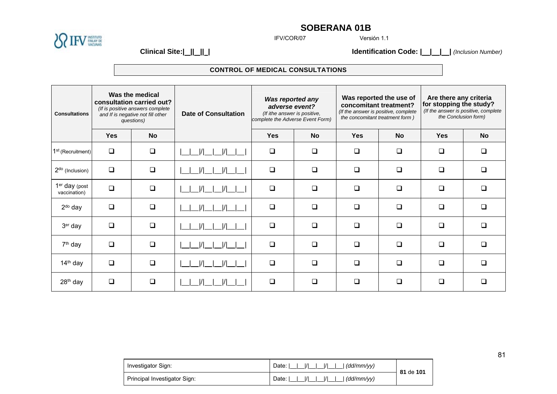

IFV/COR/07

Versión 1.1

**Clinical Site:| || || | Identification Code: | | | |** *(Inclusion Number)*

### **CONTROL OF MEDICAL CONSULTATIONS**

| <b>Consultations</b>                      | Was the medical<br>consultation carried out?<br>(If is positive answers complete<br>and If is negative not fill other<br>questions) |           | <b>Date of Consultation</b> | Was reported any<br>adverse event?<br>(If ithe answer is positive,<br>complete the Adverse Event Form) |           | concomitant treatment?<br>(If the answer is positive, complete<br>the concomitant treatment form ) | Was reported the use of | Are there any criteria<br>for stopping the study?<br>(If the answer is positive, complete<br>the Conclusion form) |           |
|-------------------------------------------|-------------------------------------------------------------------------------------------------------------------------------------|-----------|-----------------------------|--------------------------------------------------------------------------------------------------------|-----------|----------------------------------------------------------------------------------------------------|-------------------------|-------------------------------------------------------------------------------------------------------------------|-----------|
|                                           | <b>Yes</b>                                                                                                                          | <b>No</b> |                             | <b>Yes</b>                                                                                             | <b>No</b> | <b>Yes</b>                                                                                         | <b>No</b>               | <b>Yes</b>                                                                                                        | <b>No</b> |
| 1 <sup>st</sup> (Recruitment)             | $\Box$                                                                                                                              | $\Box$    | I/I<br>I/I                  | $\Box$                                                                                                 | $\Box$    | $\Box$                                                                                             | $\Box$                  | $\Box$                                                                                                            | □         |
| $2do$ (Inclusion)                         | $\Box$                                                                                                                              | $\Box$    | $\mathcal{U}$<br>I/I        | $\Box$                                                                                                 | $\Box$    | $\Box$                                                                                             | $\Box$                  | $\Box$                                                                                                            | $\Box$    |
| 1 <sup>er</sup> day (post<br>vaccination) | $\Box$                                                                                                                              | $\Box$    | I/I<br>I/I                  | $\Box$                                                                                                 | $\Box$    | $\Box$                                                                                             | $\Box$                  | ❏                                                                                                                 | $\Box$    |
| $2do$ day                                 | $\Box$                                                                                                                              | $\Box$    |                             | $\Box$                                                                                                 | $\Box$    | $\Box$                                                                                             | $\Box$                  | $\Box$                                                                                                            | $\Box$    |
| 3er day                                   | $\Box$                                                                                                                              | $\Box$    | $\overline{1}$<br> /        | $\Box$                                                                                                 | $\Box$    | $\Box$                                                                                             | $\Box$                  | $\Box$                                                                                                            | $\Box$    |
| $7th$ day                                 | ❏                                                                                                                                   | $\Box$    | $\mathcal{U}$<br>I/I        | $\Box$                                                                                                 | $\Box$    | $\Box$                                                                                             | ❏                       | $\Box$                                                                                                            | $\Box$    |
| $14th$ day                                | $\Box$                                                                                                                              | $\Box$    |                             | $\Box$                                                                                                 | $\Box$    | $\Box$                                                                                             | $\Box$                  | ❏                                                                                                                 | $\Box$    |
| $28th$ day                                | $\Box$                                                                                                                              | $\Box$    |                             | $\Box$                                                                                                 | $\Box$    | $\Box$                                                                                             | $\Box$                  | ❏                                                                                                                 | □         |

| Investigator Sign:           | $\frac{1}{1}$<br>$\frac{1}{1}$<br>Date: I<br>(dd/mm/vv)   | 81 de 101 |
|------------------------------|-----------------------------------------------------------|-----------|
| Principal Investigator Sign: | $\frac{1}{1}$<br>$\overline{11}$<br>Date: I<br>(dd/mm/vv) |           |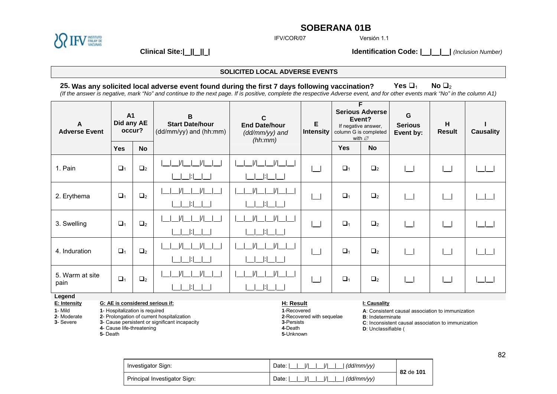

IFV/COR/07

Versión 1.1

**Clinical Site:| || || | Identification Code: | | | |** *(Inclusion Number)*

#### **SOLICITED LOCAL ADVERSE EVENTS**

## **25. Was any solicited local adverse event found during the first 7 days following vaccination?** Yes  $\Box_1$  No  $\Box_2$

*(If the answer is negative, mark "No" and continue to the next page. If is positive, complete the respective Adverse event, and for other events mark "No" in the column A1)* 

| A<br><b>Adverse Event</b>                                        | <b>A1</b><br>Did any AE<br>occur?                                                                         |                     | B<br><b>Start Date/hour</b><br>(dd/mm/yy) and (hh:mm)                                       | C<br><b>End Date/hour</b><br>(dd/mm/yy) and<br>(hh:mm)         | Е<br><b>Intensity</b>     | F<br><b>Serious Adverse</b><br>Event?<br>If negative answer,<br>column G is completed<br>with $\varnothing$ |                                                                 | G<br><b>Serious</b><br>Event by:                                                                       | н<br><b>Result</b> | <b>Causality</b> |
|------------------------------------------------------------------|-----------------------------------------------------------------------------------------------------------|---------------------|---------------------------------------------------------------------------------------------|----------------------------------------------------------------|---------------------------|-------------------------------------------------------------------------------------------------------------|-----------------------------------------------------------------|--------------------------------------------------------------------------------------------------------|--------------------|------------------|
|                                                                  | <b>Yes</b>                                                                                                | <b>No</b>           |                                                                                             |                                                                |                           | <b>Yes</b>                                                                                                  | <b>No</b>                                                       |                                                                                                        |                    |                  |
| 1. Pain                                                          | $\Box$ <sub>1</sub>                                                                                       | $\Box$ <sub>2</sub> |                                                                                             |                                                                |                           | $\Box_1$                                                                                                    | $\Box$ <sub>2</sub>                                             |                                                                                                        |                    |                  |
| 2. Erythema                                                      | $\Box_1$                                                                                                  | $\Box_2$            |                                                                                             |                                                                |                           | $\Box_1$                                                                                                    | $\Box_2$                                                        |                                                                                                        |                    |                  |
| 3. Swelling                                                      | $\Box_1$                                                                                                  | $\Box$ 2            |                                                                                             |                                                                |                           | $\Box_1$                                                                                                    | $\Box$ 2                                                        |                                                                                                        |                    |                  |
| 4. Induration                                                    | $\Box_1$                                                                                                  | $\Box_2$            |                                                                                             |                                                                |                           | $\Box_1$                                                                                                    | $\Box_2$                                                        |                                                                                                        |                    |                  |
| 5. Warm at site<br>pain                                          | $\Box$ <sub>1</sub>                                                                                       | $\Box$ 2            |                                                                                             |                                                                |                           | $\Box$ <sub>1</sub>                                                                                         | $\Box$ <sub>2</sub>                                             |                                                                                                        |                    |                  |
| Legend<br>E: Intensity<br>$1 -$ Mild<br>2- Moderate<br>3- Severe | G: AE is considered serious if:<br>1- Hospitalization is required<br>4- Cause life-threatening<br>5-Death |                     | 2- Prolongation of current hospitalization<br>3- Cause persistent or significant incapacity | H: Result<br>1-Recovered<br>3-Persists<br>4-Death<br>5-Unknown | 2-Recovered with sequelae |                                                                                                             | I: Causality<br><b>B</b> : Indeterminate<br>D: Unclassifiable ( | A: Consistent causal association to immunization<br>C: Inconsistent causal association to immunization |                    |                  |

| Investigator Sign:           | $\frac{1}{1}$<br>$\frac{1}{1}$<br>Date: I<br>(dd/mm/vv)       | 82 de 101 |
|------------------------------|---------------------------------------------------------------|-----------|
| Principal Investigator Sign: | $\overline{11}$<br>$\overline{11}$<br>Date: I<br>' (dd/mm/vv) |           |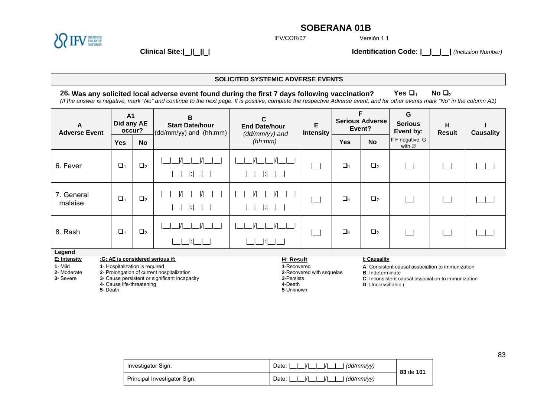

IFV/COR/07

Versión 1.1

**Clinical Site:| || || | Identification Code: | | | |** *(Inclusion Number)*

#### **SOLICITED SYSTEMIC ADVERSE EVENTS**

## **26. Was any solicited local adverse event found during the first 7 days following vaccination?** Yes  $\Box_1$  No  $\Box_2$

*(If the answer is negative, mark "No" and continue to the next page. If is positive, complete the respective Adverse event, and for other events mark "No" in the column A1)* 

| A<br><b>Adverse Event</b> | A <sub>1</sub><br>Did any AE                                       | occur?    | B<br><b>Start Date/hour</b><br>$\vert$ (dd/mm/yy) and (hh:mm) | C<br>E<br><b>End Date/hour</b><br>Intensity<br>$(dd/mm/yy)$ and |  | F<br><b>Serious Adverse</b><br>Event? |                     | G<br><b>Serious</b><br>Event by:                 | H<br><b>Result</b> | <b>Causality</b> |
|---------------------------|--------------------------------------------------------------------|-----------|---------------------------------------------------------------|-----------------------------------------------------------------|--|---------------------------------------|---------------------|--------------------------------------------------|--------------------|------------------|
|                           | <b>Yes</b>                                                         | <b>No</b> |                                                               | (hh:mm)                                                         |  | <b>Yes</b>                            | <b>No</b>           | If F negative, G<br>with $\varnothing$           |                    |                  |
| 6. Fever                  | $\Box_1$                                                           | $\Box_2$  |                                                               |                                                                 |  | $\Box_1$                              | $\Box$ <sub>2</sub> |                                                  |                    |                  |
| 7. General<br>malaise     | $\Box_1$                                                           | $\Box_2$  |                                                               |                                                                 |  | $\Box_1$                              | $\Box_2$            |                                                  |                    |                  |
| 8. Rash                   | $\Box$ 1                                                           | $\Box_2$  |                                                               |                                                                 |  | $\Box_1$                              | $\Box$ <sub>2</sub> |                                                  |                    |                  |
| Legend                    |                                                                    |           |                                                               |                                                                 |  |                                       |                     |                                                  |                    |                  |
| E: Intensity<br>1- Mild   | :G: AE is considered serious if:<br>1- Hospitalization is required |           | $\mathbf{r}$ and $\mathbf{r}$                                 | H: Result<br>1-Recovered                                        |  |                                       | I: Causality        | A: Consistent causal association to immunization |                    |                  |

**2**- Moderate **2**- Prolongation of current hospitalization

**3**- Severe **3**- Cause persistent or significant incapacity **4**- Cause life-threatening

**5**- Death

**2**-Recovered with sequelae **3**-Persists **4**-Death **5**-Unknown

**B**: Indeterminate

**C**: Inconsistent causal association to immunization **D**: Unclassifiable (

| Investigator Sign:           | .  /           (dd/mm/yy)<br>Date: I I | 83 de 101 |
|------------------------------|----------------------------------------|-----------|
| Principal Investigator Sign: | $\mid$ (dd/mm/vv)                      |           |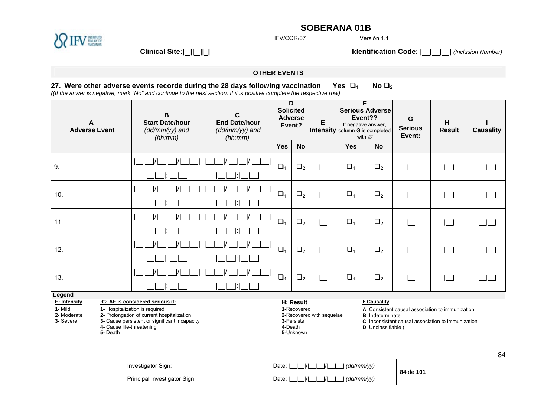

IFV/COR/07

Versión 1.1

**Clinical Site:| || || | Identification Code: | | | |** *(Inclusion Number)*

## **OTHER EVENTS**

## **27. Were other adverse events recorde during the 28 days following vaccination Yes**  $\Box_1$  **No**  $\Box_2$

*((If the anwer is negative, mark "No" and continue to the next section. If it is positive complete the respective row)* 

| A<br><b>Adverse Event</b>                                                                                                                                                                                                                                         |  | $\mathbf B$<br><b>Start Date/hour</b><br>(dd/mm/yy) and<br>(hh:mm) | C<br><b>End Date/hour</b><br>(dd/mm/yy) and<br>(hh:mm) | D<br><b>Solicited</b><br><b>Adverse</b><br>Event?   |                           | E | F<br><b>Serious Adverse</b><br>Event??<br>If negative answer,<br><b>Intensity</b> column G is completed<br>with $\varnothing$ |           | G<br><b>Serious</b><br>Event:                                                                          | н<br><b>Result</b> | <b>Causality</b> |
|-------------------------------------------------------------------------------------------------------------------------------------------------------------------------------------------------------------------------------------------------------------------|--|--------------------------------------------------------------------|--------------------------------------------------------|-----------------------------------------------------|---------------------------|---|-------------------------------------------------------------------------------------------------------------------------------|-----------|--------------------------------------------------------------------------------------------------------|--------------------|------------------|
|                                                                                                                                                                                                                                                                   |  |                                                                    |                                                        | <b>Yes</b>                                          | <b>No</b>                 |   | <b>Yes</b>                                                                                                                    | <b>No</b> |                                                                                                        |                    |                  |
| 9.                                                                                                                                                                                                                                                                |  |                                                                    |                                                        | $\Box_1$                                            | $\Box_2$                  |   | $\Box_1$                                                                                                                      | $\Box_2$  |                                                                                                        |                    |                  |
|                                                                                                                                                                                                                                                                   |  |                                                                    |                                                        |                                                     |                           |   |                                                                                                                               |           |                                                                                                        |                    |                  |
| 10.                                                                                                                                                                                                                                                               |  |                                                                    |                                                        | $\Box_1$                                            | $\Box_2$                  |   | $\Box_1$                                                                                                                      | $\Box_2$  |                                                                                                        |                    |                  |
|                                                                                                                                                                                                                                                                   |  |                                                                    |                                                        |                                                     |                           |   |                                                                                                                               |           |                                                                                                        |                    |                  |
| 11.                                                                                                                                                                                                                                                               |  |                                                                    |                                                        | $\Box$ <sub>1</sub>                                 | $\Box_2$                  |   | $\Box_1$                                                                                                                      | $\Box_2$  |                                                                                                        |                    |                  |
|                                                                                                                                                                                                                                                                   |  |                                                                    |                                                        |                                                     |                           |   |                                                                                                                               |           |                                                                                                        |                    |                  |
| 12.                                                                                                                                                                                                                                                               |  |                                                                    |                                                        | $\Box_1$                                            | $\Box_2$                  |   | $\Box_1$                                                                                                                      | $\Box_2$  |                                                                                                        |                    |                  |
|                                                                                                                                                                                                                                                                   |  |                                                                    |                                                        |                                                     |                           |   |                                                                                                                               |           |                                                                                                        |                    |                  |
| 13.                                                                                                                                                                                                                                                               |  |                                                                    |                                                        | $\Box_1$                                            | $\Box_2$                  |   | $\Box_1$                                                                                                                      | $\Box_2$  |                                                                                                        |                    |                  |
|                                                                                                                                                                                                                                                                   |  |                                                                    |                                                        |                                                     |                           |   |                                                                                                                               |           |                                                                                                        |                    |                  |
| Legend                                                                                                                                                                                                                                                            |  |                                                                    |                                                        |                                                     |                           |   |                                                                                                                               |           |                                                                                                        |                    |                  |
| :G: AE is considered serious if:<br>E: Intensity<br>1- Mild<br>1- Hospitalization is required<br>2- Prolongation of current hospitalization<br>2- Moderate<br>3- Severe<br>3- Cause persistent or significant incapacity<br>4- Cause life-threatening<br>5- Death |  |                                                                    | 4-Death                                                | H: Result<br>1-Recovered<br>3-Persists<br>5-Unknown | 2-Recovered with sequelae |   | I: Causality<br><b>B</b> : Indeterminate<br>D: Unclassifiable (                                                               |           | A: Consistent causal association to immunization<br>C: Inconsistent causal association to immunization |                    |                  |

| Investigator Sign:           | $\frac{1}{1}$<br>Date: I<br>. (dd/mm/vv)                     | 84 de 101 |
|------------------------------|--------------------------------------------------------------|-----------|
| Principal Investigator Sign: | $\overline{11}$<br>Date: I<br>. (dd/mm/vv)<br>$\overline{1}$ |           |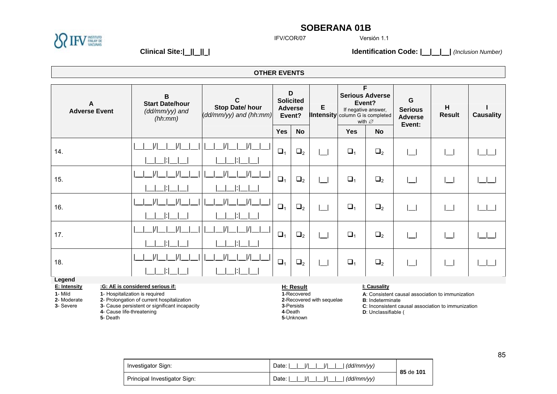

IFV/COR/07

Versión 1.1

**Clinical Site:| || || | Identification Code: | | | |** *(Inclusion Number)*

**4**- Cause life-threatening **5**- Death

**OTHER EVENTS** 

| A<br><b>Adverse Event</b>                                                                                                                            |  | B<br><b>Start Date/hour</b><br>(dd/mm/yy) and<br>(hh:mm) | C<br>Stop Date/hour<br>(dd/mm/yy) and (hh:mm) |            | D<br><b>Solicited</b><br><b>Adverse</b><br>Event? | Е                         | F<br><b>Serious Adverse</b><br>Event?<br>If negative answer,<br><b>Intensity</b> column G is completed<br>with $\varnothing$ |                          | G<br><b>Serious</b><br><b>Adverse</b><br>Event:    | Η<br><b>Result</b> | <b>Causality</b> |
|------------------------------------------------------------------------------------------------------------------------------------------------------|--|----------------------------------------------------------|-----------------------------------------------|------------|---------------------------------------------------|---------------------------|------------------------------------------------------------------------------------------------------------------------------|--------------------------|----------------------------------------------------|--------------------|------------------|
|                                                                                                                                                      |  |                                                          |                                               | <b>Yes</b> | <b>No</b>                                         |                           | <b>Yes</b>                                                                                                                   | <b>No</b>                |                                                    |                    |                  |
| 14.                                                                                                                                                  |  |                                                          |                                               | $\Box_1$   | $\Box_2$                                          |                           | $\Box_1$                                                                                                                     | $\Box_2$                 | $\Box$                                             |                    |                  |
|                                                                                                                                                      |  |                                                          |                                               |            |                                                   |                           |                                                                                                                              |                          |                                                    |                    |                  |
| 15.                                                                                                                                                  |  |                                                          | I/I                                           | $\Box_1$   | $\Box_2$                                          |                           | $\Box_1$                                                                                                                     | $\Box_2$                 | $\sim$                                             |                    |                  |
|                                                                                                                                                      |  |                                                          |                                               |            |                                                   |                           |                                                                                                                              |                          |                                                    |                    |                  |
| 16.                                                                                                                                                  |  |                                                          | I/I                                           | $\Box$     | $\Box_2$                                          |                           | $\Box_1$                                                                                                                     | $\Box_2$                 | $\overline{\phantom{0}}$                           |                    |                  |
|                                                                                                                                                      |  |                                                          |                                               |            |                                                   |                           |                                                                                                                              |                          |                                                    |                    |                  |
| 17.                                                                                                                                                  |  |                                                          | I/I                                           | $\Box_1$   | $\Box_2$                                          |                           | $\Box_1$                                                                                                                     | $\Box_2$                 | $\sim$                                             |                    |                  |
|                                                                                                                                                      |  |                                                          |                                               |            |                                                   |                           |                                                                                                                              |                          |                                                    |                    |                  |
| 18.                                                                                                                                                  |  |                                                          | I/I                                           | $\Box_1$   | $\Box_2$                                          |                           | $\Box_1$                                                                                                                     | $\Box_2$                 | $\mathcal{L}$                                      |                    |                  |
|                                                                                                                                                      |  |                                                          |                                               |            |                                                   |                           |                                                                                                                              |                          |                                                    |                    |                  |
| Legend                                                                                                                                               |  |                                                          |                                               |            |                                                   |                           |                                                                                                                              |                          |                                                    |                    |                  |
| E: Intensity                                                                                                                                         |  | :G: AE is considered serious if:                         |                                               |            | H: Result                                         |                           |                                                                                                                              | I: Causality             |                                                    |                    |                  |
| 1- Mild                                                                                                                                              |  | 1- Hospitalization is required                           |                                               |            | 1-Recovered                                       | 2-Recovered with sequelae |                                                                                                                              | <b>B</b> : Indeterminate | A: Consistent causal association to immunization   |                    |                  |
| 2- Moderate<br>2- Prolongation of current hospitalization<br>3- Cause persistent or significant incapacity<br>3- Severe<br>4- Cause life-threatening |  |                                                          |                                               |            | 3-Persists<br>4-Death                             |                           |                                                                                                                              | D: Unclassifiable (      | C: Inconsistent causal association to immunization |                    |                  |

**D**: Unclassifiable (

| Investigator Sign:           | $\mathcal{U}$ $\mathcal{V}$<br>$\mathcal{L} =  I $<br>Date: I<br>$\mid$ (dd/mm/yy)               | 85 de 101 |
|------------------------------|--------------------------------------------------------------------------------------------------|-----------|
| Principal Investigator Sign: | $\mathcal{U}$ $\mathcal{V}$<br>Date: I<br>$\vert$ / $\vert$ $\vert$ $\vert$<br>$\mid$ (dd/mm/yy) |           |

**5**-Unknown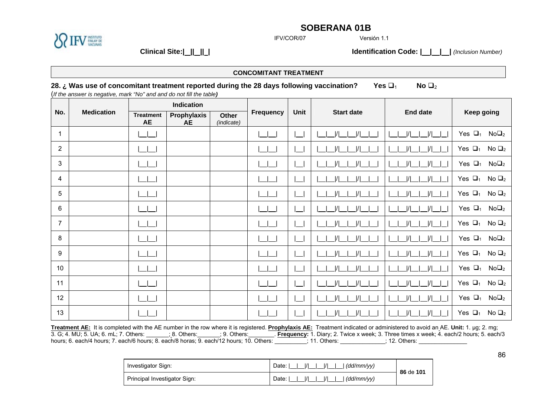

IFV/COR/07

Versión 1.1

**Clinical Site:| || || | Identification Code: | | | |** *(Inclusion Number)*

|                | <b>CONCOMITANT TREATMENT</b>                                                                                                                                                                     |                               |                          |                            |                  |      |                                |                                  |                                        |  |
|----------------|--------------------------------------------------------------------------------------------------------------------------------------------------------------------------------------------------|-------------------------------|--------------------------|----------------------------|------------------|------|--------------------------------|----------------------------------|----------------------------------------|--|
|                | 28. ¿ Was use of concomitant treatment reported during the 28 days following vaccination?<br>Yes $\Box_1$<br>No $\Box_2$<br>(If the answer is negative, mark "No" and and do not fill the table) |                               |                          |                            |                  |      |                                |                                  |                                        |  |
|                |                                                                                                                                                                                                  |                               | Indication               |                            |                  |      |                                |                                  |                                        |  |
| No.            | <b>Medication</b>                                                                                                                                                                                | <b>Treatment</b><br><b>AE</b> | Prophylaxis<br><b>AE</b> | <b>Other</b><br>(indicate) | <b>Frequency</b> | Unit | <b>Start date</b>              | <b>End date</b>                  | Keep going                             |  |
| 1              |                                                                                                                                                                                                  |                               |                          |                            |                  |      | / <br>$\vert/\vert$            | $\frac{1}{1}$<br>$\overline{11}$ | Yes $\Box_1$<br>$No\square_2$          |  |
| 2              |                                                                                                                                                                                                  |                               |                          |                            |                  |      | $\vert/\vert$                  |                                  | Yes $\Box_1$<br>No $\Box_2$            |  |
| 3              |                                                                                                                                                                                                  |                               |                          |                            |                  |      |                                |                                  | Yes $\Box_1$<br>$No\square_2$          |  |
| 4              |                                                                                                                                                                                                  |                               |                          |                            |                  |      | $\frac{1}{1}$<br>$\frac{1}{1}$ | $\frac{1}{1}$                    | Yes $\Box_1$<br>No $\Box_2$            |  |
| 5              |                                                                                                                                                                                                  |                               |                          |                            |                  |      | $\vert/\vert$                  |                                  | Yes $\Box_1$<br>No $\Box$ <sub>2</sub> |  |
| 6              |                                                                                                                                                                                                  |                               |                          |                            |                  |      | $\vert/\vert$                  |                                  | Yes $\Box_1$<br>$No\square_2$          |  |
| $\overline{7}$ |                                                                                                                                                                                                  |                               |                          |                            |                  |      | $\vert/\vert$                  |                                  | Yes $\Box_1$<br>No $\Box_2$            |  |
| 8              |                                                                                                                                                                                                  |                               |                          |                            |                  |      | $\frac{1}{1}$                  |                                  | Yes $\Box_1$<br>$No\square_2$          |  |
| 9              |                                                                                                                                                                                                  |                               |                          |                            |                  |      | $\frac{1}{1}$                  |                                  | Yes $\Box_1$<br>No $\Box_2$            |  |
| 10             |                                                                                                                                                                                                  |                               |                          |                            |                  |      | $\frac{1}{1}$                  |                                  | Yes $\Box_1$<br>$No\square_2$          |  |
| 11             |                                                                                                                                                                                                  |                               |                          |                            |                  |      | $\frac{1}{1}$<br>$\frac{1}{1}$ | I/I                              | Yes $\Box_1$<br>No $\Box$ <sub>2</sub> |  |
| 12             |                                                                                                                                                                                                  |                               |                          |                            |                  |      | $\frac{1}{1}$<br>$\vert/\vert$ | /                                | Yes $\Box_1$<br>$No\square_2$          |  |
| 13             |                                                                                                                                                                                                  |                               |                          |                            |                  |      | $\vert/\vert$<br>$\frac{1}{1}$ |                                  | Yes $\Box_1$<br>No $\Box_2$            |  |

**Treatment AE:** It is completed with the AE number in the row where it is registered. **Prophylaxis AE:** Treatment indicated or administered to avoid an AE. **Unit:** 1. µg; 2. mg; 3. G; 4. MU; 5. UA; 6. mL; 7. Others: \_\_\_\_\_\_\_; 8. Others:\_\_\_\_\_\_\_; 9. Others:\_\_\_\_\_\_\_\_. **Frequency:** 1. Diary; 2. Twice x week; 3. Three times x week; 4. each/2 hours; 5. each/3 hours; 6. each/4 hours; 7. each/6 hours; 8. each/8 horas; 9. each/12 hours; 10. Others: \_\_\_\_\_\_\_\_\_; 11. Others: \_\_\_\_\_\_\_\_\_; 12. Others:

| Investigator Sign:           | $\frac{1}{1}$<br>Date: I<br>И<br>(dd/mm/vv) | 86 de 101 |
|------------------------------|---------------------------------------------|-----------|
| Principal Investigator Sign: | $\frac{1}{1}$<br>Date: I<br>(dd/mm/vv)<br>M |           |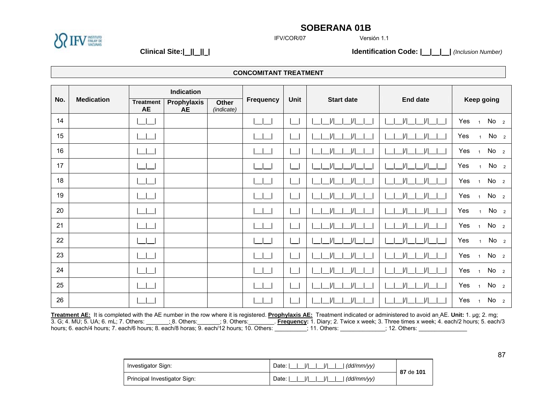

IFV/COR/07

Versión 1.1

**Clinical Site:| || || | Identification Code: | | | |** *(Inclusion Number)*

**CONCOMITANT TREATMENT** 

|     | <b>Medication</b> | Indication                    |                          |                     |           |      |                                                                                                                                                                             |                                |                                          |  |
|-----|-------------------|-------------------------------|--------------------------|---------------------|-----------|------|-----------------------------------------------------------------------------------------------------------------------------------------------------------------------------|--------------------------------|------------------------------------------|--|
| No. |                   | <b>Treatment</b><br><b>AE</b> | Prophylaxis<br><b>AE</b> | Other<br>(indicate) | Frequency | Unit | <b>Start date</b>                                                                                                                                                           | <b>End date</b>                | Keep going                               |  |
| 14  |                   |                               |                          |                     |           |      |                                                                                                                                                                             |                                | No <sub>2</sub><br>Yes<br>$\overline{1}$ |  |
| 15  |                   |                               |                          |                     |           |      |                                                                                                                                                                             |                                | Yes<br>No <sub>2</sub><br>$\mathbf{1}$   |  |
| 16  |                   |                               |                          |                     |           |      |                                                                                                                                                                             | $\frac{1}{1}$<br>$\frac{1}{1}$ | Yes<br>No <sub>2</sub><br>$\overline{1}$ |  |
| 17  |                   |                               |                          |                     |           |      |                                                                                                                                                                             | $\frac{1}{1}$                  | No <sub>2</sub><br>Yes<br>$\mathbf{1}$   |  |
| 18  |                   |                               |                          |                     |           |      |                                                                                                                                                                             |                                | Yes<br>No <sub>2</sub><br>$\overline{1}$ |  |
| 19  |                   |                               |                          |                     |           |      |                                                                                                                                                                             |                                | No <sub>2</sub><br>Yes<br>$\overline{1}$ |  |
| 20  |                   |                               |                          |                     |           |      |                                                                                                                                                                             |                                | Yes<br>No <sub>2</sub><br>$\mathbf{1}$   |  |
| 21  |                   |                               |                          |                     |           |      |                                                                                                                                                                             | $\frac{1}{1}$                  | Yes<br>No <sub>2</sub><br>$\overline{1}$ |  |
| 22  |                   |                               |                          |                     |           |      |                                                                                                                                                                             | $\frac{1}{1}$                  | Yes<br>No <sub>2</sub><br>1              |  |
| 23  |                   |                               |                          |                     |           |      |                                                                                                                                                                             | $\frac{1}{1}$                  | Yes<br>No <sub>2</sub><br>$\mathbf{1}$   |  |
| 24  |                   |                               |                          |                     |           |      |                                                                                                                                                                             |                                | No <sub>2</sub><br>Yes<br>$\overline{1}$ |  |
| 25  |                   |                               |                          |                     |           |      |                                                                                                                                                                             |                                | No <sub>2</sub><br>Yes<br>$\overline{1}$ |  |
| 26  |                   |                               |                          |                     |           |      |                                                                                                                                                                             | $\frac{1}{1}$<br>$\frac{1}{1}$ | No <sub>2</sub><br>Yes<br>$\overline{1}$ |  |
|     |                   |                               |                          |                     |           |      | Treatment AE: It is completed with the AE number in the row where it is registered. Prophylaxis AE: Treatment indicated or administered to avoid an AE. Unit: 1. µg; 2. mg; |                                |                                          |  |

3. G; 4. MU; 5. UA; 6. mL; 7. Others: \_\_\_\_\_\_\_; 8. Others:\_\_\_\_\_\_\_; 9. Others:\_\_\_\_\_\_\_\_. **Frequency:** 1. Diary; 2. Twice x week; 3. Three times x week; 4. each/2 hours; 5. each/3 hours; 6. each/4 hours; 7. each/6 hours; 8. each/8 horas; 9. each/12 hours; 10. Others: \_\_\_\_\_\_\_\_\_\_; 11. Others: \_\_\_\_\_\_\_\_\_\_\_; 12. Others:

| Investigator Sign:           | I/I<br>$\frac{1}{1}$<br>Date:<br>(dd/mm/yy) | 87 de 101 |
|------------------------------|---------------------------------------------|-----------|
| Principal Investigator Sign: | Date:<br>(dd/mm/yy)                         |           |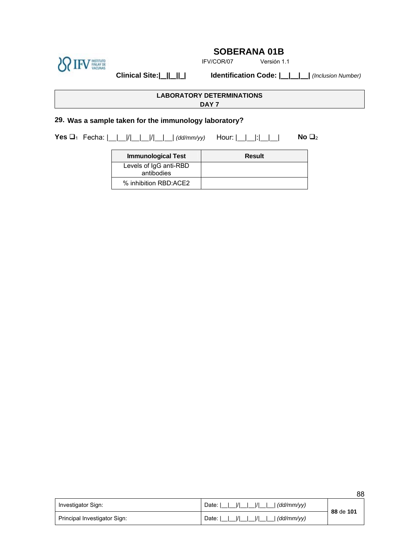

IFV/COR/07 Versión 1.1

**Clinical Site:| || || | Identification Code: | | | |** *(Inclusion Number)* 

## **LABORATORY DETERMINATIONS**

**DAY 7**

## **29. Was a sample taken for the immunology laboratory?**

**Yes □**<sub>1</sub> Fecha:  $\frac{|1| - |V| - |V| - |A||}{|A||}$  *(dd/mm/yy)* Hour:  $\frac{|1| - |V| - |A||}{|A||}$  **No □**<sub>2</sub>

| Immunological Test                   | <b>Result</b> |
|--------------------------------------|---------------|
| Levels of IgG anti-RBD<br>antibodies |               |
| % inhibition RBD:ACE2                |               |

|                              |                                                            | <u>vu</u> |
|------------------------------|------------------------------------------------------------|-----------|
| Investigator Sign:           | $\frac{1}{1}$<br>$\overline{1}$<br>l (dd/mm/vv)<br>Date: I | 88 de 101 |
| Principal Investigator Sign: | $\frac{1}{1}$<br>  (dd/mm/vv)<br>Date: I                   |           |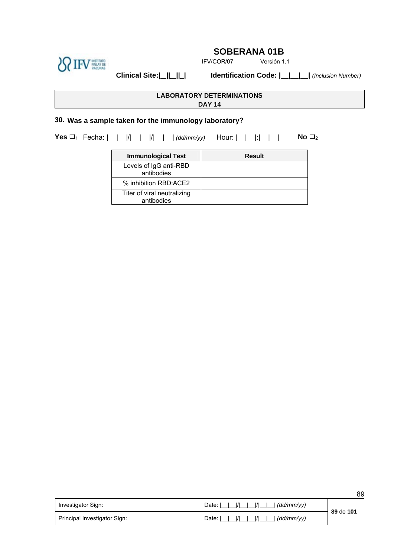

IFV/COR/07 Versión 1.1

**Clinical Site:| || || | Identification Code: | | | |** *(Inclusion Number)* 

**LABORATORY DETERMINATIONS** 

**DAY 14**

## **30. Was a sample taken for the immunology laboratory?**

**Yes □**<sub>1</sub> Fecha:  $\frac{|1| - |V| - |V| - |A||}{|A||}$  *(dd/mm/yy)* Hour:  $\frac{|1| - |V| - |A||}{|A||}$  **No □**<sub>2</sub>

| <b>Immunological Test</b>                 | <b>Result</b> |
|-------------------------------------------|---------------|
| Levels of IgG anti-RBD<br>antibodies      |               |
| % inhibition RBD:ACE2                     |               |
| Titer of viral neutralizing<br>antibodies |               |

| Investigator Sign:           | Date: '<br>. (dd/mm/vv) | 89 de 101 |
|------------------------------|-------------------------|-----------|
| Principal Investigator Sign: | (dd/mm/yy)<br>Date:     |           |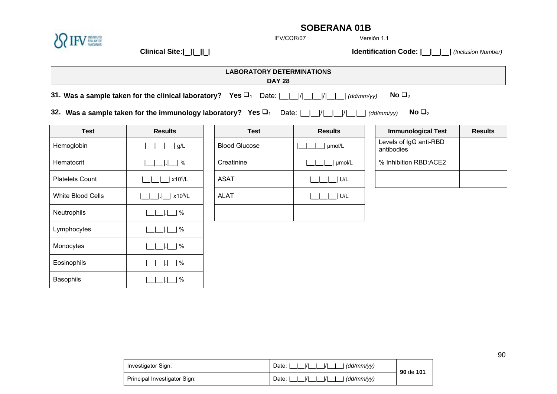

IFV/COR/07

Versión 1.1

**Clinical Site:| || || | Identification Code: | | | |** *(Inclusion Number)*

| <b>ABORATORY DETERMINATIONS</b><br>-∿ |  |
|---------------------------------------|--|
| <b>DAY 28</b>                         |  |
|                                       |  |

**31. Was a sample taken for the clinical laboratory?** Yes  $\Box_1$  Date:  $\frac{|1|}{|1|}$   $\frac{|1|}{|1|}$   $\frac{|d\phi\langle m m/\psi y\rangle}{|1|}$  No  $\Box_2$ 

**32. Was a sample taken for the immunology laboratory? Yes** 1 Date: | | |/| | |/| | | *(dd/mm/yy)* **No** <sup>2</sup>

| <b>Test</b>            | <b>Results</b> | <b>Test</b>          | <b>Results</b> |
|------------------------|----------------|----------------------|----------------|
| Hemoglobin             | g/L            | <b>Blood Glucose</b> | µmol/L         |
| Hematocrit             | $\%$           | Creatinine           | umol           |
| <b>Platelets Count</b> | $x10^9/L$      | <b>ASAT</b>          | U/L            |
| White Blood Cells      | $x10^9/L$      | <b>ALAT</b>          | U/L            |
| Neutrophils            | %              |                      |                |
| Lymphocytes            | %              |                      |                |
| Monocytes              | %              |                      |                |
| Eosinophils            | $\%$           |                      |                |
| Basophils              | $\%$           |                      |                |

| <b>Test</b>       | <b>Results</b>      | <b>Test</b>          | <b>Results</b> | <b>Immunological Test</b>            | <b>Results</b> |
|-------------------|---------------------|----------------------|----------------|--------------------------------------|----------------|
| Hemoglobin        | g/L                 | <b>Blood Glucose</b> | µmol/L         | Levels of IgG anti-RBD<br>antibodies |                |
| Hematocrit        | $\Box$   $\Box$   % | Creatinine           | umol/L         | % Inhibition RBD:ACE2                |                |
| Platelets Count   | x10 <sup>9</sup> /L | <b>ASAT</b>          | U/L            |                                      |                |
| White Blood Cells | x10 <sup>9</sup> /L | <b>ALAT</b>          | I U/L          |                                      |                |
| Neutrophils       | $ . $  %            |                      |                |                                      |                |

| <b>Immunological Test</b>            | <b>Results</b> |
|--------------------------------------|----------------|
| Levels of IgG anti-RBD<br>antibodies |                |
| % Inhibition RBD:ACE2                |                |
|                                      |                |

| Investigator Sign:           | $\frac{1}{1}$<br>Date: I<br>(dd/mm/yy) | 90 de 101 |
|------------------------------|----------------------------------------|-----------|
| Principal Investigator Sign: | $\frac{1}{1}$<br>Date: I<br>(dd/mm/yy) |           |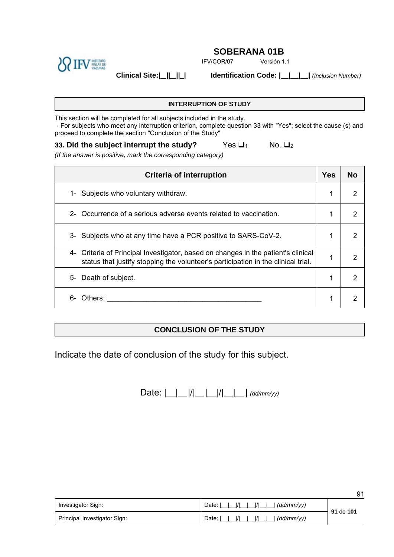

IFV/COR/07 Versión 1.1

**Clinical Site:| || || | Identification Code: | | | |** *(Inclusion Number)* 

*(If the answer is positive, mark the corresponding category)*

**INTERRUPTION OF STUDY**

This section will be completed for all subjects included in the study. - For subjects who meet any interruption criterion, complete question 33 with "Yes"; select the cause (s) and proceed to complete the section "Conclusion of the Study"

**33. Did the subject interrupt the study?** Yes  $\Box$ <sup>1</sup> No.  $\Box$ <sup>2</sup>

| Criteria of interruption                                                                                                                                               | Yes | <b>No</b> |
|------------------------------------------------------------------------------------------------------------------------------------------------------------------------|-----|-----------|
| 1- Subjects who voluntary withdraw.                                                                                                                                    | 1   | 2         |
| 2- Occurrence of a serious adverse events related to vaccination.                                                                                                      |     | 2         |
| 3- Subjects who at any time have a PCR positive to SARS-CoV-2.                                                                                                         |     | 2         |
| 4- Criteria of Principal Investigator, based on changes in the patient's clinical<br>status that justify stopping the volunteer's participation in the clinical trial. |     | 2         |
| Death of subject.<br>5-                                                                                                                                                | ◢   | っ         |
| հ-<br>Others:                                                                                                                                                          |     | っ         |

## **CONCLUSION OF THE STUDY**

Indicate the date of conclusion of the study for this subject.

Date:  $\left| \_\_\right| \_\| / \_\_\_\| \_\| / \_\_\|$  *(dd/mm/yy)* 

|                              |                                          | 91        |
|------------------------------|------------------------------------------|-----------|
| Investigator Sign:           | $\frac{1}{1}$<br>(dd/mm/vv)<br>Date: I   | 91 de 101 |
| Principal Investigator Sign: | $\overline{11}$<br>(dd/mm/yy)<br>Date: I |           |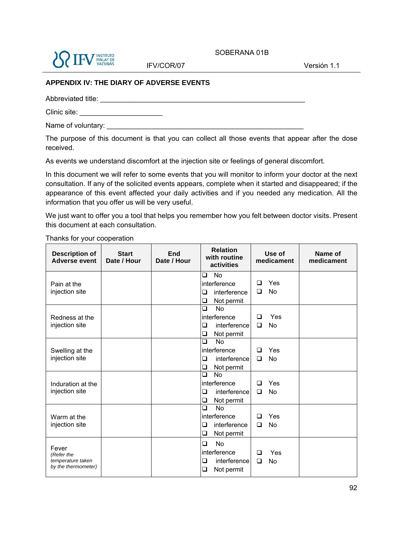

IFV/COR/07 Versión 1.1

SOBERANA 01B

#### **APPENDIX IV: THE DIARY OF ADVERSE EVENTS**

Abbreviated title:

Clinic site: \_\_\_\_\_\_\_\_\_\_\_\_\_\_\_\_\_\_\_\_\_

Name of voluntary: \_\_\_\_\_\_\_\_\_\_\_\_\_\_\_\_\_\_\_\_\_\_\_\_\_\_\_\_\_\_\_\_\_\_\_\_\_\_\_\_\_\_\_\_\_\_\_\_\_\_

The purpose of this document is that you can collect all those events that appear after the dose received.

As events we understand discomfort at the injection site or feelings of general discomfort.

In this document we will refer to some events that you will monitor to inform your doctor at the next consultation. If any of the solicited events appears, complete when it started and disappeared; if the appearance of this event affected your daily activities and if you needed any medication. All the information that you offer us will be very useful.

We just want to offer you a tool that helps you remember how you felt between doctor visits. Present this document at each consultation.

Thanks for your cooperation

| <b>Description of</b><br><b>Adverse event</b>                   | <b>Start</b><br>Date / Hour | End<br>Date / Hour | <b>Relation</b><br>with routine<br>activities                                             |             | Use of<br>medicament | Name of<br>medicament |
|-----------------------------------------------------------------|-----------------------------|--------------------|-------------------------------------------------------------------------------------------|-------------|----------------------|-----------------------|
| Pain at the                                                     |                             |                    | <b>No</b><br>$\Box$<br>interference                                                       | ◻           | Yes                  |                       |
| injection site                                                  |                             |                    | interference<br>❏<br>❏<br>Not permit                                                      | □           | <b>No</b>            |                       |
| Redness at the<br>injection site                                |                             |                    | $\overline{\square}$<br><b>No</b><br>interference<br>interference<br>□<br>❏<br>Not permit | ◻<br>□      | Yes<br><b>No</b>     |                       |
| Swelling at the<br>injection site                               |                             |                    | □<br><b>No</b><br>interference<br>interference<br>❏<br>Not permit<br>❏                    | □<br>□      | Yes<br><b>No</b>     |                       |
| Induration at the<br>injection site                             |                             |                    | $\Box$<br><b>No</b><br>interference<br>$\Box$<br>interference<br>Not permit<br>❏          | □<br>□      | Yes<br>No            |                       |
| Warm at the<br>injection site                                   |                             |                    | $\Box$<br><b>No</b><br>interference<br>interference<br>❏<br>❏<br>Not permit               | □<br>$\Box$ | Yes<br>No            |                       |
| Fever<br>(Refer the<br>temperature taken<br>by the thermometer) |                             |                    | <b>No</b><br>□<br>interference<br>interference<br>$\Box$<br>$\Box$<br>Not permit          | □<br>$\Box$ | Yes<br>No            |                       |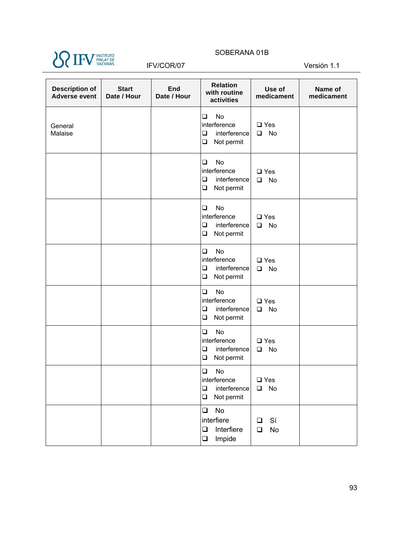

#### IFV/COR/07 Versión 1.1

| <b>Description of</b><br><b>Adverse event</b> | <b>Start</b><br>Date / Hour | End<br>Date / Hour | <b>Relation</b><br>with routine<br>activities                                         | Use of<br>medicament                 | Name of<br>medicament |
|-----------------------------------------------|-----------------------------|--------------------|---------------------------------------------------------------------------------------|--------------------------------------|-----------------------|
| General<br>Malaise                            |                             |                    | $\Box$<br>No<br>interference<br>$\Box$<br>interference<br>$\Box$<br>Not permit        | $\square$ Yes<br>No<br>$\Box$        |                       |
|                                               |                             |                    | <b>No</b><br>$\Box$<br>interference<br>$\Box$<br>interference<br>$\Box$<br>Not permit | $\square$ Yes<br>$\Box$<br>No        |                       |
|                                               |                             |                    | $\Box$<br><b>No</b><br>interference<br>$\Box$<br>interference<br>$\Box$<br>Not permit | $\square$ Yes<br><b>No</b><br>$\Box$ |                       |
|                                               |                             |                    | $\Box$<br>No<br>interference<br>$\Box$<br>interference<br>$\Box$<br>Not permit        | $\square$ Yes<br>No<br>$\Box$        |                       |
|                                               |                             |                    | $\Box$<br>No<br>interference<br>interference<br>$\Box$<br>$\Box$<br>Not permit        | $\square$ Yes<br>No<br>$\Box$        |                       |
|                                               |                             |                    | $\Box$<br><b>No</b><br>interference<br>interference<br>$\Box$<br>Not permit<br>$\Box$ | $\square$ Yes<br><b>No</b><br>$\Box$ |                       |
|                                               |                             |                    | $\Box$<br>No<br>interference<br>interference<br>❏<br>Not permit<br>$\Box$             | $\square$ Yes<br>No<br>$\Box$        |                       |
|                                               |                             |                    | No<br>$\Box$<br>interfiere<br>Interfiere<br>$\Box$<br>Impide<br>$\Box$                | Sí<br>❏<br>No<br>$\Box$              |                       |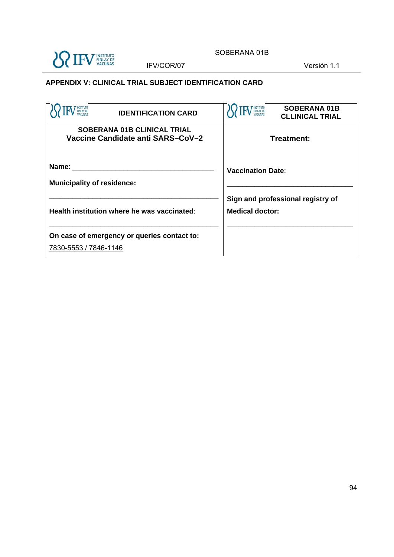

IFV/COR/07 Versión 1.1

### **APPENDIX V: CLINICAL TRIAL SUBJECT IDENTIFICATION CARD**

| INSTITUTO<br>FINLAY DE<br>VACUNAS<br><b>IDENTIFICATION CARD</b>         | <b>SOBERANA 01B</b><br><b>CLLINICAL TRIAL</b>               |  |  |
|-------------------------------------------------------------------------|-------------------------------------------------------------|--|--|
| <b>SOBERANA 01B CLINICAL TRIAL</b><br>Vaccine Candidate anti SARS-CoV-2 | Treatment:                                                  |  |  |
| Name:<br><b>Municipality of residence:</b>                              | <b>Vaccination Date:</b>                                    |  |  |
| Health institution where he was vaccinated:                             | Sign and professional registry of<br><b>Medical doctor:</b> |  |  |
| On case of emergency or queries contact to:<br>7830-5553 / 7846-1146    |                                                             |  |  |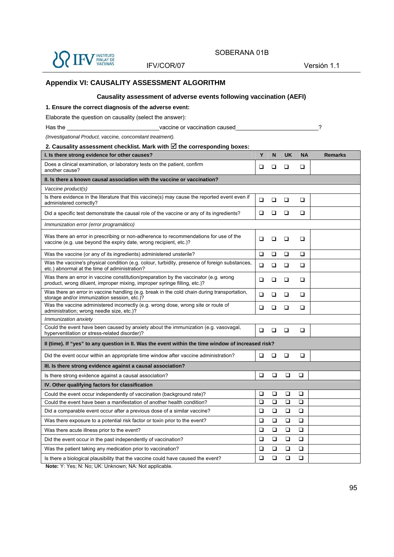

IFV/COR/07 Versión 1.1

#### **Appendix VI: CAUSALITY ASSESSMENT ALGORITHM**

#### **Causality assessment of adverse events following vaccination (AEFI)**

#### **1. Ensure the correct diagnosis of the adverse event:**

Elaborate the question on causality (select the answer):

Has the \_\_\_\_\_\_\_\_\_\_\_\_\_\_\_\_\_\_\_\_\_\_\_\_\_\_\_\_\_\_\_\_vaccine or vaccination caused\_\_\_\_\_\_\_\_\_\_\_\_\_\_\_\_\_\_\_\_\_\_\_\_\_\_?

*(Investigational Product, vaccine, concomitant treatment).* 

#### 2. Causality assessment checklist. Mark with  $\boxtimes$  the corresponding boxes:

| I. Is there strong evidence for other causes?                                                                                                                     | Υ        | N      | <b>UK</b> | <b>NA</b> | <b>Remarks</b> |  |  |
|-------------------------------------------------------------------------------------------------------------------------------------------------------------------|----------|--------|-----------|-----------|----------------|--|--|
| Does a clinical examination, or laboratory tests on the patient, confirm<br>another cause?                                                                        | ◻        | □      | <b>□</b>  | ◻         |                |  |  |
| II. Is there a known causal association with the vaccine or vaccination?                                                                                          |          |        |           |           |                |  |  |
| Vaccine product(s)                                                                                                                                                |          |        |           |           |                |  |  |
| Is there evidence in the literature that this vaccine(s) may cause the reported event even if<br>administered correctly?                                          | ❏        | $\Box$ | □         | □         |                |  |  |
| Did a specific test demonstrate the causal role of the vaccine or any of its ingredients?                                                                         | ❏        | □      | □         | □         |                |  |  |
| Immunization error (error programático)                                                                                                                           |          |        |           |           |                |  |  |
| Was there an error in prescribing or non-adherence to recommendations for use of the<br>vaccine (e.g. use beyond the expiry date, wrong recipient, etc.)?         | ◻        | □      | ❏         | □         |                |  |  |
| Was the vaccine (or any of its ingredients) administered unsterile?                                                                                               | □        | $\Box$ | $\Box$    | $\Box$    |                |  |  |
| Was the vaccine's physical condition (e.g. colour, turbidity, presence of foreign substances,<br>etc.) abnormal at the time of administration?                    | ❏        | $\Box$ | $\Box$    | □         |                |  |  |
| Was there an error in vaccine constitution/preparation by the vaccinator (e.g. wrong<br>product, wrong diluent, improper mixing, improper syringe filling, etc.)? | ❏        | □      | □         | □         |                |  |  |
| Was there an error in vaccine handling (e.g. break in the cold chain during transportation,<br>storage and/or immunization session, etc.)?                        | ❏        | □      | □         | □         |                |  |  |
| Was the vaccine administered incorrectly (e.g. wrong dose, wrong site or route of<br>administration; wrong needle size, etc.)?                                    | ❏        | □      | □         | □         |                |  |  |
| Immunization anxiety                                                                                                                                              |          |        |           |           |                |  |  |
| Could the event have been caused by anxiety about the immunization (e.g. vasovagal,<br>hyperventilation or stress-related disorder)?                              | <b>□</b> | $\Box$ | □         | ◻         |                |  |  |
| Il (time). If "yes" to any question in II. Was the event within the time window of increased risk?                                                                |          |        |           |           |                |  |  |
| Did the event occur within an appropriate time window after vaccine administration?                                                                               | ❏        | $\Box$ | $\Box$    | $\Box$    |                |  |  |
| III. Is there strong evidence against a causal association?                                                                                                       |          |        |           |           |                |  |  |
| Is there strong evidence against a causal association?                                                                                                            | ❏        | ❏      | □         | ❏         |                |  |  |
| IV. Other qualifying factors for classification                                                                                                                   |          |        |           |           |                |  |  |
| Could the event occur independently of vaccination (background rate)?                                                                                             | <b>□</b> | □      | □         | <b>□</b>  |                |  |  |
| Could the event have been a manifestation of another health condition?                                                                                            | □        | ❏      | □         | □         |                |  |  |
| Did a comparable event occur after a previous dose of a similar vaccine?                                                                                          | ❏        | □      | □         | □         |                |  |  |
| Was there exposure to a potential risk factor or toxin prior to the event?                                                                                        | ❏        | ❏      | $\Box$    | ❏         |                |  |  |
| Was there acute illness prior to the event?                                                                                                                       | ❏        | □      | ❏         | □         |                |  |  |
| Did the event occur in the past independently of vaccination?                                                                                                     | ❏        | ❏      | $\Box$    | ❏         |                |  |  |
| Was the patient taking any medication prior to vaccination?                                                                                                       | ❏        | □      | □         | □         |                |  |  |
| Is there a biological plausibility that the vaccine could have caused the event?                                                                                  | ❏        | ❏      | □         | ❏         |                |  |  |

**Note:** Y: Yes; N: No; UK: Unknown; NA: Not applicable.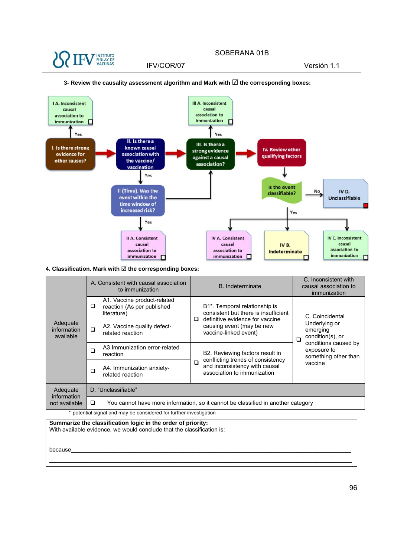



#### **3- Review the causality assessment algorithm and Mark with the corresponding boxes:**

#### **4. Classification. Mark with**  $⊠$  **the corresponding boxes:**

|                                      | A. Consistent with causal association<br>to immunization                              | B. Indeterminate                                                                                       | C. Inconsistent with<br>causal association to<br>immunization |  |  |  |
|--------------------------------------|---------------------------------------------------------------------------------------|--------------------------------------------------------------------------------------------------------|---------------------------------------------------------------|--|--|--|
| Adequate<br>information<br>available | A1. Vaccine product-related<br>reaction (As per published<br>□<br>literature)         | B1*. Temporal relationship is<br>consistent but there is insufficient                                  | C. Coincidental                                               |  |  |  |
|                                      | A2. Vaccine quality defect-<br>□<br>related reaction                                  | definitive evidence for vaccine<br>□<br>causing event (may be new<br>vaccine-linked event)             | Underlying or<br>emerging<br>condition(s), or<br>$\Box$       |  |  |  |
|                                      | A3 Immunization error-related<br>∩<br>reaction                                        | B2. Reviewing factors result in                                                                        | conditions caused by<br>exposure to<br>something other than   |  |  |  |
|                                      | A4. Immunization anxiety-<br>∩<br>related reaction                                    | conflicting trends of consistency<br>◻<br>and inconsistency with causal<br>association to immunization | vaccine                                                       |  |  |  |
| Adequate<br>information              | D. "Unclassifiable"                                                                   |                                                                                                        |                                                               |  |  |  |
| not available                        | You cannot have more information, so it cannot be classified in another category<br>□ |                                                                                                        |                                                               |  |  |  |

**\_\_\_\_\_\_\_\_\_\_\_\_\_\_\_\_\_\_\_\_\_\_\_\_\_\_\_\_\_\_\_\_\_\_\_\_\_\_\_\_\_\_\_\_\_\_\_\_\_\_\_\_\_\_\_\_\_\_\_\_\_\_\_\_\_\_\_\_\_\_\_\_\_\_\_\_\_\_\_\_\_\_\_\_\_\_\_\_\_\_\_\_\_\_**

 $\_$  ,  $\_$  ,  $\_$  ,  $\_$  ,  $\_$  ,  $\_$  ,  $\_$  ,  $\_$  ,  $\_$  ,  $\_$  ,  $\_$  ,  $\_$  ,  $\_$  ,  $\_$  ,  $\_$  ,  $\_$  ,  $\_$  ,  $\_$  ,  $\_$  ,  $\_$  ,  $\_$  ,  $\_$  ,  $\_$  ,  $\_$  ,  $\_$  ,  $\_$  ,  $\_$  ,  $\_$  ,  $\_$  ,  $\_$  ,  $\_$  ,  $\_$  ,  $\_$  ,  $\_$  ,  $\_$  ,  $\_$  ,  $\_$  ,

potential signal and may be considered for further investigation

**Summarize the classification logic in the order of priority:** With available evidence, we would conclude that the classification is:

 $\rm because$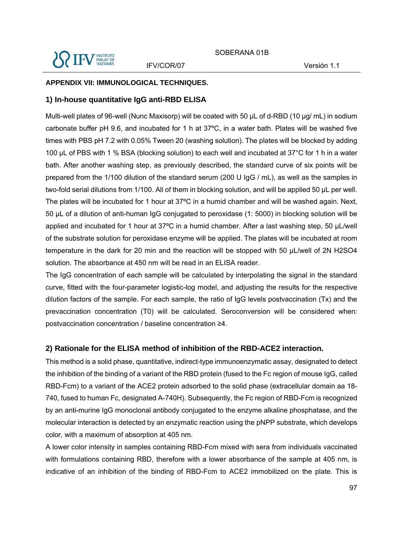IFV/COR/07 Versión 1.1

#### **APPENDIX VII: IMMUNOLOGICAL TECHNIQUES.**

#### **1) In-house quantitative IgG anti-RBD ELISA**

Multi-well plates of 96-well (Nunc Maxisorp) will be coated with 50 µL of d-RBD (10 µg/ mL) in sodium carbonate buffer pH 9.6, and incubated for 1 h at 37ºC, in a water bath. Plates will be washed five times with PBS pH 7.2 with 0.05% Tween 20 (washing solution). The plates will be blocked by adding 100 μL of PBS with 1 % BSA (blocking solution) to each well and incubated at 37°C for 1 h in a water bath. After another washing step, as previously described, the standard curve of six points will be prepared from the 1/100 dilution of the standard serum (200 U IgG / mL), as well as the samples in two-fold serial dilutions from 1/100. All of them in blocking solution, and will be applied 50 µL per well. The plates will be incubated for 1 hour at 37ºC in a humid chamber and will be washed again. Next, 50 µL of a dilution of anti-human IgG conjugated to peroxidase (1: 5000) in blocking solution will be applied and incubated for 1 hour at 37°C in a humid chamber. After a last washing step, 50 µL/well of the substrate solution for peroxidase enzyme will be applied. The plates will be incubated at room temperature in the dark for 20 min and the reaction will be stopped with 50 µL/well of 2N H2SO4 solution. The absorbance at 450 nm will be read in an ELISA reader.

The IgG concentration of each sample will be calculated by interpolating the signal in the standard curve, fitted with the four-parameter logistic-log model, and adjusting the results for the respective dilution factors of the sample. For each sample, the ratio of IgG levels postvaccination (Tx) and the prevaccination concentration (T0) will be calculated. Seroconversion will be considered when: postvaccination concentration / baseline concentration ≥4.

#### **2) Rationale for the ELISA method of inhibition of the RBD-ACE2 interaction.**

This method is a solid phase, quantitative, indirect-type immunoenzymatic assay, designated to detect the inhibition of the binding of a variant of the RBD protein (fused to the Fc region of mouse IgG, called RBD-Fcm) to a variant of the ACE2 protein adsorbed to the solid phase (extracellular domain aa 18- 740, fused to human Fc, designated A-740H). Subsequently, the Fc region of RBD-Fcm is recognized by an anti-murine IgG monoclonal antibody conjugated to the enzyme alkaline phosphatase, and the molecular interaction is detected by an enzymatic reaction using the pNPP substrate, which develops color, with a maximum of absorption at 405 nm.

A lower color intensity in samples containing RBD-Fcm mixed with sera from individuals vaccinated with formulations containing RBD, therefore with a lower absorbance of the sample at 405 nm, is indicative of an inhibition of the binding of RBD-Fcm to ACE2 immobilized on the plate. This is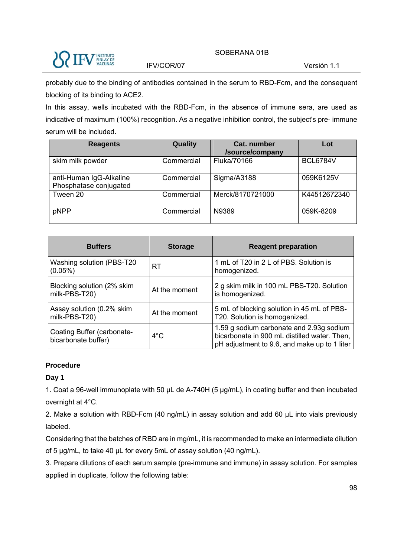

IFV/COR/07 Versión 1.1

probably due to the binding of antibodies contained in the serum to RBD-Fcm, and the consequent blocking of its binding to ACE2.

In this assay, wells incubated with the RBD-Fcm, in the absence of immune sera, are used as indicative of maximum (100%) recognition. As a negative inhibition control, the subject's pre- immune serum will be included.

| <b>Reagents</b>                                   | Quality    | <b>Cat. number</b><br>/source/company | Lot             |
|---------------------------------------------------|------------|---------------------------------------|-----------------|
| skim milk powder                                  | Commercial | Fluka/70166                           | <b>BCL6784V</b> |
| anti-Human IgG-Alkaline<br>Phosphatase conjugated | Commercial | Sigma/A3188                           | 059K6125V       |
| Tween 20                                          | Commercial | Merck/8170721000                      | K44512672340    |
| pNPP                                              | Commercial | N9389                                 | 059K-8209       |

| <b>Buffers</b>                                    | <b>Storage</b> | <b>Reagent preparation</b>                                                                                                               |
|---------------------------------------------------|----------------|------------------------------------------------------------------------------------------------------------------------------------------|
| Washing solution (PBS-T20<br>$(0.05\%)$           | RT             | 1 mL of T20 in 2 L of PBS. Solution is<br>homogenized.                                                                                   |
| Blocking solution (2% skim<br>milk-PBS-T20)       | At the moment  | 2 g skim milk in 100 mL PBS-T20. Solution<br>is homogenized.                                                                             |
| Assay solution (0.2% skim<br>milk-PBS-T20)        | At the moment  | 5 mL of blocking solution in 45 mL of PBS-<br>T20. Solution is homogenized.                                                              |
| Coating Buffer (carbonate-<br>bicarbonate buffer) | $4^{\circ}$ C  | 1.59 g sodium carbonate and 2.93g sodium<br>bicarbonate in 900 mL distilled water. Then,<br>pH adjustment to 9.6, and make up to 1 liter |

#### **Procedure**

## **Day 1**

1. Coat a 96-well immunoplate with 50 µL de A-740H (5 µg/mL), in coating buffer and then incubated overnight at 4°C.

2. Make a solution with RBD-Fcm (40 ng/mL) in assay solution and add 60 µL into vials previously labeled.

Considering that the batches of RBD are in mg/mL, it is recommended to make an intermediate dilution of 5 µg/mL, to take 40 µL for every 5mL of assay solution (40 ng/mL).

3. Prepare dilutions of each serum sample (pre-immune and immune) in assay solution. For samples applied in duplicate, follow the following table: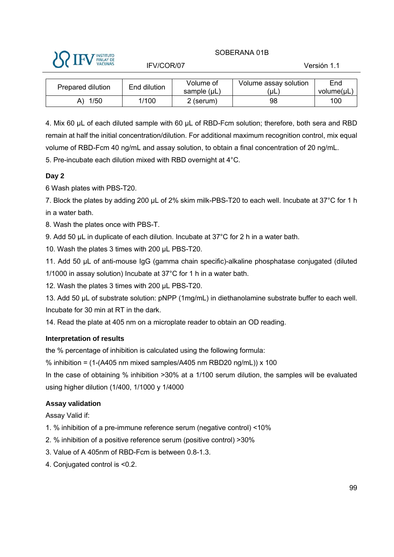SOBERANA 01B IFV/COR/07 Versión 1.1

| Prepared dilution | End dilution | Volume of        | Volume assay solution | End        |     |
|-------------------|--------------|------------------|-----------------------|------------|-----|
|                   |              | sample $(\mu L)$ | uL)                   | volume(µL) |     |
|                   | 1/50         | 1/100            | 2 (serum)             | 98         | 100 |
|                   |              |                  |                       |            |     |

4. Mix 60 µL of each diluted sample with 60 µL of RBD-Fcm solution; therefore, both sera and RBD remain at half the initial concentration/dilution. For additional maximum recognition control, mix equal volume of RBD-Fcm 40 ng/mL and assay solution, to obtain a final concentration of 20 ng/mL. 5. Pre-incubate each dilution mixed with RBD overnight at 4°C.

## **Day 2**

6 Wash plates with PBS-T20.

7. Block the plates by adding 200 μL of 2% skim milk-PBS-T20 to each well. Incubate at 37°C for 1 h in a water bath.

8. Wash the plates once with PBS-T.

9. Add 50  $\mu$ L in duplicate of each dilution. Incubate at 37 $\degree$ C for 2 h in a water bath.

10. Wash the plates 3 times with 200 µL PBS-T20.

11. Add 50 µL of anti-mouse IgG (gamma chain specific)-alkaline phosphatase conjugated (diluted 1/1000 in assay solution) Incubate at 37°C for 1 h in a water bath.

12. Wash the plates 3 times with 200 µL PBS-T20.

13. Add 50 µL of substrate solution: pNPP (1mg/mL) in diethanolamine substrate buffer to each well. Incubate for 30 min at RT in the dark.

14. Read the plate at 405 nm on a microplate reader to obtain an OD reading.

#### **Interpretation of results**

the % percentage of inhibition is calculated using the following formula:

% inhibition =  $(1-(A405 \text{ nm mixed samples}/A405 \text{ nm RBD20 ng/mL})) \times 100$ 

In the case of obtaining % inhibition >30% at a 1/100 serum dilution, the samples will be evaluated using higher dilution (1/400, 1/1000 y 1/4000

#### **Assay validation**

Assay Valid if:

- 1. % inhibition of a pre-immune reference serum (negative control) <10%
- 2. % inhibition of a positive reference serum (positive control) >30%
- 3. Value of A 405nm of RBD-Fcm is between 0.8-1.3.
- 4. Conjugated control is <0.2.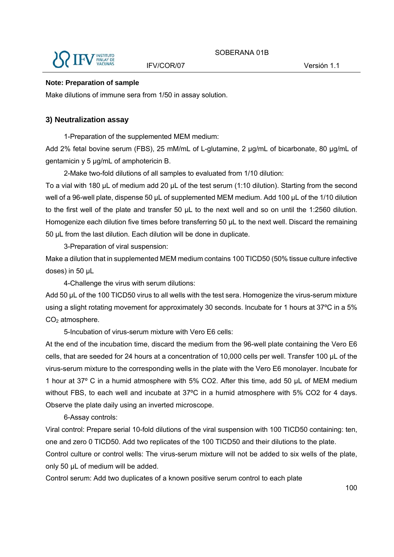

#### **Note: Preparation of sample**

Make dilutions of immune sera from 1/50 in assay solution.

#### **3) Neutralization assay**

1-Preparation of the supplemented MEM medium:

Add 2% fetal bovine serum (FBS), 25 mM/mL of L-glutamine, 2 µg/mL of bicarbonate, 80 µg/mL of gentamicin y 5 µg/mL of amphotericin B.

2-Make two-fold dilutions of all samples to evaluated from 1/10 dilution:

To a vial with 180 μL of medium add 20 μL of the test serum (1:10 dilution). Starting from the second well of a 96-well plate, dispense 50 μL of supplemented MEM medium. Add 100 µL of the 1/10 dilution to the first well of the plate and transfer 50 µL to the next well and so on until the 1:2560 dilution. Homogenize each dilution five times before transferring 50 µL to the next well. Discard the remaining 50 μL from the last dilution. Each dilution will be done in duplicate.

3-Preparation of viral suspension:

Make a dilution that in supplemented MEM medium contains 100 TICD50 (50% tissue culture infective doses) in 50 μL

4-Challenge the virus with serum dilutions:

Add 50 μL of the 100 TICD50 virus to all wells with the test sera. Homogenize the virus-serum mixture using a slight rotating movement for approximately 30 seconds. Incubate for 1 hours at 37ºC in a 5% CO<sub>2</sub> atmosphere.

5-Incubation of virus-serum mixture with Vero E6 cells:

At the end of the incubation time, discard the medium from the 96-well plate containing the Vero E6 cells, that are seeded for 24 hours at a concentration of 10,000 cells per well. Transfer 100 μL of the virus-serum mixture to the corresponding wells in the plate with the Vero E6 monolayer. Incubate for 1 hour at 37º C in a humid atmosphere with 5% CO2. After this time, add 50 μL of MEM medium without FBS, to each well and incubate at 37ºC in a humid atmosphere with 5% CO2 for 4 days. Observe the plate daily using an inverted microscope.

6-Assay controls:

Viral control: Prepare serial 10-fold dilutions of the viral suspension with 100 TICD50 containing: ten, one and zero 0 TICD50. Add two replicates of the 100 TICD50 and their dilutions to the plate.

Control culture or control wells: The virus-serum mixture will not be added to six wells of the plate, only 50 μL of medium will be added.

Control serum: Add two duplicates of a known positive serum control to each plate